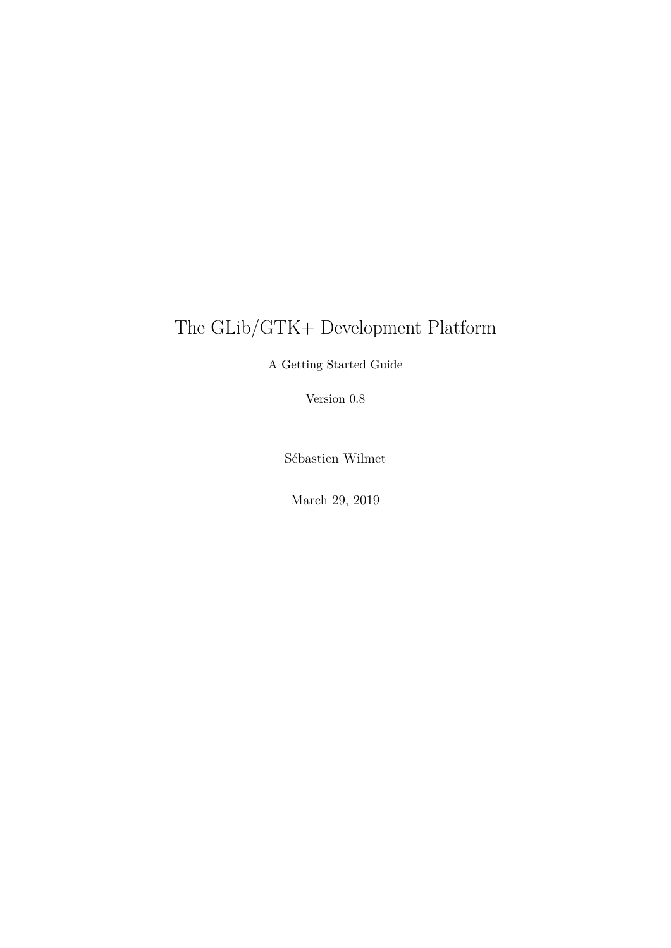# The GLib/GTK+ Development Platform

A Getting Started Guide

Version 0.8

Sébastien Wilmet

March 29, 2019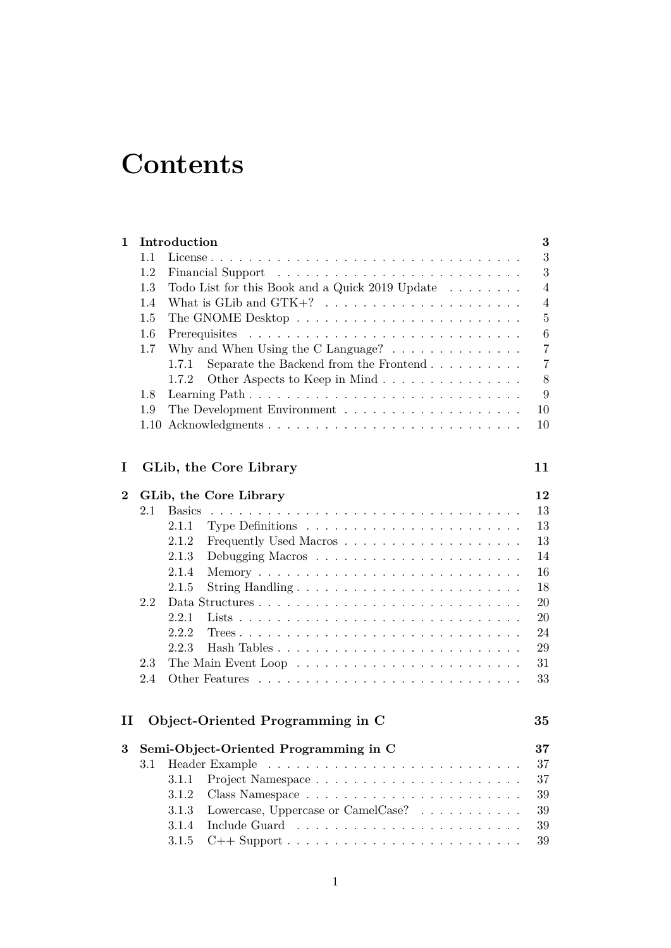# **Contents**

| $\mathbf 1$ | Introduction<br>$\bf{3}$              |                                                                                   |                |  |  |  |
|-------------|---------------------------------------|-----------------------------------------------------------------------------------|----------------|--|--|--|
|             | 1.1                                   |                                                                                   | 3              |  |  |  |
|             | 1.2                                   |                                                                                   | 3              |  |  |  |
|             | 1.3                                   | Todo List for this Book and a Quick 2019 Update                                   | $\overline{4}$ |  |  |  |
|             | 1.4                                   | What is GLib and $GTK+? \ldots \ldots \ldots \ldots \ldots \ldots \ldots$         | 4              |  |  |  |
|             | 1.5                                   |                                                                                   | $\overline{5}$ |  |  |  |
|             | 1.6                                   |                                                                                   | 6              |  |  |  |
|             | 1.7                                   | Why and When Using the C Language? $\dots \dots \dots \dots \dots$                | $\overline{7}$ |  |  |  |
|             |                                       | Separate the Backend from the Frontend $\ldots \ldots \ldots$<br>1.7.1            | $\overline{7}$ |  |  |  |
|             |                                       | 1.7.2                                                                             | 8              |  |  |  |
|             | 1.8                                   |                                                                                   | 9              |  |  |  |
|             | 1.9                                   |                                                                                   |                |  |  |  |
|             | 1.10                                  |                                                                                   | 10             |  |  |  |
|             |                                       |                                                                                   |                |  |  |  |
| I           |                                       | GLib, the Core Library                                                            | 11             |  |  |  |
| $\bf{2}$    | GLib, the Core Library                |                                                                                   |                |  |  |  |
|             | 2.1                                   | <b>Basics</b>                                                                     | 13             |  |  |  |
|             |                                       | 2.1.1<br>Type Definitions $\dots \dots \dots \dots \dots \dots \dots \dots \dots$ | 13             |  |  |  |
|             |                                       | 2.1.2                                                                             | 13             |  |  |  |
|             |                                       | 2.1.3                                                                             | 14             |  |  |  |
|             |                                       | 2.1.4                                                                             | 16             |  |  |  |
|             |                                       | 2.1.5                                                                             | 18             |  |  |  |
|             | 2.2                                   |                                                                                   | 20             |  |  |  |
|             |                                       | 2.2.1                                                                             | 20             |  |  |  |
|             |                                       | 2.2.2                                                                             | 24             |  |  |  |
|             |                                       | 2.2.3                                                                             | $\,29$         |  |  |  |
|             | 2.3                                   |                                                                                   | 31             |  |  |  |
|             | 2.4                                   |                                                                                   | 33             |  |  |  |
| 11          |                                       | Object-Oriented Programming in C                                                  | 35             |  |  |  |
|             |                                       |                                                                                   | $37\,$         |  |  |  |
| 3           | Semi-Object-Oriented Programming in C |                                                                                   |                |  |  |  |
|             | 3.1                                   | Header Example                                                                    | 37             |  |  |  |
|             |                                       | 3.1.1                                                                             | 37             |  |  |  |
|             |                                       | 3.1.2                                                                             | 39             |  |  |  |
|             |                                       | Lowercase, Uppercase or CamelCase?<br>3.1.3                                       | 39             |  |  |  |
|             |                                       | 3.1.4                                                                             | 39             |  |  |  |
|             |                                       | 3.1.5<br>$C++$ Support $\ldots \ldots \ldots \ldots \ldots \ldots \ldots \ldots$  | $39\,$         |  |  |  |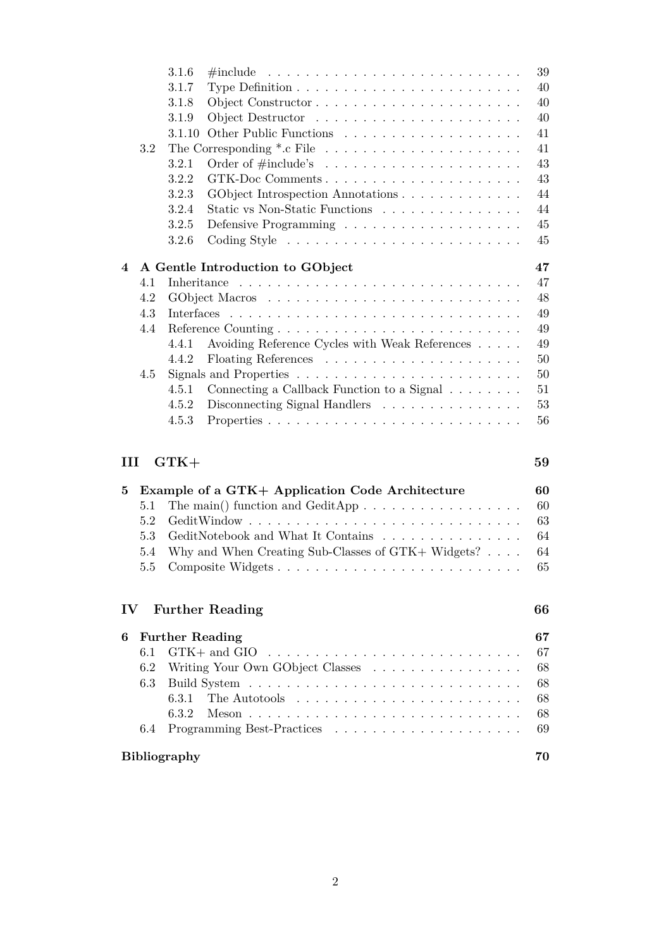|               |                                        | 3.1.6                                           | $\#include \dots \dots \dots \dots \dots \dots \dots \dots \dots \dots \dots$             | 39       |  |  |  |
|---------------|----------------------------------------|-------------------------------------------------|-------------------------------------------------------------------------------------------|----------|--|--|--|
|               |                                        | 3.1.7                                           |                                                                                           | 40       |  |  |  |
|               |                                        | 3.1.8                                           |                                                                                           | 40       |  |  |  |
|               |                                        | 3.1.9                                           |                                                                                           | $40\,$   |  |  |  |
|               |                                        | 3.1.10                                          |                                                                                           | 41       |  |  |  |
|               | 3.2                                    |                                                 |                                                                                           |          |  |  |  |
|               |                                        | 3.2.1                                           |                                                                                           | 43       |  |  |  |
|               |                                        | 3.2.2                                           | GTK-Doc Comments                                                                          | 43       |  |  |  |
|               |                                        | 3.2.3                                           | GObject Introspection Annotations                                                         | 44       |  |  |  |
|               |                                        | 3.2.4                                           | Static vs Non-Static Functions                                                            | 44       |  |  |  |
|               |                                        | 3.2.5                                           |                                                                                           | 45       |  |  |  |
|               |                                        | 3.2.6                                           | $\text{Coding Style } \dots \dots \dots \dots \dots \dots \dots \dots \dots$              | 45       |  |  |  |
| 4             | A Gentle Introduction to GObject<br>47 |                                                 |                                                                                           |          |  |  |  |
|               | 4.1                                    |                                                 |                                                                                           | 47       |  |  |  |
|               | 4.2                                    |                                                 |                                                                                           | 48       |  |  |  |
|               | 4.3                                    |                                                 |                                                                                           | 49       |  |  |  |
|               | 4.4                                    |                                                 |                                                                                           | 49       |  |  |  |
|               |                                        | 4.4.1                                           | Avoiding Reference Cycles with Weak References                                            | 49       |  |  |  |
|               |                                        | 4.4.2                                           |                                                                                           | 50       |  |  |  |
|               | 4.5                                    |                                                 |                                                                                           | $50\,$   |  |  |  |
|               |                                        | 4.5.1                                           | Connecting a Callback Function to a Signal $\ldots \ldots$ .                              | 51       |  |  |  |
|               |                                        | 4.5.2                                           | Disconnecting Signal Handlers                                                             | 53       |  |  |  |
|               |                                        | 4.5.3                                           |                                                                                           | 56       |  |  |  |
|               |                                        |                                                 |                                                                                           |          |  |  |  |
| Ш             |                                        | $GTK+$                                          |                                                                                           | 59       |  |  |  |
| 5             |                                        | Example of a GTK+ Application Code Architecture |                                                                                           |          |  |  |  |
|               | 5.1                                    |                                                 |                                                                                           | 60       |  |  |  |
|               | 5.2                                    |                                                 |                                                                                           | $63\,$   |  |  |  |
|               | 5.3                                    |                                                 | Gedit<br>Notebook and What It Contains $\hfill\ldots\ldots\ldots\ldots\ldots\ldots\ldots$ | 64       |  |  |  |
|               | 5.4                                    |                                                 | Why and When Creating Sub-Classes of GTK+ Widgets? $\ldots$ .                             | 64       |  |  |  |
|               | $5.5\,$                                |                                                 |                                                                                           | $65\,$   |  |  |  |
| $\mathbf{IV}$ |                                        |                                                 | <b>Further Reading</b>                                                                    | 66       |  |  |  |
|               | <b>Further Reading</b>                 |                                                 |                                                                                           |          |  |  |  |
| 6             | 6.1                                    |                                                 | $GTK+$ and $GIO$                                                                          | 67       |  |  |  |
|               |                                        |                                                 |                                                                                           | 67       |  |  |  |
|               | 6.2<br>6.3                             |                                                 | Writing Your Own GObject Classes                                                          | 68<br>68 |  |  |  |
|               |                                        | 6.3.1                                           |                                                                                           | 68       |  |  |  |
|               |                                        | 6.3.2                                           |                                                                                           | 68       |  |  |  |
|               | 6.4                                    |                                                 |                                                                                           | 69       |  |  |  |
|               |                                        |                                                 |                                                                                           |          |  |  |  |
|               | <b>Bibliography</b>                    |                                                 |                                                                                           |          |  |  |  |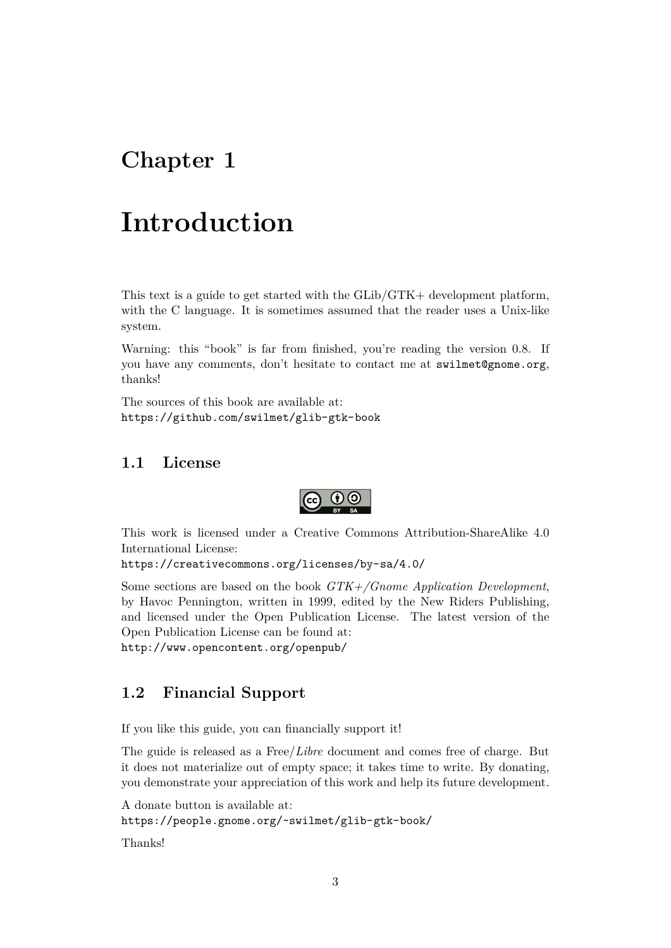# <span id="page-3-0"></span>**Chapter 1**

# **Introduction**

This text is a guide to get started with the GLib/GTK+ development platform, with the C language. It is sometimes assumed that the reader uses a Unix-like system.

Warning: this "book" is far from finished, you're reading the version 0.8. If you have any comments, don't hesitate to contact me at <swilmet@gnome.org>, thanks!

The sources of this book are available at: <https://github.com/swilmet/glib-gtk-book>

## <span id="page-3-1"></span>**1.1 License**



This work is licensed under a Creative Commons Attribution-ShareAlike 4.0 International License:

<https://creativecommons.org/licenses/by-sa/4.0/>

Some sections are based on the book *GTK+/Gnome Application Development*, by Havoc Pennington, written in 1999, edited by the New Riders Publishing, and licensed under the Open Publication License. The latest version of the Open Publication License can be found at:

<http://www.opencontent.org/openpub/>

## <span id="page-3-2"></span>**1.2 Financial Support**

If you like this guide, you can financially support it!

The guide is released as a Free/*Libre* document and comes free of charge. But it does not materialize out of empty space; it takes time to write. By donating, you demonstrate your appreciation of this work and help its future development.

```
A donate button is available at:
https://people.gnome.org/~swilmet/glib-gtk-book/
```
Thanks!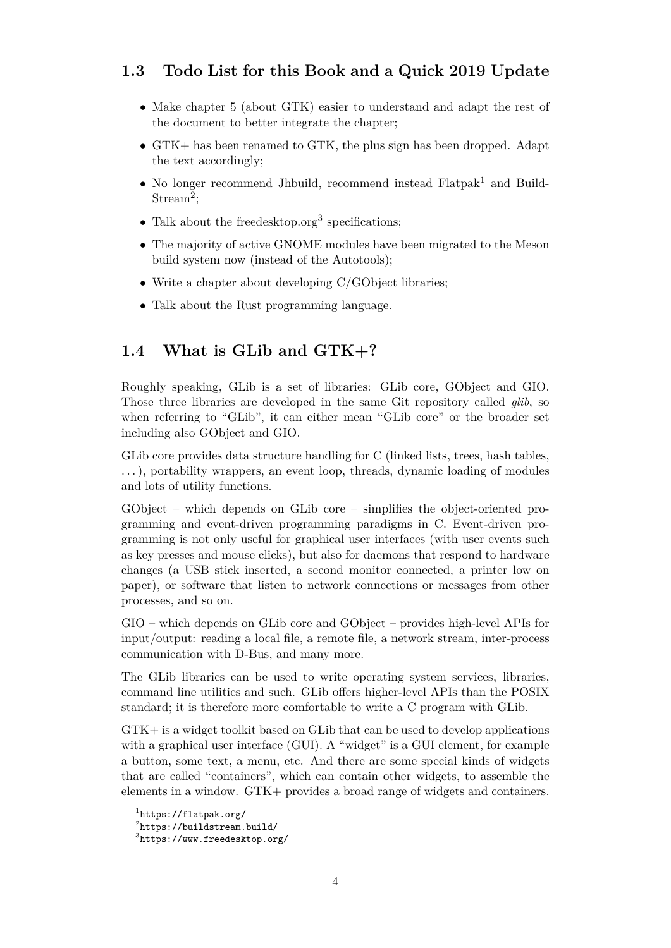# <span id="page-4-0"></span>**1.3 Todo List for this Book and a Quick 2019 Update**

- Make chapter [5](#page-60-0) (about GTK) easier to understand and adapt the rest of the document to better integrate the chapter;
- GTK+ has been renamed to GTK, the plus sign has been dropped. Adapt the text accordingly;
- No longer recommend Jhbuild, recommend instead  $\text{Flatpak}^1$  $\text{Flatpak}^1$  and Build-Stream<sup>[2](#page-4-3)</sup>;
- Talk about the freedesktop.org<sup>[3](#page-4-4)</sup> specifications;
- The majority of active GNOME modules have been migrated to the Meson build system now (instead of the Autotools);
- Write a chapter about developing C/GObject libraries;
- Talk about the Rust programming language.

## <span id="page-4-1"></span>**1.4 What is GLib and GTK+?**

Roughly speaking, GLib is a set of libraries: GLib core, GObject and GIO. Those three libraries are developed in the same Git repository called *glib*, so when referring to "GLib", it can either mean "GLib core" or the broader set including also GObject and GIO.

GLib core provides data structure handling for C (linked lists, trees, hash tables, . . . ), portability wrappers, an event loop, threads, dynamic loading of modules and lots of utility functions.

GObject – which depends on GLib core – simplifies the object-oriented programming and event-driven programming paradigms in C. Event-driven programming is not only useful for graphical user interfaces (with user events such as key presses and mouse clicks), but also for daemons that respond to hardware changes (a USB stick inserted, a second monitor connected, a printer low on paper), or software that listen to network connections or messages from other processes, and so on.

GIO – which depends on GLib core and GObject – provides high-level APIs for input/output: reading a local file, a remote file, a network stream, inter-process communication with D-Bus, and many more.

The GLib libraries can be used to write operating system services, libraries, command line utilities and such. GLib offers higher-level APIs than the POSIX standard; it is therefore more comfortable to write a C program with GLib.

GTK+ is a widget toolkit based on GLib that can be used to develop applications with a graphical user interface (GUI). A "widget" is a GUI element, for example a button, some text, a menu, etc. And there are some special kinds of widgets that are called "containers", which can contain other widgets, to assemble the elements in a window. GTK+ provides a broad range of widgets and containers.

<span id="page-4-2"></span><sup>1</sup> <https://flatpak.org/>

<span id="page-4-3"></span> $^{2}$ <https://buildstream.build/>

<span id="page-4-4"></span> $^3$ <https://www.freedesktop.org/>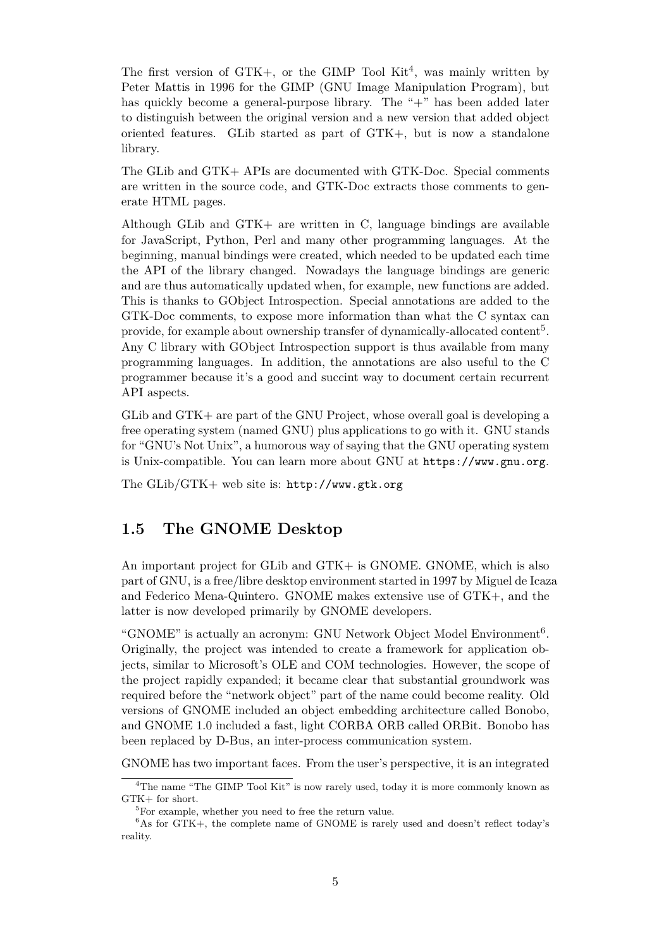The first version of  $GTK<sub>+</sub>$ , or the GIMP Tool  $Kit<sup>4</sup>$  $Kit<sup>4</sup>$  $Kit<sup>4</sup>$ , was mainly written by Peter Mattis in 1996 for the GIMP (GNU Image Manipulation Program), but has quickly become a general-purpose library. The "+" has been added later to distinguish between the original version and a new version that added object oriented features. GLib started as part of GTK+, but is now a standalone library.

The GLib and GTK+ APIs are documented with GTK-Doc. Special comments are written in the source code, and GTK-Doc extracts those comments to generate HTML pages.

Although GLib and GTK+ are written in C, language bindings are available for JavaScript, Python, Perl and many other programming languages. At the beginning, manual bindings were created, which needed to be updated each time the API of the library changed. Nowadays the language bindings are generic and are thus automatically updated when, for example, new functions are added. This is thanks to GObject Introspection. Special annotations are added to the GTK-Doc comments, to expose more information than what the C syntax can provide, for example about ownership transfer of dynamically-allocated content<sup>[5](#page-5-2)</sup>. Any C library with GObject Introspection support is thus available from many programming languages. In addition, the annotations are also useful to the C programmer because it's a good and succint way to document certain recurrent API aspects.

GLib and GTK+ are part of the GNU Project, whose overall goal is developing a free operating system (named GNU) plus applications to go with it. GNU stands for "GNU's Not Unix", a humorous way of saying that the GNU operating system is Unix-compatible. You can learn more about GNU at <https://www.gnu.org>.

The GLib/GTK+ web site is: <http://www.gtk.org>

## <span id="page-5-0"></span>**1.5 The GNOME Desktop**

An important project for GLib and GTK+ is GNOME. GNOME, which is also part of GNU, is a free/libre desktop environment started in 1997 by Miguel de Icaza and Federico Mena-Quintero. GNOME makes extensive use of GTK+, and the latter is now developed primarily by GNOME developers.

"GNOME" is actually an acronym: GNU Network Object Model Environment<sup>[6](#page-5-3)</sup>. Originally, the project was intended to create a framework for application objects, similar to Microsoft's OLE and COM technologies. However, the scope of the project rapidly expanded; it became clear that substantial groundwork was required before the "network object" part of the name could become reality. Old versions of GNOME included an object embedding architecture called Bonobo, and GNOME 1.0 included a fast, light CORBA ORB called ORBit. Bonobo has been replaced by D-Bus, an inter-process communication system.

GNOME has two important faces. From the user's perspective, it is an integrated

<span id="page-5-1"></span><sup>&</sup>lt;sup>4</sup>The name "The GIMP Tool Kit" is now rarely used, today it is more commonly known as  $GTK+$  for short.

<span id="page-5-3"></span><span id="page-5-2"></span><sup>&</sup>lt;sup>5</sup>For example, whether you need to free the return value.

 $6$ As for GTK+, the complete name of GNOME is rarely used and doesn't reflect today's reality.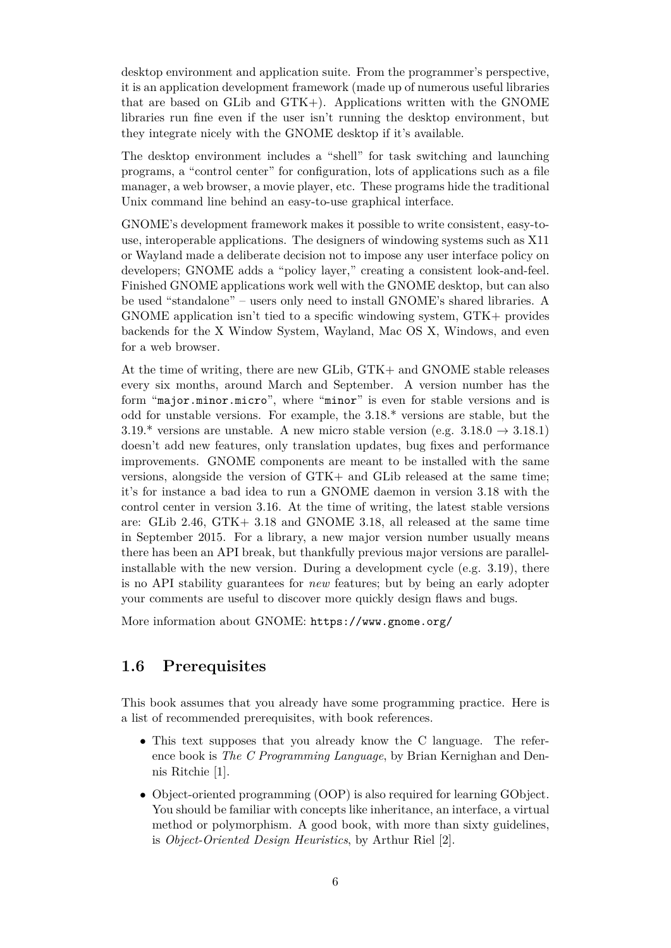desktop environment and application suite. From the programmer's perspective, it is an application development framework (made up of numerous useful libraries that are based on GLib and GTK+). Applications written with the GNOME libraries run fine even if the user isn't running the desktop environment, but they integrate nicely with the GNOME desktop if it's available.

The desktop environment includes a "shell" for task switching and launching programs, a "control center" for configuration, lots of applications such as a file manager, a web browser, a movie player, etc. These programs hide the traditional Unix command line behind an easy-to-use graphical interface.

GNOME's development framework makes it possible to write consistent, easy-touse, interoperable applications. The designers of windowing systems such as X11 or Wayland made a deliberate decision not to impose any user interface policy on developers; GNOME adds a "policy layer," creating a consistent look-and-feel. Finished GNOME applications work well with the GNOME desktop, but can also be used "standalone" – users only need to install GNOME's shared libraries. A GNOME application isn't tied to a specific windowing system, GTK+ provides backends for the X Window System, Wayland, Mac OS X, Windows, and even for a web browser.

At the time of writing, there are new GLib, GTK+ and GNOME stable releases every six months, around March and September. A version number has the form "major.minor.micro", where "minor" is even for stable versions and is odd for unstable versions. For example, the 3.18.\* versions are stable, but the 3.19.\* versions are unstable. A new micro stable version (e.g.  $3.18.0 \rightarrow 3.18.1$ ) doesn't add new features, only translation updates, bug fixes and performance improvements. GNOME components are meant to be installed with the same versions, alongside the version of GTK+ and GLib released at the same time; it's for instance a bad idea to run a GNOME daemon in version 3.18 with the control center in version 3.16. At the time of writing, the latest stable versions are: GLib 2.46, GTK+ 3.18 and GNOME 3.18, all released at the same time in September 2015. For a library, a new major version number usually means there has been an API break, but thankfully previous major versions are parallelinstallable with the new version. During a development cycle (e.g. 3.19), there is no API stability guarantees for *new* features; but by being an early adopter your comments are useful to discover more quickly design flaws and bugs.

More information about GNOME: <https://www.gnome.org/>

## <span id="page-6-0"></span>**1.6 Prerequisites**

This book assumes that you already have some programming practice. Here is a list of recommended prerequisites, with book references.

- This text supposes that you already know the C language. The reference book is *The C Programming Language*, by Brian Kernighan and Dennis Ritchie [\[1\]](#page-70-1).
- Object-oriented programming (OOP) is also required for learning GObject. You should be familiar with concepts like inheritance, an interface, a virtual method or polymorphism. A good book, with more than sixty guidelines, is *Object-Oriented Design Heuristics*, by Arthur Riel [\[2\]](#page-70-2).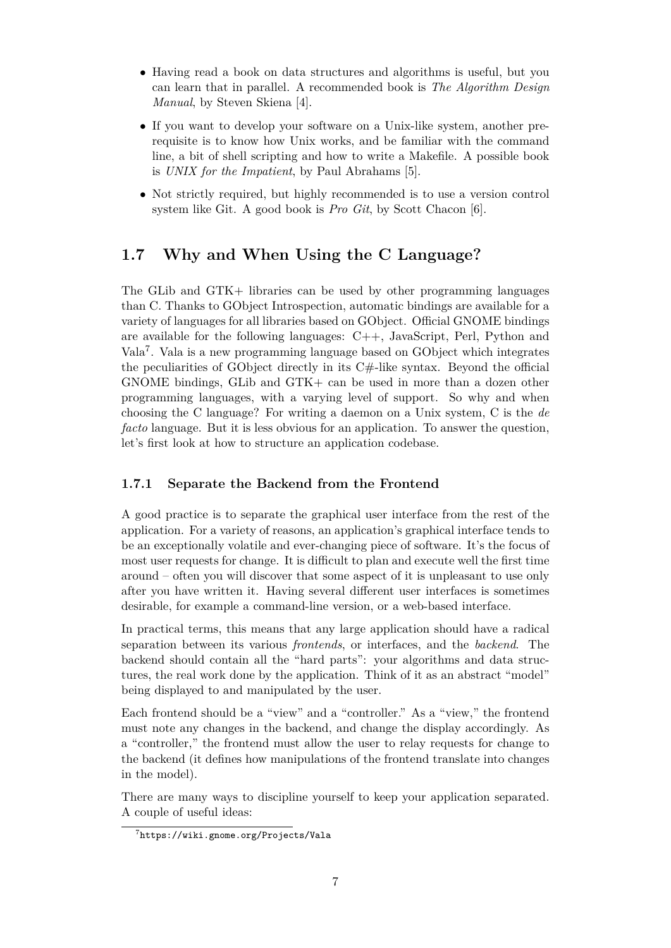- Having read a book on data structures and algorithms is useful, but you can learn that in parallel. A recommended book is *The Algorithm Design Manual*, by Steven Skiena [\[4\]](#page-70-3).
- If you want to develop your software on a Unix-like system, another prerequisite is to know how Unix works, and be familiar with the command line, a bit of shell scripting and how to write a Makefile. A possible book is *UNIX for the Impatient*, by Paul Abrahams [\[5\]](#page-70-4).
- Not strictly required, but highly recommended is to use a version control system like Git. A good book is *Pro Git*, by Scott Chacon [\[6\]](#page-70-5).

# <span id="page-7-0"></span>**1.7 Why and When Using the C Language?**

The GLib and GTK+ libraries can be used by other programming languages than C. Thanks to GObject Introspection, automatic bindings are available for a variety of languages for all libraries based on GObject. Official GNOME bindings are available for the following languages: C++, JavaScript, Perl, Python and Vala[7](#page-7-2) . Vala is a new programming language based on GObject which integrates the peculiarities of GObject directly in its C#-like syntax. Beyond the official GNOME bindings, GLib and GTK+ can be used in more than a dozen other programming languages, with a varying level of support. So why and when choosing the C language? For writing a daemon on a Unix system, C is the *de facto* language. But it is less obvious for an application. To answer the question, let's first look at how to structure an application codebase.

## <span id="page-7-1"></span>**1.7.1 Separate the Backend from the Frontend**

A good practice is to separate the graphical user interface from the rest of the application. For a variety of reasons, an application's graphical interface tends to be an exceptionally volatile and ever-changing piece of software. It's the focus of most user requests for change. It is difficult to plan and execute well the first time around – often you will discover that some aspect of it is unpleasant to use only after you have written it. Having several different user interfaces is sometimes desirable, for example a command-line version, or a web-based interface.

In practical terms, this means that any large application should have a radical separation between its various *frontends*, or interfaces, and the *backend*. The backend should contain all the "hard parts": your algorithms and data structures, the real work done by the application. Think of it as an abstract "model" being displayed to and manipulated by the user.

Each frontend should be a "view" and a "controller." As a "view," the frontend must note any changes in the backend, and change the display accordingly. As a "controller," the frontend must allow the user to relay requests for change to the backend (it defines how manipulations of the frontend translate into changes in the model).

There are many ways to discipline yourself to keep your application separated. A couple of useful ideas:

<span id="page-7-2"></span><sup>7</sup> <https://wiki.gnome.org/Projects/Vala>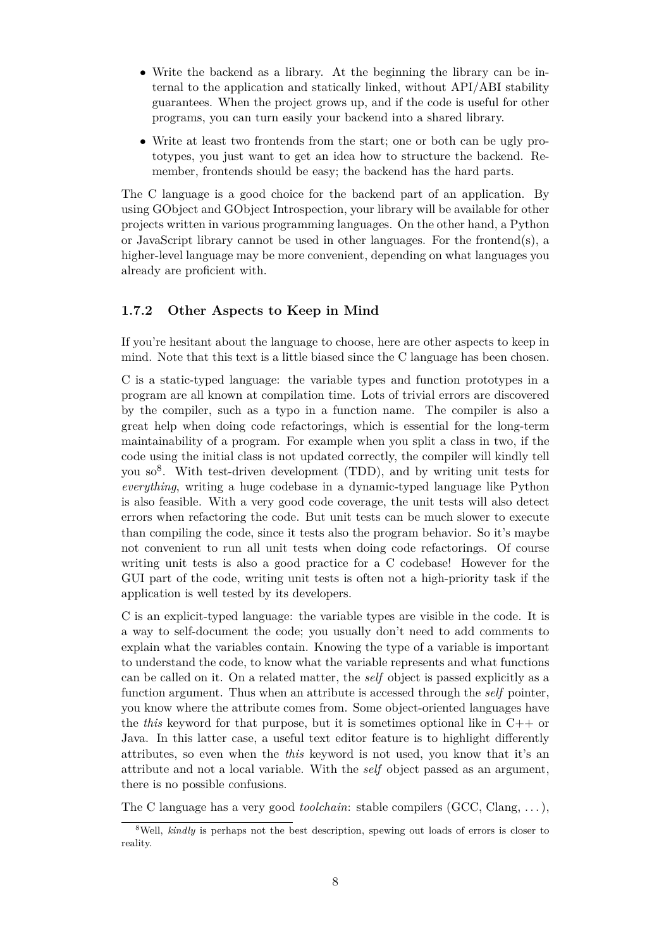- Write the backend as a library. At the beginning the library can be internal to the application and statically linked, without API/ABI stability guarantees. When the project grows up, and if the code is useful for other programs, you can turn easily your backend into a shared library.
- Write at least two frontends from the start; one or both can be ugly prototypes, you just want to get an idea how to structure the backend. Remember, frontends should be easy; the backend has the hard parts.

The C language is a good choice for the backend part of an application. By using GObject and GObject Introspection, your library will be available for other projects written in various programming languages. On the other hand, a Python or JavaScript library cannot be used in other languages. For the frontend(s), a higher-level language may be more convenient, depending on what languages you already are proficient with.

#### <span id="page-8-0"></span>**1.7.2 Other Aspects to Keep in Mind**

If you're hesitant about the language to choose, here are other aspects to keep in mind. Note that this text is a little biased since the C language has been chosen.

C is a static-typed language: the variable types and function prototypes in a program are all known at compilation time. Lots of trivial errors are discovered by the compiler, such as a typo in a function name. The compiler is also a great help when doing code refactorings, which is essential for the long-term maintainability of a program. For example when you split a class in two, if the code using the initial class is not updated correctly, the compiler will kindly tell you so<sup>[8](#page-8-1)</sup>. With test-driven development (TDD), and by writing unit tests for *everything*, writing a huge codebase in a dynamic-typed language like Python is also feasible. With a very good code coverage, the unit tests will also detect errors when refactoring the code. But unit tests can be much slower to execute than compiling the code, since it tests also the program behavior. So it's maybe not convenient to run all unit tests when doing code refactorings. Of course writing unit tests is also a good practice for a C codebase! However for the GUI part of the code, writing unit tests is often not a high-priority task if the application is well tested by its developers.

C is an explicit-typed language: the variable types are visible in the code. It is a way to self-document the code; you usually don't need to add comments to explain what the variables contain. Knowing the type of a variable is important to understand the code, to know what the variable represents and what functions can be called on it. On a related matter, the *self* object is passed explicitly as a function argument. Thus when an attribute is accessed through the *self* pointer, you know where the attribute comes from. Some object-oriented languages have the *this* keyword for that purpose, but it is sometimes optional like in C++ or Java. In this latter case, a useful text editor feature is to highlight differently attributes, so even when the *this* keyword is not used, you know that it's an attribute and not a local variable. With the *self* object passed as an argument, there is no possible confusions.

The C language has a very good *toolchain*: stable compilers (GCC, Clang, . . . ),

<span id="page-8-1"></span><sup>&</sup>lt;sup>8</sup>Well, *kindly* is perhaps not the best description, spewing out loads of errors is closer to reality.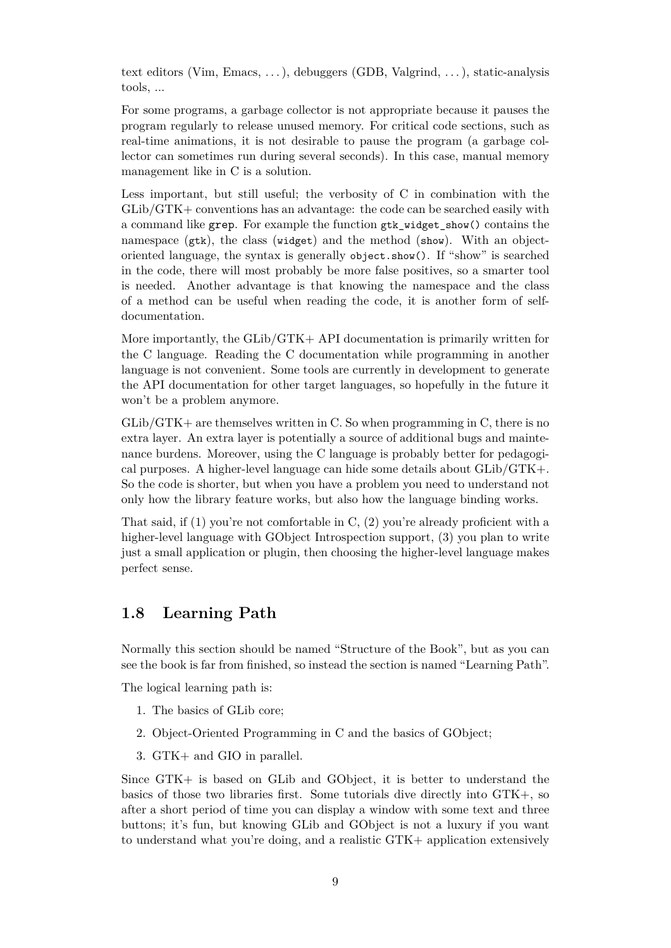text editors (Vim, Emacs, . . . ), debuggers (GDB, Valgrind, . . . ), static-analysis tools, ...

For some programs, a garbage collector is not appropriate because it pauses the program regularly to release unused memory. For critical code sections, such as real-time animations, it is not desirable to pause the program (a garbage collector can sometimes run during several seconds). In this case, manual memory management like in C is a solution.

Less important, but still useful; the verbosity of C in combination with the GLib/GTK+ conventions has an advantage: the code can be searched easily with a command like grep. For example the function gtk\_widget\_show() contains the namespace (gtk), the class (widget) and the method (show). With an objectoriented language, the syntax is generally object.show(). If "show" is searched in the code, there will most probably be more false positives, so a smarter tool is needed. Another advantage is that knowing the namespace and the class of a method can be useful when reading the code, it is another form of selfdocumentation.

More importantly, the GLib/GTK+ API documentation is primarily written for the C language. Reading the C documentation while programming in another language is not convenient. Some tools are currently in development to generate the API documentation for other target languages, so hopefully in the future it won't be a problem anymore.

GLib/GTK+ are themselves written in C. So when programming in C, there is no extra layer. An extra layer is potentially a source of additional bugs and maintenance burdens. Moreover, using the C language is probably better for pedagogical purposes. A higher-level language can hide some details about GLib/GTK+. So the code is shorter, but when you have a problem you need to understand not only how the library feature works, but also how the language binding works.

That said, if (1) you're not comfortable in C, (2) you're already proficient with a higher-level language with GObject Introspection support, (3) you plan to write just a small application or plugin, then choosing the higher-level language makes perfect sense.

### <span id="page-9-0"></span>**1.8 Learning Path**

Normally this section should be named "Structure of the Book", but as you can see the book is far from finished, so instead the section is named "Learning Path".

The logical learning path is:

- 1. The basics of GLib core;
- 2. Object-Oriented Programming in C and the basics of GObject;
- 3. GTK+ and GIO in parallel.

Since GTK+ is based on GLib and GObject, it is better to understand the basics of those two libraries first. Some tutorials dive directly into GTK+, so after a short period of time you can display a window with some text and three buttons; it's fun, but knowing GLib and GObject is not a luxury if you want to understand what you're doing, and a realistic GTK+ application extensively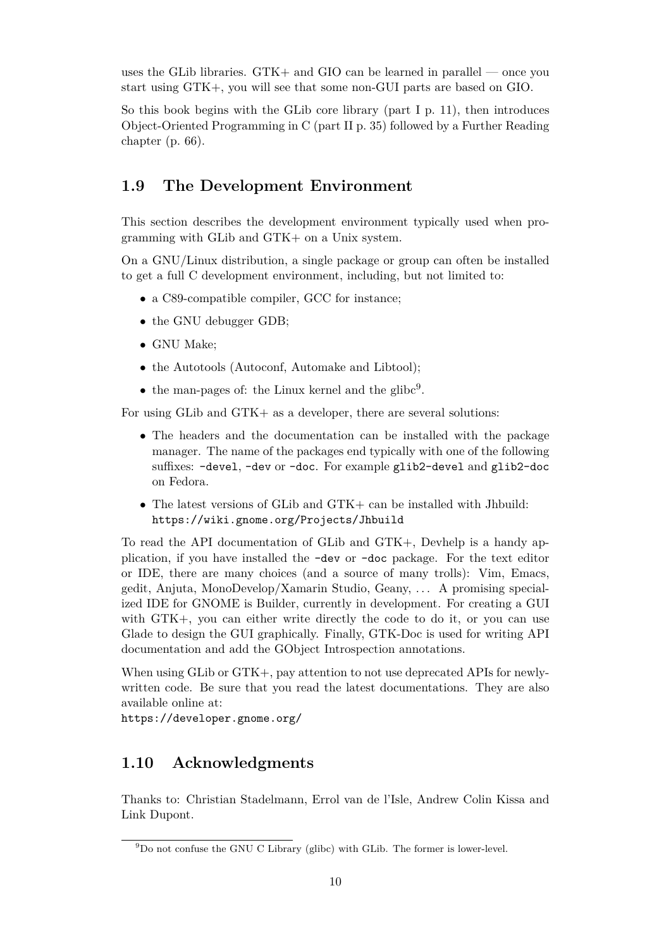uses the GLib libraries. GTK+ and GIO can be learned in parallel — once you start using GTK+, you will see that some non-GUI parts are based on GIO.

So this book begins with the GLib core library (part [I](#page-11-0) p. [11\)](#page-11-0), then introduces Object-Oriented Programming in C (part [II](#page-35-0) p. [35\)](#page-35-0) followed by a Further Reading chapter (p. [66\)](#page-66-0).

### <span id="page-10-0"></span>**1.9 The Development Environment**

This section describes the development environment typically used when programming with GLib and GTK+ on a Unix system.

On a GNU/Linux distribution, a single package or group can often be installed to get a full C development environment, including, but not limited to:

- a C89-compatible compiler, GCC for instance;
- the GNU debugger GDB;
- GNU Make;
- the Autotools (Autoconf, Automake and Libtool);
- the man-pages of: the Linux kernel and the glibc<sup>[9](#page-10-2)</sup>.

For using GLib and GTK+ as a developer, there are several solutions:

- The headers and the documentation can be installed with the package manager. The name of the packages end typically with one of the following suffixes: -devel, -dev or -doc. For example glib2-devel and glib2-doc on Fedora.
- The latest versions of GLib and GTK+ can be installed with Jhbuild: <https://wiki.gnome.org/Projects/Jhbuild>

To read the API documentation of GLib and GTK+, Devhelp is a handy application, if you have installed the -dev or -doc package. For the text editor or IDE, there are many choices (and a source of many trolls): Vim, Emacs, gedit, Anjuta, MonoDevelop/Xamarin Studio, Geany, . . . A promising specialized IDE for GNOME is Builder, currently in development. For creating a GUI with GTK+, you can either write directly the code to do it, or you can use Glade to design the GUI graphically. Finally, GTK-Doc is used for writing API documentation and add the GObject Introspection annotations.

When using GLib or GTK+, pay attention to not use deprecated APIs for newlywritten code. Be sure that you read the latest documentations. They are also available online at:

<https://developer.gnome.org/>

### <span id="page-10-1"></span>**1.10 Acknowledgments**

Thanks to: Christian Stadelmann, Errol van de l'Isle, Andrew Colin Kissa and Link Dupont.

<span id="page-10-2"></span><sup>9</sup>Do not confuse the GNU C Library (glibc) with GLib. The former is lower-level.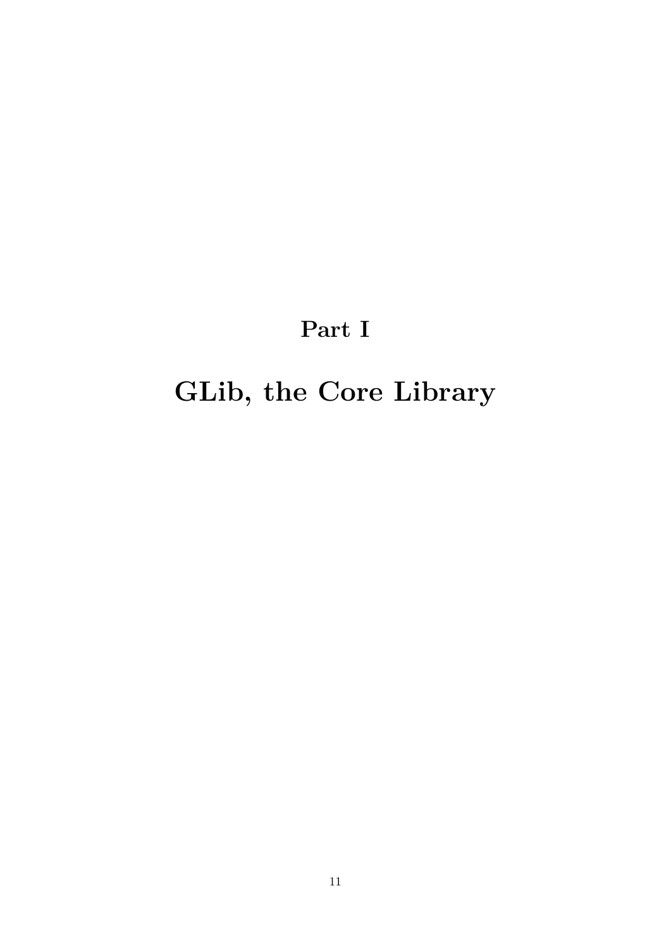# **Part I**

# <span id="page-11-0"></span>**GLib, the Core Library**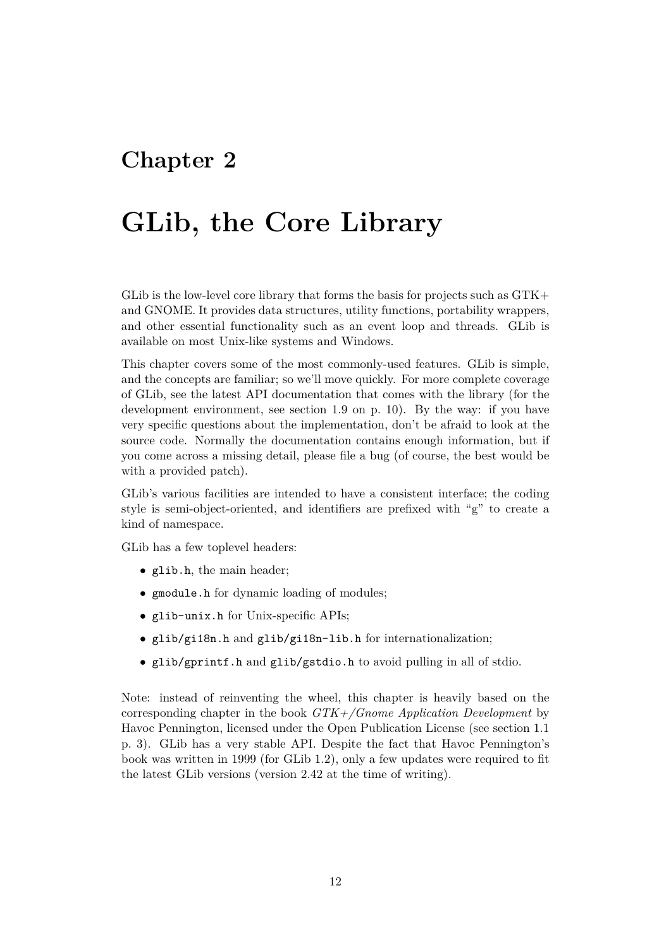# <span id="page-12-0"></span>**Chapter 2**

# **GLib, the Core Library**

GLib is the low-level core library that forms the basis for projects such as GTK+ and GNOME. It provides data structures, utility functions, portability wrappers, and other essential functionality such as an event loop and threads. GLib is available on most Unix-like systems and Windows.

This chapter covers some of the most commonly-used features. GLib is simple, and the concepts are familiar; so we'll move quickly. For more complete coverage of GLib, see the latest API documentation that comes with the library (for the development environment, see section [1.9](#page-10-0) on p. [10\)](#page-10-0). By the way: if you have very specific questions about the implementation, don't be afraid to look at the source code. Normally the documentation contains enough information, but if you come across a missing detail, please file a bug (of course, the best would be with a provided patch).

GLib's various facilities are intended to have a consistent interface; the coding style is semi-object-oriented, and identifiers are prefixed with "g" to create a kind of namespace.

GLib has a few toplevel headers:

- glib.h, the main header;
- gmodule.h for dynamic loading of modules;
- glib-unix.h for Unix-specific APIs;
- glib/gi18n.h and glib/gi18n-lib.h for internationalization;
- glib/gprintf.h and glib/gstdio.h to avoid pulling in all of stdio.

Note: instead of reinventing the wheel, this chapter is heavily based on the corresponding chapter in the book *GTK+/Gnome Application Development* by Havoc Pennington, licensed under the Open Publication License (see section [1.1](#page-3-1) p. [3\)](#page-3-1). GLib has a very stable API. Despite the fact that Havoc Pennington's book was written in 1999 (for GLib 1.2), only a few updates were required to fit the latest GLib versions (version 2.42 at the time of writing).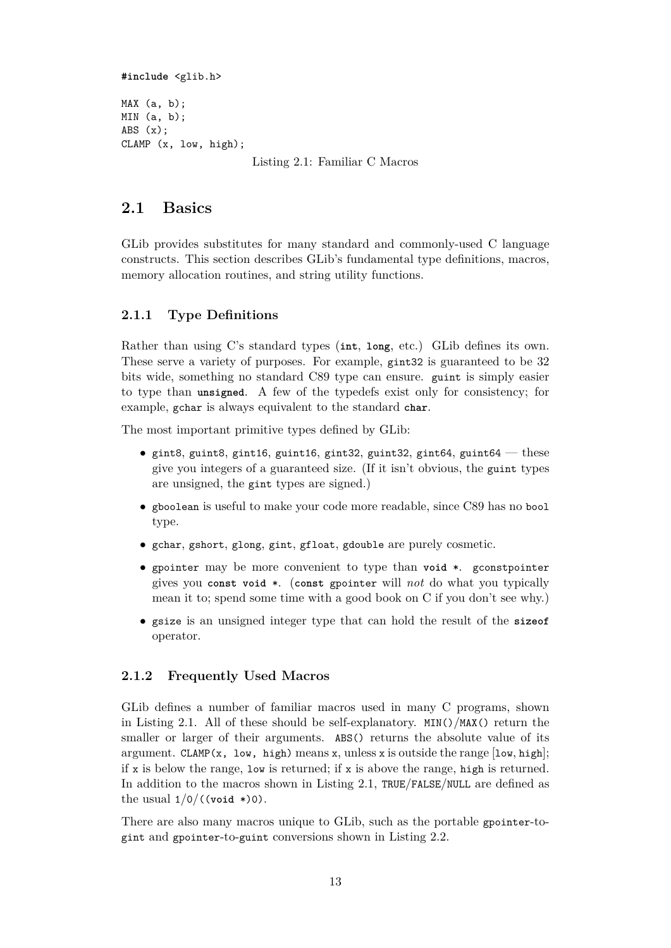<span id="page-13-3"></span>**#include** <glib.h>

MAX (a, b); MIN (a, b); ABS (x); CLAMP (x, low, high);

Listing 2.1: Familiar C Macros

## <span id="page-13-0"></span>**2.1 Basics**

GLib provides substitutes for many standard and commonly-used C language constructs. This section describes GLib's fundamental type definitions, macros, memory allocation routines, and string utility functions.

### <span id="page-13-1"></span>**2.1.1 Type Definitions**

Rather than using C's standard types (**int**, **long**, etc.) GLib defines its own. These serve a variety of purposes. For example, gint32 is guaranteed to be 32 bits wide, something no standard C89 type can ensure. guint is simply easier to type than **unsigned**. A few of the typedefs exist only for consistency; for example, gchar is always equivalent to the standard **char**.

The most important primitive types defined by GLib:

- gint8, guint8, gint16, guint16, gint32, guint32, gint64, guint64 these give you integers of a guaranteed size. (If it isn't obvious, the guint types are unsigned, the gint types are signed.)
- gboolean is useful to make your code more readable, since C89 has no bool type.
- gchar, gshort, glong, gint, gfloat, gdouble are purely cosmetic.
- gpointer may be more convenient to type than **void** \*. gconstpointer gives you **const void** \*. (**const** gpointer will *not* do what you typically mean it to; spend some time with a good book on C if you don't see why.)
- gsize is an unsigned integer type that can hold the result of the **sizeof** operator.

#### <span id="page-13-2"></span>**2.1.2 Frequently Used Macros**

GLib defines a number of familiar macros used in many C programs, shown in Listing [2.1.](#page-13-3) All of these should be self-explanatory.  $MIN()$ /MAX() return the smaller or larger of their arguments. ABS() returns the absolute value of its argument. CLAMP(x, low, high) means x, unless x is outside the range  $[low, high]$ ; if x is below the range, low is returned; if x is above the range, high is returned. In addition to the macros shown in Listing [2.1,](#page-13-3) TRUE/FALSE/NULL are defined as the usual  $1/0/((\text{void }*)0)$ .

There are also many macros unique to GLib, such as the portable gpointer-togint and gpointer-to-guint conversions shown in Listing [2.2.](#page-14-1)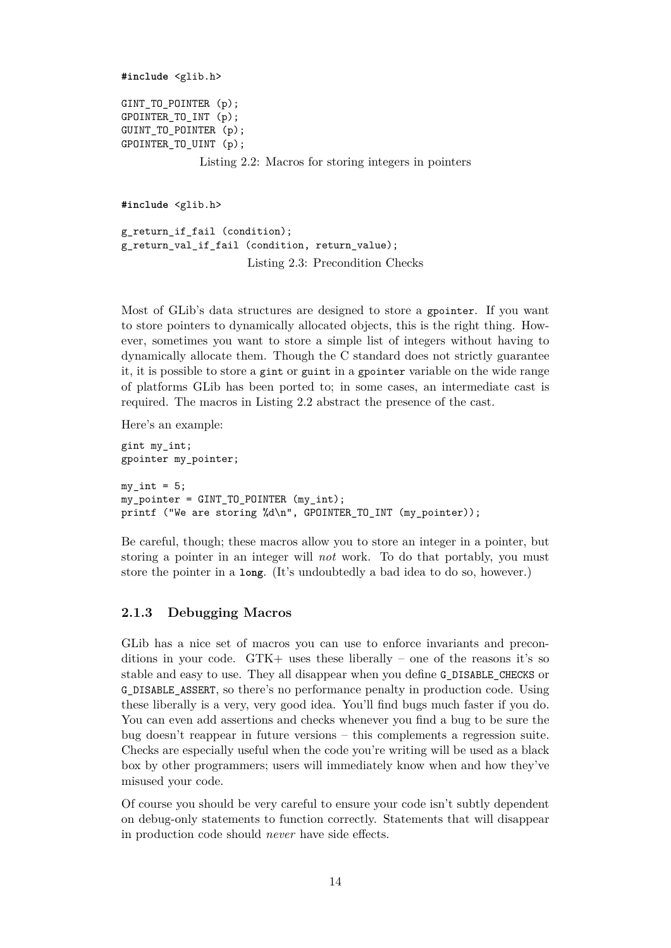<span id="page-14-1"></span>**#include** <glib.h>

GINT\_TO\_POINTER (p); GPOINTER\_TO\_INT (p); GUINT\_TO\_POINTER (p); GPOINTER TO UINT (p);

Listing 2.2: Macros for storing integers in pointers

<span id="page-14-2"></span>**#include** <glib.h>

g\_return\_if\_fail (condition); g\_return\_val\_if\_fail (condition, return\_value); Listing 2.3: Precondition Checks

Most of GLib's data structures are designed to store a gpointer. If you want to store pointers to dynamically allocated objects, this is the right thing. However, sometimes you want to store a simple list of integers without having to dynamically allocate them. Though the C standard does not strictly guarantee it, it is possible to store a gint or guint in a gpointer variable on the wide range of platforms GLib has been ported to; in some cases, an intermediate cast is required. The macros in Listing [2.2](#page-14-1) abstract the presence of the cast.

Here's an example:

gint my\_int; gpointer my\_pointer;  $my\_int = 5;$ my\_pointer = GINT\_TO\_POINTER (my\_int); printf ("We are storing %d\n", GPOINTER\_TO\_INT (my\_pointer));

Be careful, though; these macros allow you to store an integer in a pointer, but storing a pointer in an integer will *not* work. To do that portably, you must store the pointer in a **long**. (It's undoubtedly a bad idea to do so, however.)

#### <span id="page-14-0"></span>**2.1.3 Debugging Macros**

GLib has a nice set of macros you can use to enforce invariants and preconditions in your code.  $GTK+$  uses these liberally – one of the reasons it's so stable and easy to use. They all disappear when you define G\_DISABLE\_CHECKS or G\_DISABLE\_ASSERT, so there's no performance penalty in production code. Using these liberally is a very, very good idea. You'll find bugs much faster if you do. You can even add assertions and checks whenever you find a bug to be sure the bug doesn't reappear in future versions – this complements a regression suite. Checks are especially useful when the code you're writing will be used as a black box by other programmers; users will immediately know when and how they've misused your code.

Of course you should be very careful to ensure your code isn't subtly dependent on debug-only statements to function correctly. Statements that will disappear in production code should *never* have side effects.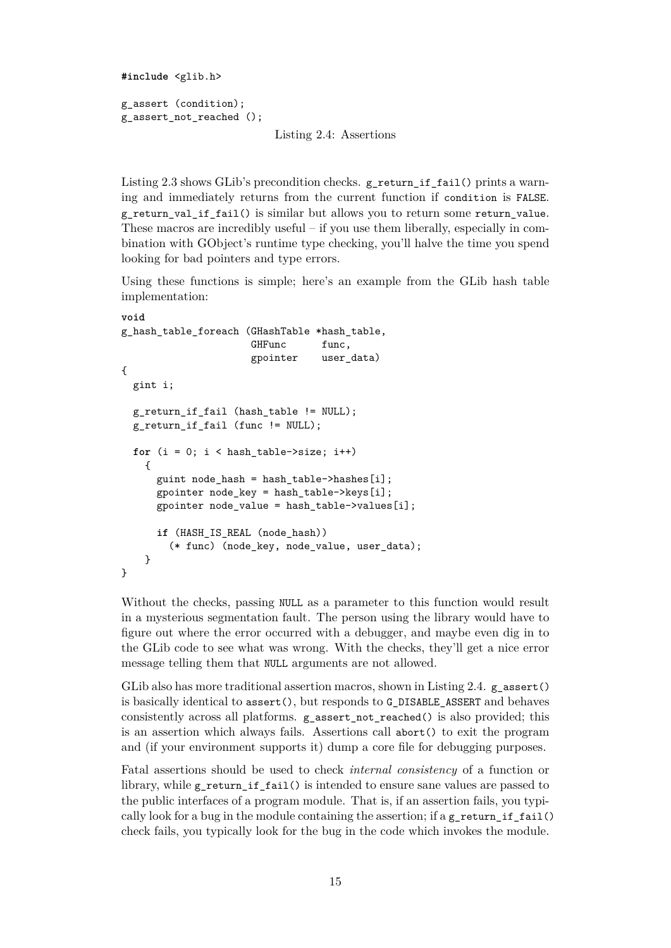```
#include <glib.h>
g_assert (condition);
g_assert_not_reached ();
```
Listing 2.4: Assertions

Listing [2.3](#page-14-2) shows GLib's precondition checks. g\_return\_if\_fail() prints a warning and immediately returns from the current function if condition is FALSE. g\_return\_val\_if\_fail() is similar but allows you to return some return\_value. These macros are incredibly useful – if you use them liberally, especially in combination with GObject's runtime type checking, you'll halve the time you spend looking for bad pointers and type errors.

Using these functions is simple; here's an example from the GLib hash table implementation:

```
void
g_hash_table_foreach (GHashTable *hash_table,
                      GHFunc func,
                      gpointer user_data)
{
 gint i;
 g_return_if_fail (hash_table != NULL);
 g_return_if_fail (func != NULL);
 for (i = 0; i < hash_table->size; i++)
    {
     guint node hash = hash table->hashes[i];
     gpointer node key = hash table->keys[i];
     gpointer node_value = hash_table->values[i];
      if (HASH_IS_REAL (node_hash))
        (* func) (node_key, node_value, user_data);
   }
}
```
Without the checks, passing NULL as a parameter to this function would result in a mysterious segmentation fault. The person using the library would have to figure out where the error occurred with a debugger, and maybe even dig in to the GLib code to see what was wrong. With the checks, they'll get a nice error message telling them that NULL arguments are not allowed.

GLib also has more traditional assertion macros, shown in Listing [2.4.](#page-15-0)  $g$ <sub>assert</sub>() is basically identical to assert(), but responds to G\_DISABLE\_ASSERT and behaves consistently across all platforms. g\_assert\_not\_reached() is also provided; this is an assertion which always fails. Assertions call abort() to exit the program and (if your environment supports it) dump a core file for debugging purposes.

Fatal assertions should be used to check *internal consistency* of a function or library, while g\_return\_if\_fail() is intended to ensure sane values are passed to the public interfaces of a program module. That is, if an assertion fails, you typically look for a bug in the module containing the assertion; if a  $g$ <sub>return</sub> if fail() check fails, you typically look for the bug in the code which invokes the module.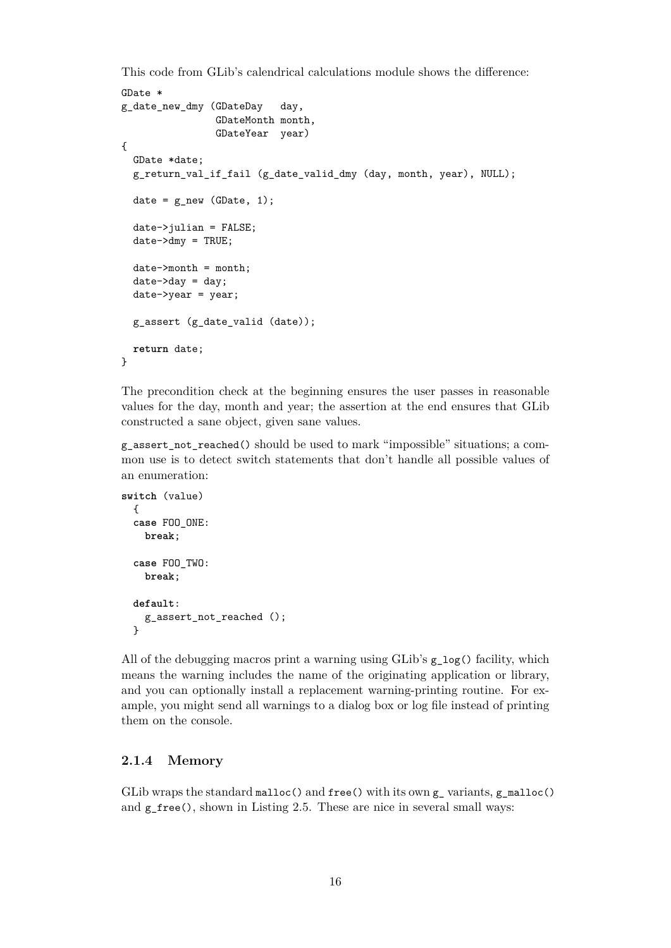This code from GLib's calendrical calculations module shows the difference:

```
GDate *
g_date_new_dmy (GDateDay day,
                GDateMonth month,
                GDateYear year)
{
 GDate *date;
 g_return_val_if_fail (g_date_valid_dmy (day, month, year), NULL);
 date = g_new (GDate, 1);date->julian = FALSE;
 date->dmy = TRUE;
 date->month = month;
 date->day = day:
 date->year = year;
 g_assert (g_date_valid (date));
 return date;
}
```
The precondition check at the beginning ensures the user passes in reasonable values for the day, month and year; the assertion at the end ensures that GLib constructed a sane object, given sane values.

g\_assert\_not\_reached() should be used to mark "impossible" situations; a common use is to detect switch statements that don't handle all possible values of an enumeration:

```
switch (value)
  {
 case FOO_ONE:
   break;
 case FOO_TWO:
   break;
 default:
    g_assert_not_reached ();
 }
```
All of the debugging macros print a warning using  $GLib$ 's  $g \log()$  facility, which means the warning includes the name of the originating application or library, and you can optionally install a replacement warning-printing routine. For example, you might send all warnings to a dialog box or log file instead of printing them on the console.

#### <span id="page-16-0"></span>**2.1.4 Memory**

GLib wraps the standard malloc() and free() with its own g\_ variants, g\_malloc() and  $g$ <sub>free</sub>(), shown in Listing [2.5.](#page-17-0) These are nice in several small ways: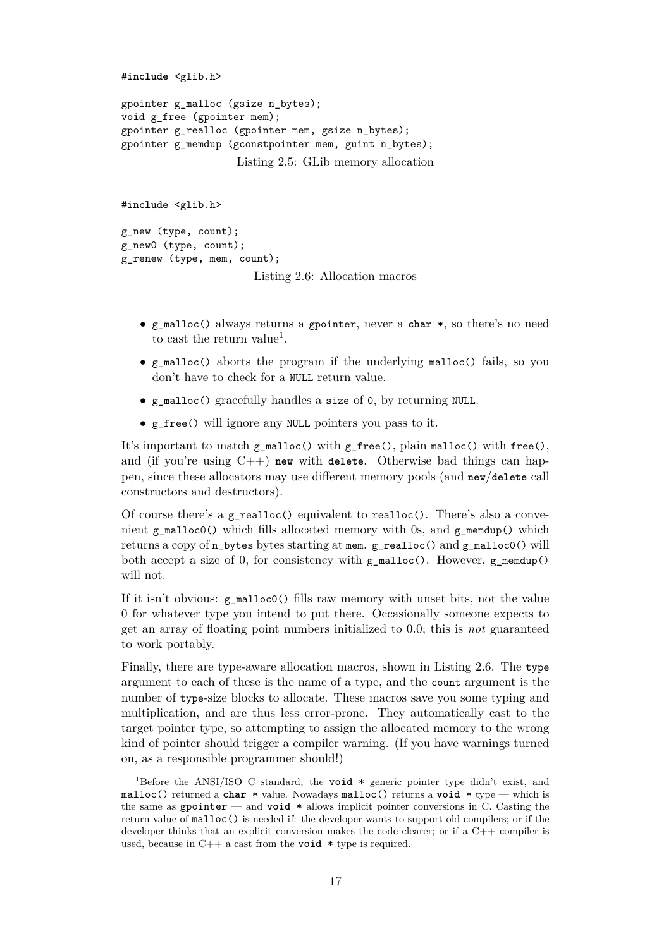```
#include <glib.h>
gpointer g_malloc (gsize n_bytes);
void g_free (gpointer mem);
gpointer g_realloc (gpointer mem, gsize n_bytes);
gpointer g_memdup (gconstpointer mem, guint n bytes);
                   Listing 2.5: GLib memory allocation
```

```
#include <glib.h>
g_new (type, count);
g_new0 (type, count);
g_renew (type, mem, count);
                       Listing 2.6: Allocation macros
```
- g\_malloc() always returns a gpointer, never a **char** \*, so there's no need to cast the return value<sup>[1](#page-17-1)</sup>.
- g\_malloc() aborts the program if the underlying malloc() fails, so you don't have to check for a NULL return value.
- g\_malloc() gracefully handles a size of 0, by returning NULL.
- g\_free() will ignore any NULL pointers you pass to it.

It's important to match g\_malloc() with g\_free(), plain malloc() with free(), and (if you're using C++) **new** with **delete**. Otherwise bad things can happen, since these allocators may use different memory pools (and **new**/**delete** call constructors and destructors).

Of course there's a g realloc() equivalent to realloc(). There's also a convenient g\_malloc0() which fills allocated memory with 0s, and g\_memdup() which returns a copy of n\_bytes bytes starting at mem. g\_realloc() and g\_malloc0() will both accept a size of 0, for consistency with  $g$ \_malloc(). However,  $g$ \_memdup() will not.

If it isn't obvious: g\_malloc0() fills raw memory with unset bits, not the value 0 for whatever type you intend to put there. Occasionally someone expects to get an array of floating point numbers initialized to 0.0; this is *not* guaranteed to work portably.

Finally, there are type-aware allocation macros, shown in Listing [2.6.](#page-17-2) The type argument to each of these is the name of a type, and the count argument is the number of type-size blocks to allocate. These macros save you some typing and multiplication, and are thus less error-prone. They automatically cast to the target pointer type, so attempting to assign the allocated memory to the wrong kind of pointer should trigger a compiler warning. (If you have warnings turned on, as a responsible programmer should!)

<span id="page-17-1"></span><sup>1</sup>Before the ANSI/ISO C standard, the **void** \* generic pointer type didn't exist, and malloc() returned a **char** \* value. Nowadays malloc() returns a **void** \* type — which is the same as gpointer — and **void** \* allows implicit pointer conversions in C. Casting the return value of malloc() is needed if: the developer wants to support old compilers; or if the developer thinks that an explicit conversion makes the code clearer; or if a C++ compiler is used, because in C++ a cast from the **void** \* type is required.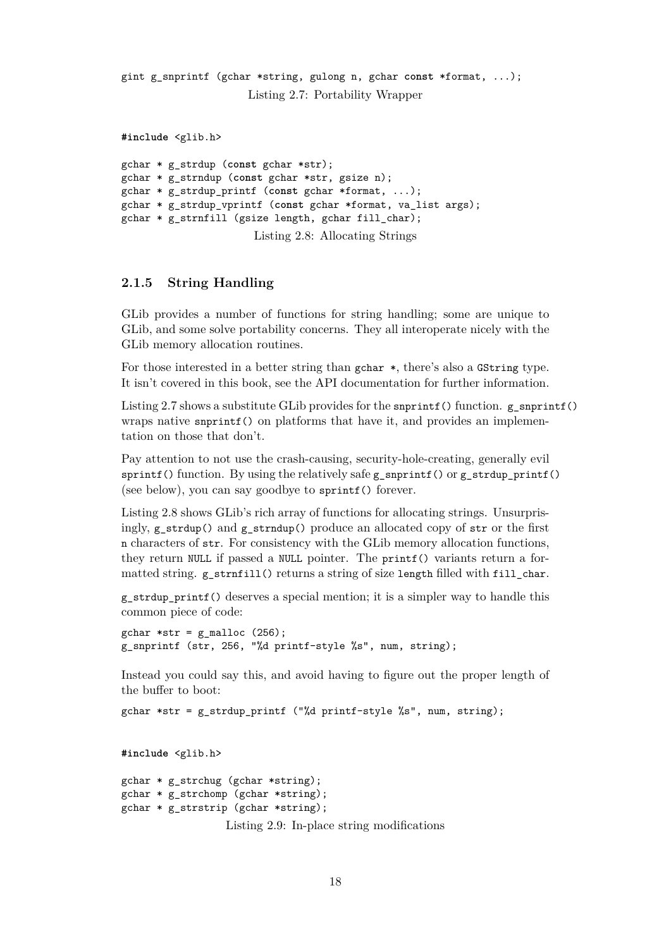```
gint g_snprintf (gchar *string, gulong n, gchar const *format, ...);
                      Listing 2.7: Portability Wrapper
```
<span id="page-18-2"></span>**#include** <glib.h>

```
gchar * g_strdup (const gchar *str);
gchar * g_strndup (const gchar *str, gsize n);
gchar * g_strdup_printf (const gchar *format, ...);
gchar * g_strdup_vprintf (const gchar *format, va_list args);
gchar * g_strnfill (gsize length, gchar fill_char);
                      Listing 2.8: Allocating Strings
```
#### <span id="page-18-0"></span>**2.1.5 String Handling**

GLib provides a number of functions for string handling; some are unique to GLib, and some solve portability concerns. They all interoperate nicely with the GLib memory allocation routines.

For those interested in a better string than gchar \*, there's also a GString type. It isn't covered in this book, see the API documentation for further information.

Listing [2.7](#page-18-1) shows a substitute GLib provides for the snprintf() function.  $g$  snprintf() wraps native snprintf() on platforms that have it, and provides an implementation on those that don't.

Pay attention to not use the crash-causing, security-hole-creating, generally evil sprintf() function. By using the relatively safe  $g$ \_snprintf() or  $g$ \_strdup\_printf() (see below), you can say goodbye to sprintf() forever.

Listing [2.8](#page-18-2) shows GLib's rich array of functions for allocating strings. Unsurprisingly,  $g_{\text{1}}$  strdup() and  $g_{\text{1}}$  strndup() produce an allocated copy of str or the first n characters of str. For consistency with the GLib memory allocation functions, they return NULL if passed a NULL pointer. The printf() variants return a formatted string. g\_strnfill() returns a string of size length filled with fill\_char.

 $g_{\text{c}}$  strdup printf() deserves a special mention; it is a simpler way to handle this common piece of code:

```
gchar *str = g_{m}alloc (256);
g_snprintf (str, 256, "%d printf-style %s", num, string);
```
Instead you could say this, and avoid having to figure out the proper length of the buffer to boot:

gchar \*str = g strdup printf ("%d printf-style %s", num, string);

<span id="page-18-3"></span>**#include** <glib.h>

```
gchar * g_strchug (gchar *string);
gchar * g_strchomp (gchar *string);
gchar * g_strstrip (gchar *string);
                  Listing 2.9: In-place string modifications
```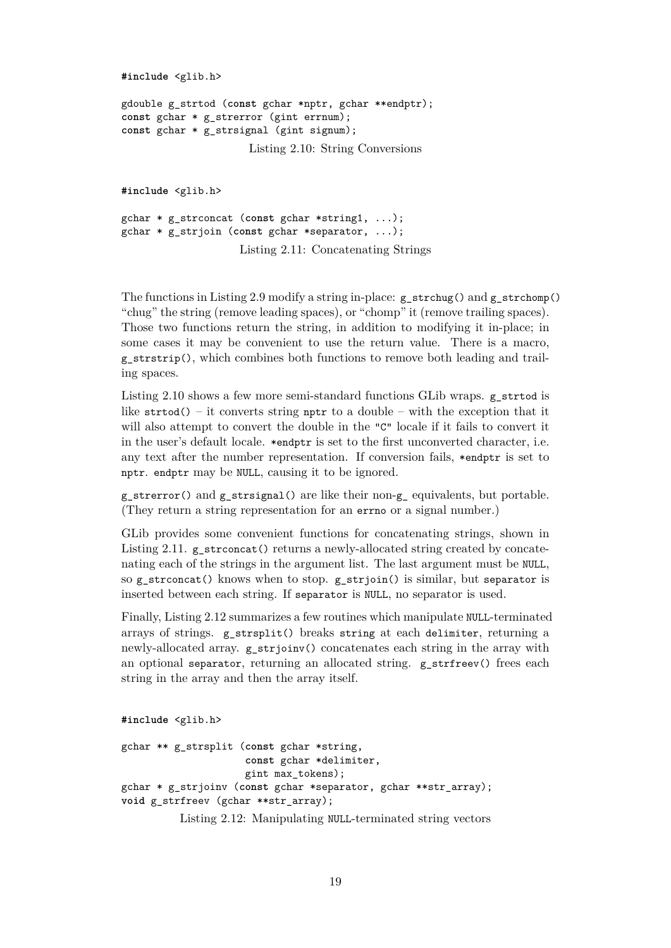```
#include <glib.h>
gdouble g_strtod (const gchar *nptr, gchar **endptr);
const gchar * g_strerror (gint errnum);
const gchar * g_strsignal (gint signum);
                      Listing 2.10: String Conversions
#include <glib.h>
```

```
gchar * g_strconcat (const gchar *string1, ...);
gchar * g_strjoin (const gchar *separator, ...);
                    Listing 2.11: Concatenating Strings
```
The functions in Listing [2.9](#page-18-3) modify a string in-place:  $g$  strchug() and  $g$  strchomp() "chug" the string (remove leading spaces), or "chomp" it (remove trailing spaces). Those two functions return the string, in addition to modifying it in-place; in some cases it may be convenient to use the return value. There is a macro, g\_strstrip(), which combines both functions to remove both leading and trailing spaces.

Listing [2.10](#page-19-0) shows a few more semi-standard functions GLib wraps. g\_strtod is like  $str\text{total}() - \text{it converts string *nptr* to a double - with the exception that it$ will also attempt to convert the double in the "C" locale if it fails to convert it in the user's default locale. \*endptr is set to the first unconverted character, i.e. any text after the number representation. If conversion fails, \*endptr is set to nptr. endptr may be NULL, causing it to be ignored.

 $g_{\text{c}}$  strerror() and  $g_{\text{c}}$  strsignal() are like their non- $g_{\text{c}}$  equivalents, but portable. (They return a string representation for an errno or a signal number.)

GLib provides some convenient functions for concatenating strings, shown in Listing [2.11.](#page-19-1)  $g$  strconcat() returns a newly-allocated string created by concatenating each of the strings in the argument list. The last argument must be NULL, so  $g_{\text{a}}$  strconcat() knows when to stop.  $g_{\text{a}}$  strjoin() is similar, but separator is inserted between each string. If separator is NULL, no separator is used.

Finally, Listing [2.12](#page-19-2) summarizes a few routines which manipulate NULL-terminated arrays of strings. g\_strsplit() breaks string at each delimiter, returning a newly-allocated array. g\_strjoinv() concatenates each string in the array with an optional separator, returning an allocated string. g strfreev() frees each string in the array and then the array itself.

```
#include <glib.h>
```

```
gchar ** g_strsplit (const gchar *string,
                     const gchar *delimiter,
                     gint max_tokens);
gchar * g_strjoinv (const gchar *separator, gchar **str_array);
void g_strfreev (gchar **str_array);
```
Listing 2.12: Manipulating NULL-terminated string vectors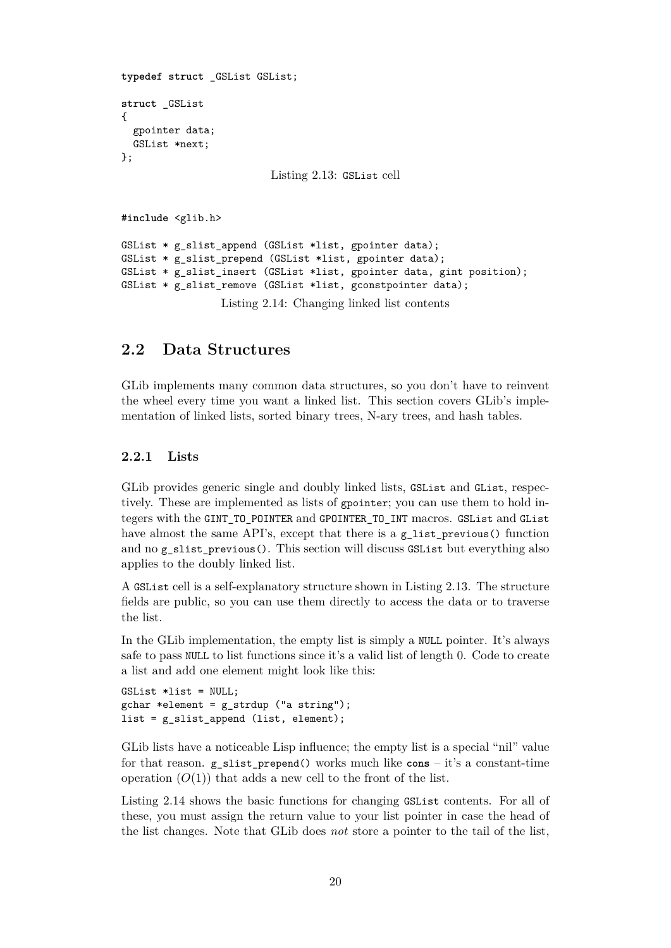```
typedef struct _GSList GSList;
struct _GSList
{
 gpointer data;
 GSList *next;
};
                          Listing 2.13: GSList cell
#include <glib.h>
GSList * g slist append (GSList *list, gpointer data);
GSList * g_slist_prepend (GSList *list, gpointer data);
GSList * g_slist_insert (GSList *list, gpointer data, gint position);
GSList * g_slist_remove (GSList *list, gconstpointer data);
                 Listing 2.14: Changing linked list contents
```
#### <span id="page-20-3"></span><span id="page-20-0"></span>**2.2 Data Structures**

GLib implements many common data structures, so you don't have to reinvent the wheel every time you want a linked list. This section covers GLib's implementation of linked lists, sorted binary trees, N-ary trees, and hash tables.

#### <span id="page-20-1"></span>**2.2.1 Lists**

GLib provides generic single and doubly linked lists, GSList and GList, respectively. These are implemented as lists of gpointer; you can use them to hold integers with the GINT\_TO\_POINTER and GPOINTER\_TO\_INT macros. GSList and GList have almost the same API's, except that there is a g\_list\_previous() function and no g\_slist\_previous(). This section will discuss GSList but everything also applies to the doubly linked list.

A GSList cell is a self-explanatory structure shown in Listing [2.13.](#page-20-2) The structure fields are public, so you can use them directly to access the data or to traverse the list.

In the GLib implementation, the empty list is simply a NULL pointer. It's always safe to pass NULL to list functions since it's a valid list of length 0. Code to create a list and add one element might look like this:

```
GSList *list = NULL;
gchar * element = g_strdup ("a string");list = g_slist_append (list, element);
```
GLib lists have a noticeable Lisp influence; the empty list is a special "nil" value for that reason. g\_slist\_prepend() works much like **cons** – it's a constant-time operation  $(O(1))$  that adds a new cell to the front of the list.

Listing [2.14](#page-20-3) shows the basic functions for changing GSList contents. For all of these, you must assign the return value to your list pointer in case the head of the list changes. Note that GLib does *not* store a pointer to the tail of the list,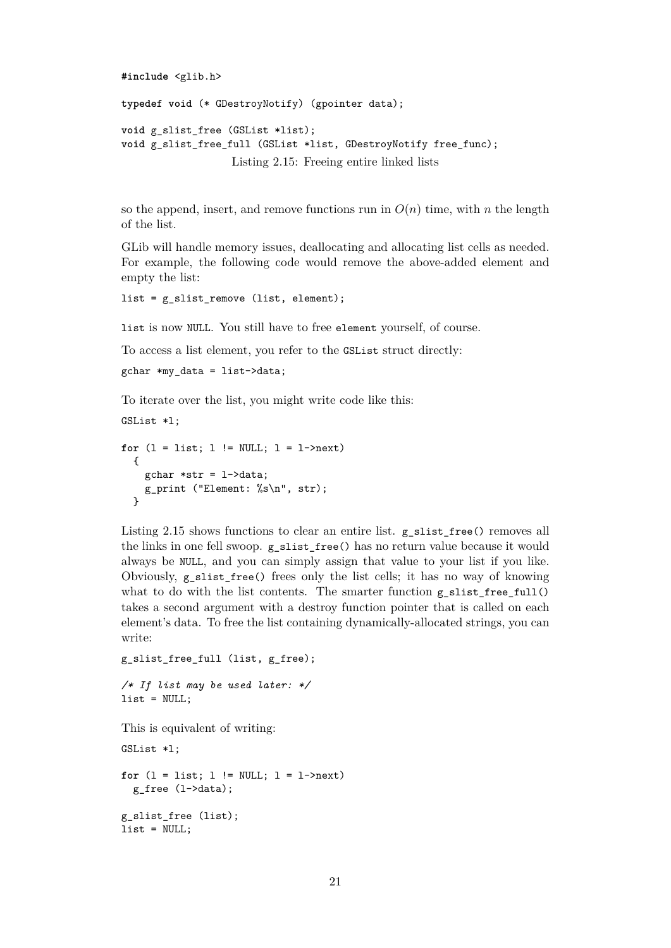```
#include <glib.h>
```

```
typedef void (* GDestroyNotify) (gpointer data);
void g_slist_free (GSList *list);
void g_slist_free_full (GSList *list, GDestroyNotify free_func);
                   Listing 2.15: Freeing entire linked lists
```
so the append, insert, and remove functions run in  $O(n)$  time, with *n* the length of the list.

GLib will handle memory issues, deallocating and allocating list cells as needed. For example, the following code would remove the above-added element and empty the list:

```
list = g_slist_remove (list, element);
```
list is now NULL. You still have to free element yourself, of course.

To access a list element, you refer to the GSList struct directly:

```
gchar *my_data = list->data;
```
To iterate over the list, you might write code like this:

```
GSList *l;
for (1 = list; 1 != NULL; 1 = 1->next){
   gchar *str = l->data;
   g_print ("Element: %s\n", str);
 }
```
Listing [2.15](#page-21-0) shows functions to clear an entire list. g\_slist\_free() removes all the links in one fell swoop. g\_slist\_free() has no return value because it would always be NULL, and you can simply assign that value to your list if you like. Obviously, g\_slist\_free() frees only the list cells; it has no way of knowing what to do with the list contents. The smarter function  $g_s$  slist\_free\_full() takes a second argument with a destroy function pointer that is called on each element's data. To free the list containing dynamically-allocated strings, you can write:

```
g_slist_free_full (list, g_free);
```

```
/* If list may be used later: */
list = NULL;
```
This is equivalent of writing:

```
GSList *l;
for (1 = list; 1 != NULL; 1 = 1->next)g_free (l->data);
g_slist_free (list);
list = NULL;
```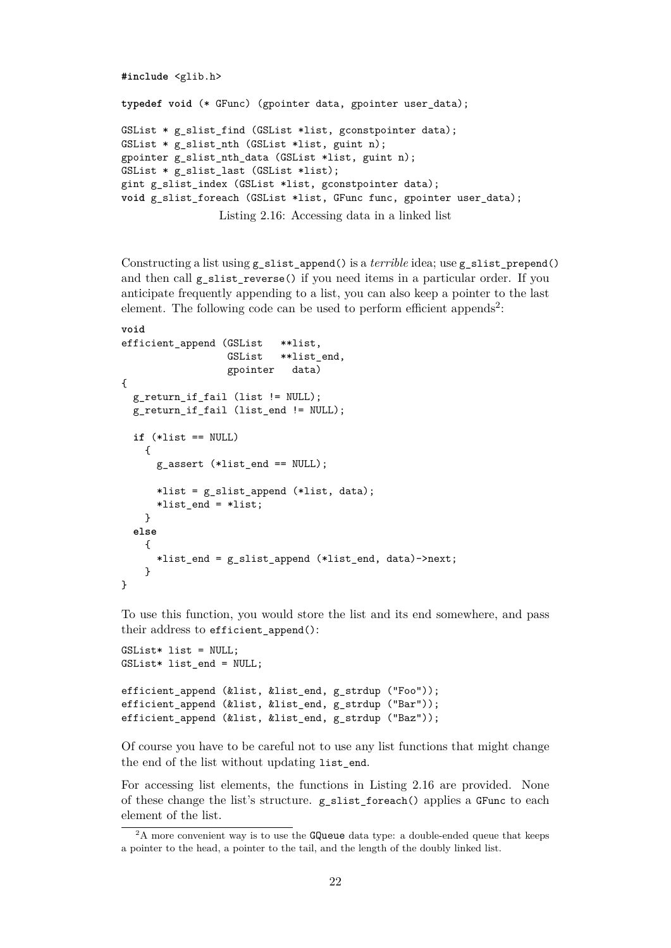```
#include <glib.h>
typedef void (* GFunc) (gpointer data, gpointer user_data);
GSList * g_slist_find (GSList *list, gconstpointer data);
GSList * g slist nth (GSList *list, guint n);
gpointer g slist nth data (GSList *list, guint n);
GSList * g slist last (GSList *list);
gint g_slist_index (GSList *list, gconstpointer data);
void g_slist_foreach (GSList *list, GFunc func, gpointer user data);
                Listing 2.16: Accessing data in a linked list
```

```
Constructing a list using g_slist_append() is a terrible idea; use g_slist_prepend()
and then call g slist reverse() if you need items in a particular order. If you
anticipate frequently appending to a list, you can also keep a pointer to the last
2</sup>:
```

```
void
efficient append (GSList **list,
                  GSList **list end,
                  gpointer data)
{
 g_return_if_fail (list != NULL);
 g_return_if_fail (list_end != NULL);
 if (*list == NULL)
   {
     g_assert (*list_end == NULL);
     *list = g_slist_append (*list, data);
      *list_end = *list;
   }
  else
   {
     *list_end = g_slist_append (*list_end, data)->next;
   }
}
```
To use this function, you would store the list and its end somewhere, and pass their address to efficient\_append():

```
GSList* list = NULL;
GSList* list end = NULL;
efficient append (&list, &list end, g_strdup ("Foo"));
efficient append (&list, &list end, g_strdup ("Bar"));
efficient append (&list, &list end, g_strdup ("Baz"));
```
Of course you have to be careful not to use any list functions that might change the end of the list without updating list\_end.

For accessing list elements, the functions in Listing [2.16](#page-22-1) are provided. None of these change the list's structure. g\_slist\_foreach() applies a GFunc to each element of the list.

<span id="page-22-0"></span><sup>&</sup>lt;sup>2</sup>A more convenient way is to use the GQueue data type: a double-ended queue that keeps a pointer to the head, a pointer to the tail, and the length of the doubly linked list.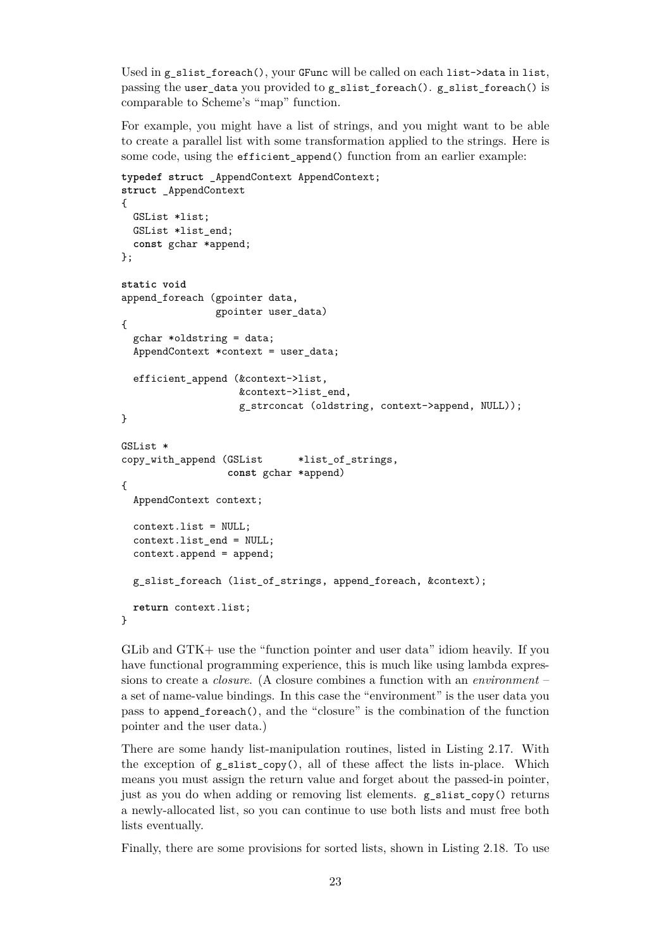Used in g\_slist\_foreach(), your GFunc will be called on each list- $>$ data in list, passing the user\_data you provided to g\_slist\_foreach(). g\_slist\_foreach() is comparable to Scheme's "map" function.

For example, you might have a list of strings, and you might want to be able to create a parallel list with some transformation applied to the strings. Here is some code, using the efficient\_append() function from an earlier example:

```
typedef struct _AppendContext AppendContext;
struct _AppendContext
{
 GSList *list;
 GSList *list end;
 const gchar *append;
};
static void
append_foreach (gpointer data,
                gpointer user_data)
{
 gchar *oldstring = data;
 AppendContext *context = user_data;
  efficient_append (&context->list,
                    &context->list_end,
                    g_strconcat (oldstring, context->append, NULL));
}
GSList *
copy_with_append (GSList *list_of_strings,
                  const gchar *append)
{
  AppendContext context;
 context.list = NULL;
 context.list end = NULL;
 context.append = append;
 g_slist_foreach (list_of_strings, append_foreach, &context);
 return context.list;
}
```
GLib and GTK+ use the "function pointer and user data" idiom heavily. If you have functional programming experience, this is much like using lambda expressions to create a *closure*. (A closure combines a function with an *environment* – a set of name-value bindings. In this case the "environment" is the user data you pass to append\_foreach(), and the "closure" is the combination of the function pointer and the user data.)

There are some handy list-manipulation routines, listed in Listing [2.17.](#page-24-1) With the exception of  $g$ -slist\_copy(), all of these affect the lists in-place. Which means you must assign the return value and forget about the passed-in pointer, just as you do when adding or removing list elements.  $g$  slist  $copy()$  returns a newly-allocated list, so you can continue to use both lists and must free both lists eventually.

Finally, there are some provisions for sorted lists, shown in Listing [2.18.](#page-24-2) To use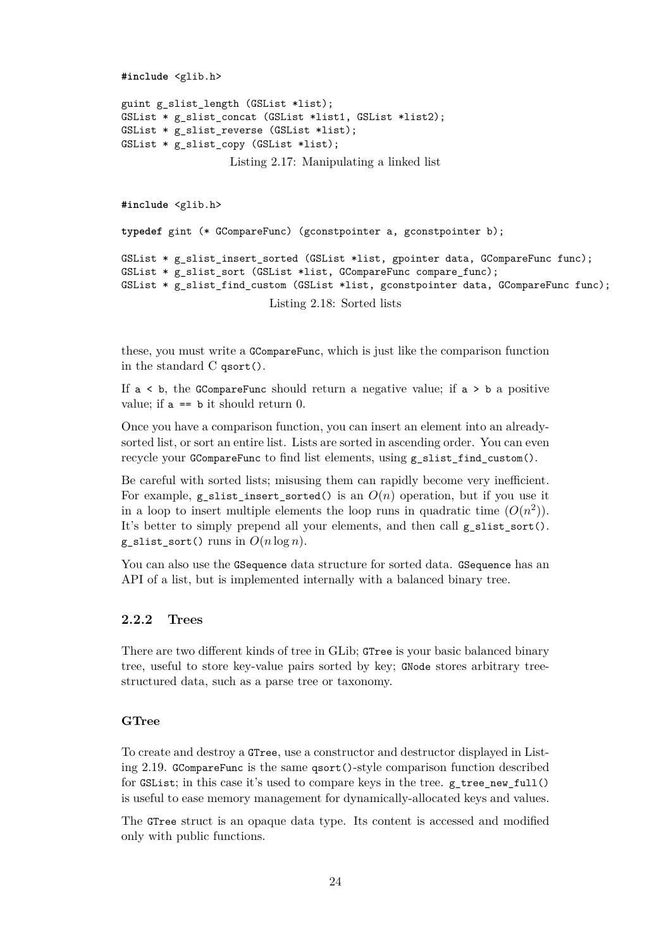```
#include <glib.h>
```

```
guint g_slist_length (GSList *list);
GSList * g_slist_concat (GSList *list1, GSList *list2);
GSList * g_slist_reverse (GSList *list);
GSList * g_slist_copy (GSList *list);
```
Listing 2.17: Manipulating a linked list

```
#include <glib.h>
typedef gint (* GCompareFunc) (gconstpointer a, gconstpointer b);
GSList * g_slist_insert_sorted (GSList *list, gpointer data, GCompareFunc func);
GSList * g_slist_sort (GSList *list, GCompareFunc compare_func);
GSList * g_slist_find_custom (GSList *list, gconstpointer data, GCompareFunc func);
                         Listing 2.18: Sorted lists
```
these, you must write a GCompareFunc, which is just like the comparison function in the standard C qsort().

If  $a \leq b$ , the GCompareFunc should return a negative value; if  $a \geq b$  a positive value; if  $a == b$  it should return 0.

Once you have a comparison function, you can insert an element into an alreadysorted list, or sort an entire list. Lists are sorted in ascending order. You can even recycle your GCompareFunc to find list elements, using g\_slist\_find\_custom().

Be careful with sorted lists; misusing them can rapidly become very inefficient. For example,  $g$  slist\_insert\_sorted() is an  $O(n)$  operation, but if you use it in a loop to insert multiple elements the loop runs in quadratic time  $(O(n^2))$ . It's better to simply prepend all your elements, and then call g\_slist\_sort(). g\_slist\_sort() runs in  $O(n \log n)$ .

You can also use the GSequence data structure for sorted data. GSequence has an API of a list, but is implemented internally with a balanced binary tree.

#### <span id="page-24-0"></span>**2.2.2 Trees**

There are two different kinds of tree in GLib; GTree is your basic balanced binary tree, useful to store key-value pairs sorted by key; GNode stores arbitrary treestructured data, such as a parse tree or taxonomy.

#### **GTree**

To create and destroy a GTree, use a constructor and destructor displayed in Listing [2.19.](#page-25-0) GCompareFunc is the same qsort()-style comparison function described for  $GSList$ ; in this case it's used to compare keys in the tree. g\_tree\_new\_full() is useful to ease memory management for dynamically-allocated keys and values.

The GTree struct is an opaque data type. Its content is accessed and modified only with public functions.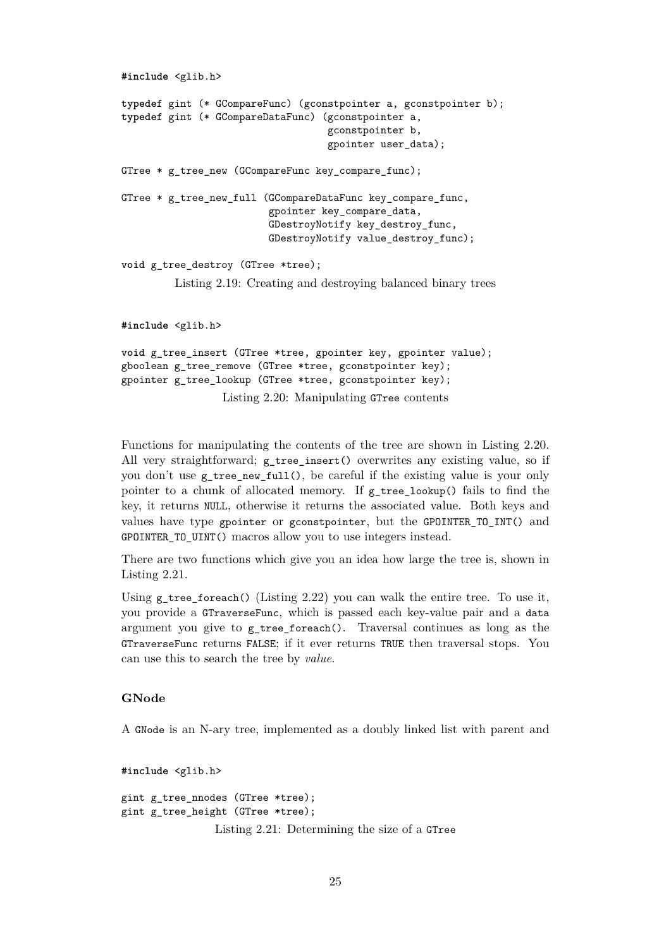```
#include <glib.h>
typedef gint (* GCompareFunc) (gconstpointer a, gconstpointer b);
typedef gint (* GCompareDataFunc) (gconstpointer a,
                                   gconstpointer b,
                                   gpointer user_data);
GTree * g tree new (GCompareFunc key compare func);
GTree * g tree new full (GCompareDataFunc key compare func,
                         gpointer key_compare_data,
                         GDestroyNotify key_destroy_func,
                         GDestroyNotify value_destroy_func);
void g_tree_destroy (GTree *tree);
         Listing 2.19: Creating and destroying balanced binary trees
#include <glib.h>
void g_tree_insert (GTree *tree, gpointer key, gpointer value);
gboolean g_tree_remove (GTree *tree, gconstpointer key);
```
<span id="page-25-1"></span>gpointer g\_tree\_lookup (GTree \*tree, gconstpointer key);

Functions for manipulating the contents of the tree are shown in Listing [2.20.](#page-25-1) All very straightforward; g\_tree\_insert() overwrites any existing value, so if you don't use g\_tree\_new\_full(), be careful if the existing value is your only pointer to a chunk of allocated memory. If g\_tree\_lookup() fails to find the key, it returns NULL, otherwise it returns the associated value. Both keys and values have type gpointer or gconstpointer, but the GPOINTER\_TO\_INT() and GPOINTER\_TO\_UINT() macros allow you to use integers instead.

Listing 2.20: Manipulating GTree contents

There are two functions which give you an idea how large the tree is, shown in Listing [2.21.](#page-25-2)

Using  $g$ \_tree\_foreach() (Listing [2.22\)](#page-26-0) you can walk the entire tree. To use it, you provide a GTraverseFunc, which is passed each key-value pair and a data argument you give to g\_tree\_foreach(). Traversal continues as long as the GTraverseFunc returns FALSE; if it ever returns TRUE then traversal stops. You can use this to search the tree by *value*.

#### **GNode**

A GNode is an N-ary tree, implemented as a doubly linked list with parent and

<span id="page-25-2"></span>**#include** <glib.h> gint g\_tree\_nnodes (GTree \*tree); gint g\_tree\_height (GTree \*tree); Listing 2.21: Determining the size of a GTree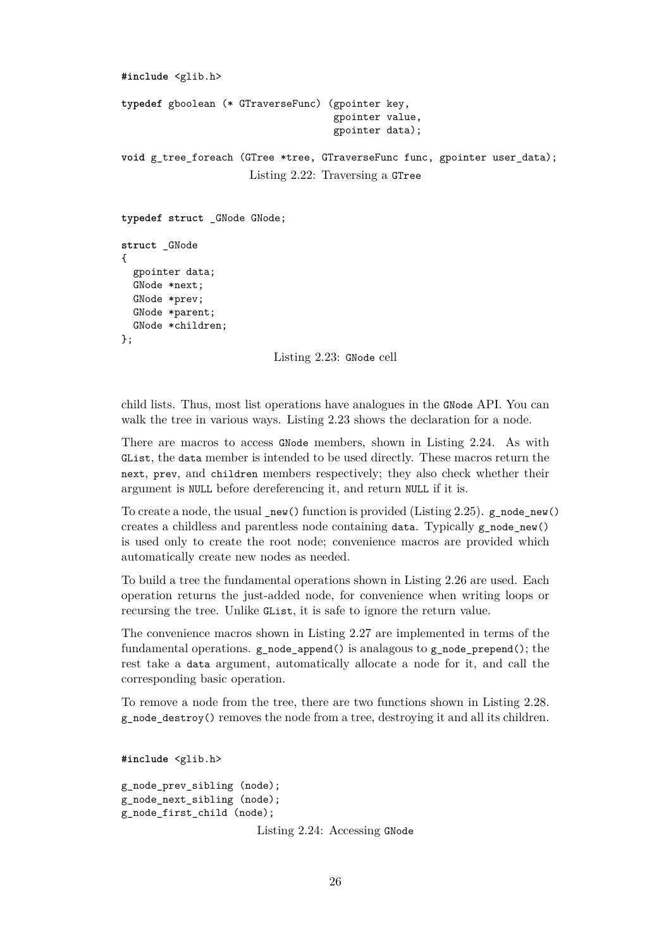```
#include <glib.h>
typedef gboolean (* GTraverseFunc) (gpointer key,
                                     gpointer value,
                                     gpointer data);
void g tree foreach (GTree *tree, GTraverseFunc func, gpointer user data);
                      Listing 2.22: Traversing a GTree
typedef struct _GNode GNode;
struct _GNode
{
 gpointer data;
 GNode *next;
 GNode *prev;
 GNode *parent;
 GNode *children;
```

```
};
```
Listing 2.23: GNode cell

child lists. Thus, most list operations have analogues in the GNode API. You can walk the tree in various ways. Listing [2.23](#page-26-1) shows the declaration for a node.

There are macros to access GNode members, shown in Listing [2.24.](#page-26-2) As with GList, the data member is intended to be used directly. These macros return the next, prev, and children members respectively; they also check whether their argument is NULL before dereferencing it, and return NULL if it is.

To create a node, the usual  $\mathbf{new}()$  function is provided (Listing [2.25\)](#page-27-0). g\_node\_new() creates a childless and parentless node containing data. Typically  $g$  node new() is used only to create the root node; convenience macros are provided which automatically create new nodes as needed.

To build a tree the fundamental operations shown in Listing [2.26](#page-27-1) are used. Each operation returns the just-added node, for convenience when writing loops or recursing the tree. Unlike GList, it is safe to ignore the return value.

The convenience macros shown in Listing [2.27](#page-27-2) are implemented in terms of the fundamental operations.  $g$  node append() is analagous to  $g$  node prepend(); the rest take a data argument, automatically allocate a node for it, and call the corresponding basic operation.

To remove a node from the tree, there are two functions shown in Listing [2.28.](#page-27-3) g\_node\_destroy() removes the node from a tree, destroying it and all its children.

<span id="page-26-2"></span>**#include** <glib.h>

```
g_node_prev_sibling (node);
g_node_next_sibling (node);
g_node_first_child (node);
```
Listing 2.24: Accessing GNode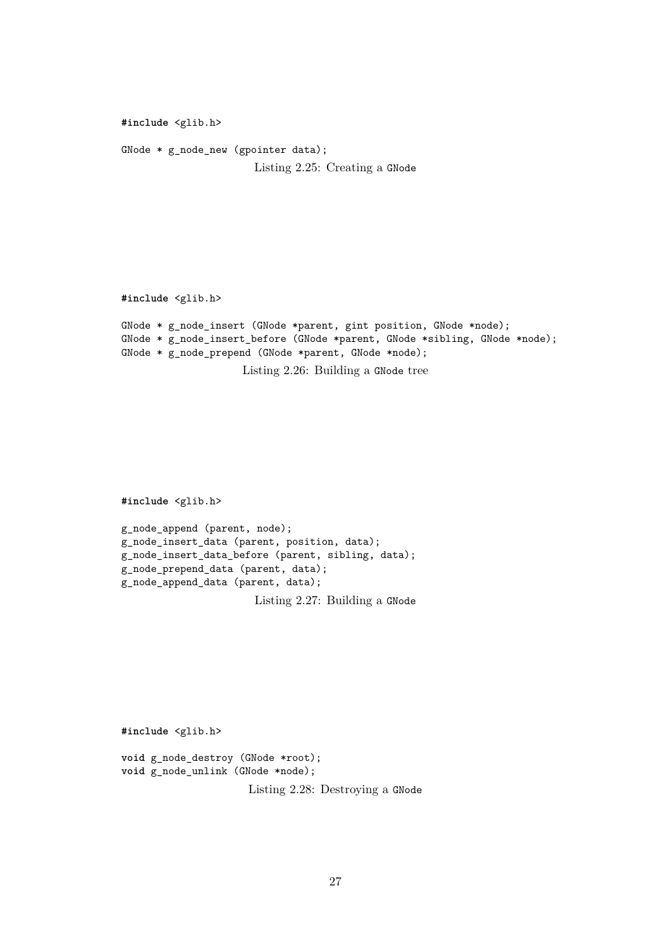```
#include <glib.h>
```
GNode \* g\_node\_new (gpointer data); Listing 2.25: Creating a GNode

<span id="page-27-1"></span>**#include** <glib.h>

```
GNode * g_node_insert (GNode *parent, gint position, GNode *node);
GNode * g_node_insert_before (GNode *parent, GNode *sibling, GNode *node);
GNode * g_node_prepend (GNode *parent, GNode *node);
```
Listing 2.26: Building a GNode tree

<span id="page-27-2"></span>**#include** <glib.h>

```
g_node_append (parent, node);
g_node_insert_data (parent, position, data);
g_node_insert_data_before (parent, sibling, data);
g_node_prepend_data (parent, data);
g_node_append_data (parent, data);
```
Listing 2.27: Building a GNode

<span id="page-27-3"></span>**#include** <glib.h>

```
void g_node_destroy (GNode *root);
void g_node_unlink (GNode *node);
                      Listing 2.28: Destroying a GNode
```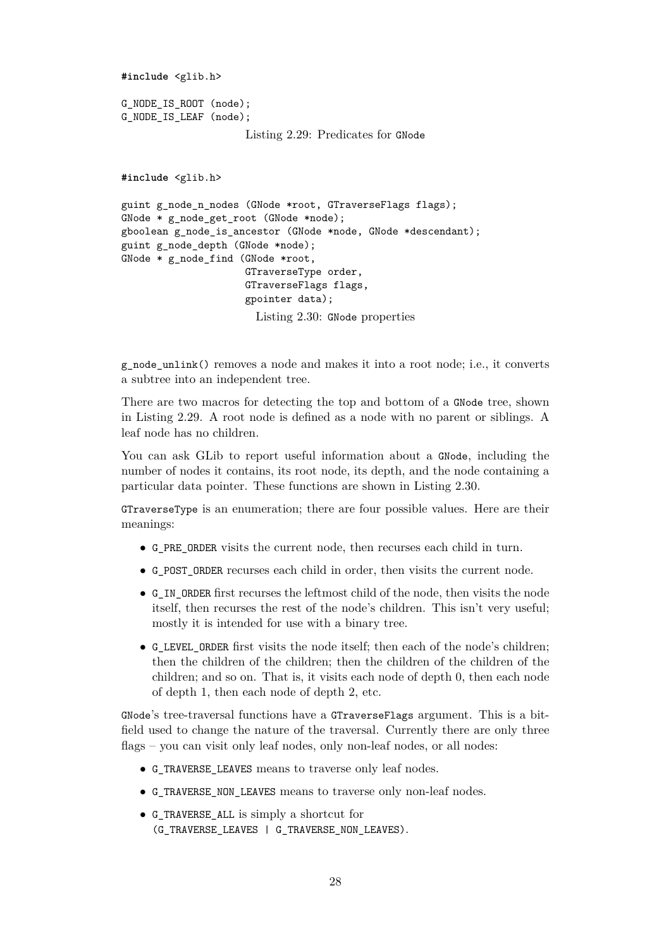```
#include <glib.h>
G_NODE_IS_ROOT (node);
G_NODE_IS_LEAF (node);
                     Listing 2.29: Predicates for GNode
#include <glib.h>
guint g_node_n_nodes (GNode *root, GTraverseFlags flags);
GNode * g_node_get_root (GNode *node);
gboolean g_node_is_ancestor (GNode *node, GNode *descendant);
guint g_node_depth (GNode *node);
GNode * g_node_find (GNode *root,
                     GTraverseType order,
                     GTraverseFlags flags,
                     gpointer data);
```
Listing 2.30: GNode properties

g\_node\_unlink() removes a node and makes it into a root node; i.e., it converts a subtree into an independent tree.

There are two macros for detecting the top and bottom of a GNode tree, shown in Listing [2.29.](#page-28-0) A root node is defined as a node with no parent or siblings. A leaf node has no children.

You can ask GLib to report useful information about a GNode, including the number of nodes it contains, its root node, its depth, and the node containing a particular data pointer. These functions are shown in Listing [2.30.](#page-28-1)

GTraverseType is an enumeration; there are four possible values. Here are their meanings:

- G\_PRE\_ORDER visits the current node, then recurses each child in turn.
- G\_POST\_ORDER recurses each child in order, then visits the current node.
- G\_IN\_ORDER first recurses the leftmost child of the node, then visits the node itself, then recurses the rest of the node's children. This isn't very useful; mostly it is intended for use with a binary tree.
- G\_LEVEL\_ORDER first visits the node itself; then each of the node's children; then the children of the children; then the children of the children of the children; and so on. That is, it visits each node of depth 0, then each node of depth 1, then each node of depth 2, etc.

GNode's tree-traversal functions have a GTraverseFlags argument. This is a bitfield used to change the nature of the traversal. Currently there are only three flags – you can visit only leaf nodes, only non-leaf nodes, or all nodes:

- G\_TRAVERSE\_LEAVES means to traverse only leaf nodes.
- G\_TRAVERSE\_NON\_LEAVES means to traverse only non-leaf nodes.
- G\_TRAVERSE\_ALL is simply a shortcut for (G\_TRAVERSE\_LEAVES | G\_TRAVERSE\_NON\_LEAVES).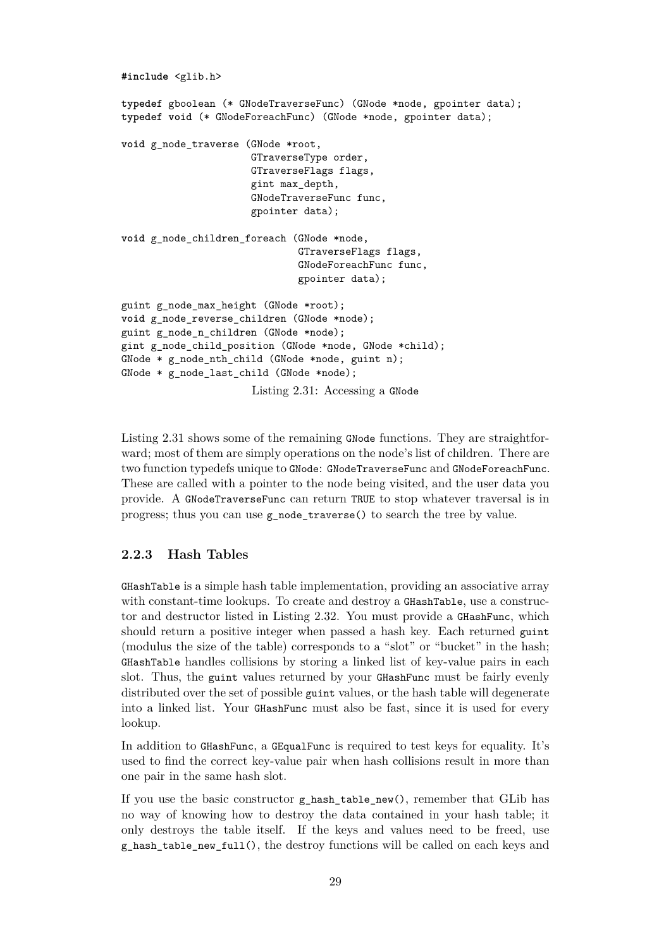```
#include <glib.h>
typedef gboolean (* GNodeTraverseFunc) (GNode *node, gpointer data);
typedef void (* GNodeForeachFunc) (GNode *node, gpointer data);
void g_node_traverse (GNode *root,
                      GTraverseType order,
                      GTraverseFlags flags,
                      gint max_depth,
                      GNodeTraverseFunc func,
                      gpointer data);
void g_node_children_foreach (GNode *node,
                              GTraverseFlags flags,
                              GNodeForeachFunc func,
                              gpointer data);
guint g_node_max_height (GNode *root);
void g_node_reverse_children (GNode *node);
guint g_node_n_children (GNode *node);
gint g_node_child_position (GNode *node, GNode *child);
GNode * g_node_nth_child (GNode *node, guint n);
GNode * g_node_last_child (GNode *node);
                      Listing 2.31: Accessing a GNode
```
Listing [2.31](#page-29-1) shows some of the remaining GNode functions. They are straightforward; most of them are simply operations on the node's list of children. There are two function typedefs unique to GNode: GNodeTraverseFunc and GNodeForeachFunc. These are called with a pointer to the node being visited, and the user data you provide. A GNodeTraverseFunc can return TRUE to stop whatever traversal is in progress; thus you can use g\_node\_traverse() to search the tree by value.

#### <span id="page-29-0"></span>**2.2.3 Hash Tables**

GHashTable is a simple hash table implementation, providing an associative array with constant-time lookups. To create and destroy a GHashTable, use a constructor and destructor listed in Listing [2.32.](#page-30-0) You must provide a GHashFunc, which should return a positive integer when passed a hash key. Each returned guint (modulus the size of the table) corresponds to a "slot" or "bucket" in the hash; GHashTable handles collisions by storing a linked list of key-value pairs in each slot. Thus, the guint values returned by your GHashFunc must be fairly evenly distributed over the set of possible guint values, or the hash table will degenerate into a linked list. Your GHashFunc must also be fast, since it is used for every lookup.

In addition to GHashFunc, a GEqualFunc is required to test keys for equality. It's used to find the correct key-value pair when hash collisions result in more than one pair in the same hash slot.

If you use the basic constructor g\_hash\_table\_new(), remember that GLib has no way of knowing how to destroy the data contained in your hash table; it only destroys the table itself. If the keys and values need to be freed, use g\_hash\_table\_new\_full(), the destroy functions will be called on each keys and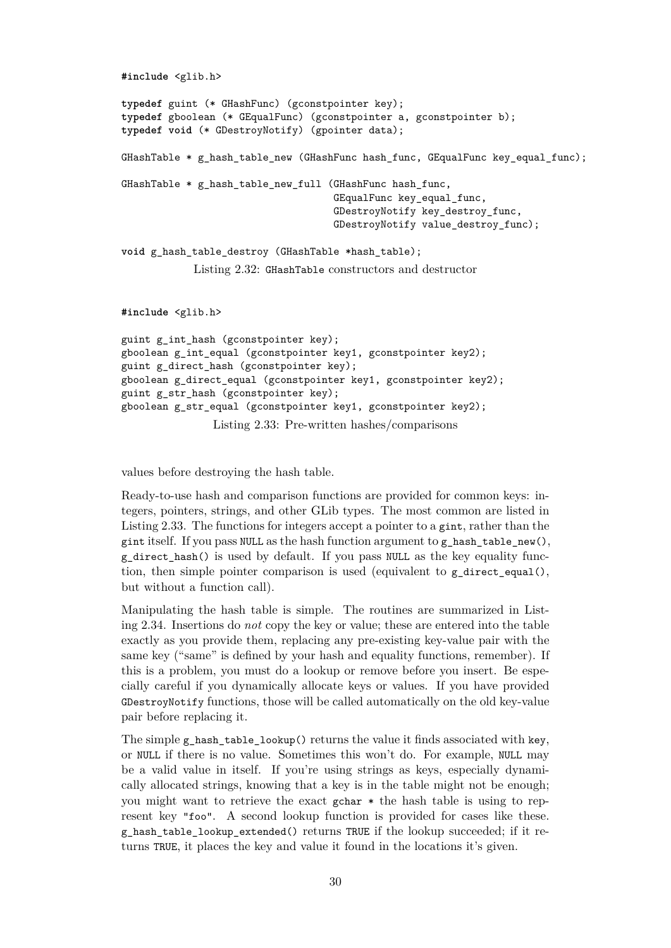```
#include <glib.h>
typedef guint (* GHashFunc) (gconstpointer key);
typedef gboolean (* GEqualFunc) (gconstpointer a, gconstpointer b);
typedef void (* GDestroyNotify) (gpointer data);
GHashTable * g hash table new (GHashFunc hash func, GEqualFunc key equal func);
GHashTable * g hash table new full (GHashFunc hash func,
                                    GEqualFunc key equal func,
                                    GDestroyNotify key_destroy_func,
                                    GDestroyNotify value_destroy_func);
void g_hash_table_destroy (GHashTable *hash_table);
            Listing 2.32: GHashTable constructors and destructor
#include <glib.h>
guint g_int_hash (gconstpointer key);
```

```
gboolean g_int_equal (gconstpointer key1, gconstpointer key2);
guint g_direct_hash (gconstpointer key);
gboolean g_direct_equal (gconstpointer key1, gconstpointer key2);
guint g_str_hash (gconstpointer key);
gboolean g_str_equal (gconstpointer key1, gconstpointer key2);
               Listing 2.33: Pre-written hashes/comparisons
```
values before destroying the hash table.

Ready-to-use hash and comparison functions are provided for common keys: integers, pointers, strings, and other GLib types. The most common are listed in Listing [2.33.](#page-30-1) The functions for integers accept a pointer to a gint, rather than the gint itself. If you pass NULL as the hash function argument to g\_hash\_table\_new(), g\_direct\_hash() is used by default. If you pass NULL as the key equality function, then simple pointer comparison is used (equivalent to g\_direct\_equal(), but without a function call).

Manipulating the hash table is simple. The routines are summarized in Listing [2.34.](#page-31-1) Insertions do *not* copy the key or value; these are entered into the table exactly as you provide them, replacing any pre-existing key-value pair with the same key ("same" is defined by your hash and equality functions, remember). If this is a problem, you must do a lookup or remove before you insert. Be especially careful if you dynamically allocate keys or values. If you have provided GDestroyNotify functions, those will be called automatically on the old key-value pair before replacing it.

The simple g\_hash\_table\_lookup() returns the value it finds associated with key, or NULL if there is no value. Sometimes this won't do. For example, NULL may be a valid value in itself. If you're using strings as keys, especially dynamically allocated strings, knowing that a key is in the table might not be enough; you might want to retrieve the exact gchar \* the hash table is using to represent key "foo". A second lookup function is provided for cases like these. g\_hash\_table\_lookup\_extended() returns TRUE if the lookup succeeded; if it returns TRUE, it places the key and value it found in the locations it's given.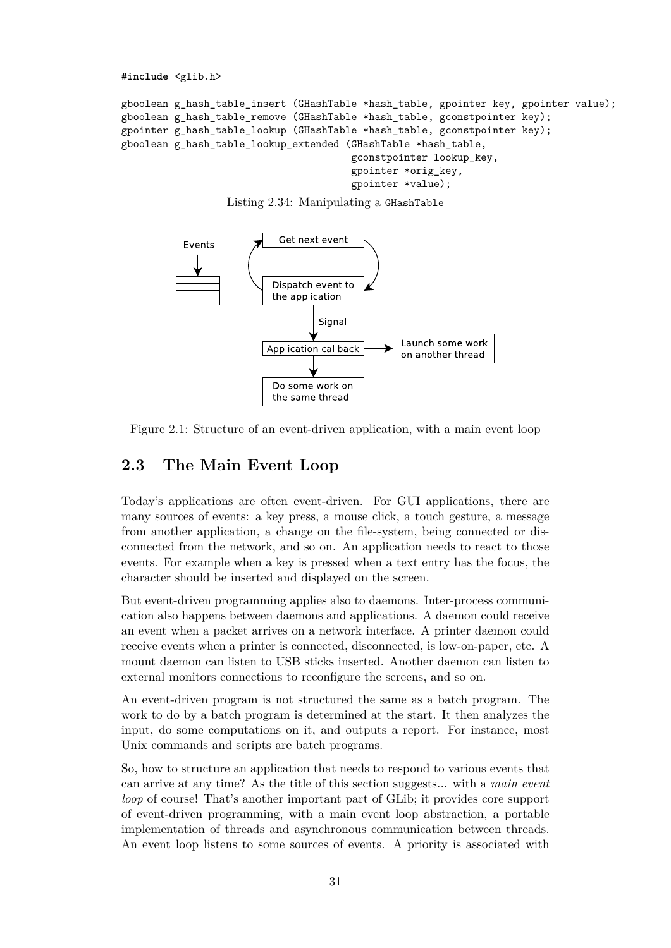<span id="page-31-1"></span>**#include** <glib.h>

```
gboolean g_hash_table_insert (GHashTable *hash_table, gpointer key, gpointer value);
gboolean g_hash_table_remove (GHashTable *hash_table, gconstpointer key);
gpointer g_hash_table_lookup (GHashTable *hash_table, gconstpointer key);
gboolean g hash table lookup extended (GHashTable *hash table,
                                       gconstpointer lookup_key,
                                       gpointer *orig_key,
                                       gpointer *value);
```




<span id="page-31-2"></span>Figure 2.1: Structure of an event-driven application, with a main event loop

## <span id="page-31-0"></span>**2.3 The Main Event Loop**

Today's applications are often event-driven. For GUI applications, there are many sources of events: a key press, a mouse click, a touch gesture, a message from another application, a change on the file-system, being connected or disconnected from the network, and so on. An application needs to react to those events. For example when a key is pressed when a text entry has the focus, the character should be inserted and displayed on the screen.

But event-driven programming applies also to daemons. Inter-process communication also happens between daemons and applications. A daemon could receive an event when a packet arrives on a network interface. A printer daemon could receive events when a printer is connected, disconnected, is low-on-paper, etc. A mount daemon can listen to USB sticks inserted. Another daemon can listen to external monitors connections to reconfigure the screens, and so on.

An event-driven program is not structured the same as a batch program. The work to do by a batch program is determined at the start. It then analyzes the input, do some computations on it, and outputs a report. For instance, most Unix commands and scripts are batch programs.

So, how to structure an application that needs to respond to various events that can arrive at any time? As the title of this section suggests... with a *main event loop* of course! That's another important part of GLib; it provides core support of event-driven programming, with a main event loop abstraction, a portable implementation of threads and asynchronous communication between threads. An event loop listens to some sources of events. A priority is associated with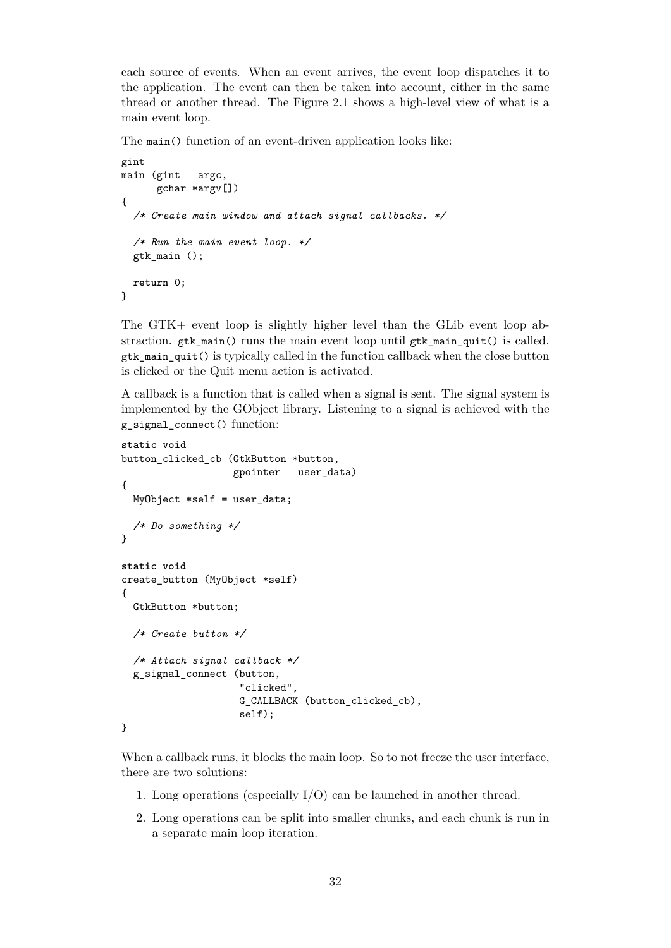each source of events. When an event arrives, the event loop dispatches it to the application. The event can then be taken into account, either in the same thread or another thread. The Figure [2.1](#page-31-2) shows a high-level view of what is a main event loop.

The main() function of an event-driven application looks like:

```
gint
main (gint argc,
      gchar *argv[])
{
  /* Create main window and attach signal callbacks. */
  /* Run the main event loop. */
 gtk_main ();
 return 0;
}
```
The GTK+ event loop is slightly higher level than the GLib event loop abstraction. gtk main() runs the main event loop until gtk main quit() is called. gtk\_main\_quit() is typically called in the function callback when the close button is clicked or the Quit menu action is activated.

A callback is a function that is called when a signal is sent. The signal system is implemented by the GObject library. Listening to a signal is achieved with the g\_signal\_connect() function:

```
static void
button_clicked_cb (GtkButton *button,
                   gpointer user_data)
{
 MyObject *self = user_data;
  /* Do something */
}
static void
create_button (MyObject *self)
{
 GtkButton *button;
  /* Create button */
  /* Attach signal callback */
 g_signal_connect (button,
                    "clicked",
                    G_CALLBACK (button clicked cb),
                    self);
}
```
When a callback runs, it blocks the main loop. So to not freeze the user interface, there are two solutions:

- 1. Long operations (especially I/O) can be launched in another thread.
- 2. Long operations can be split into smaller chunks, and each chunk is run in a separate main loop iteration.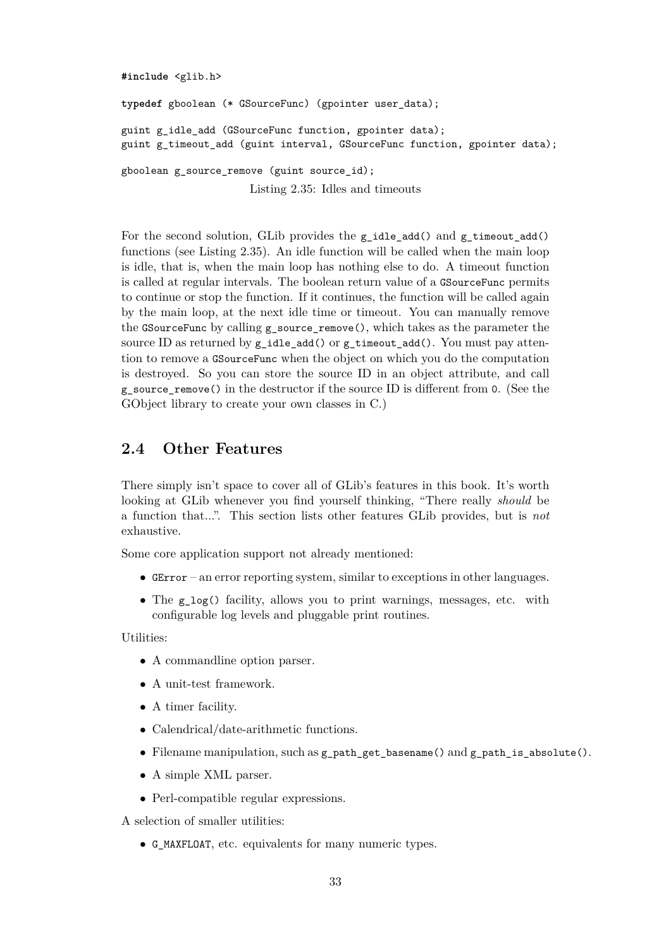```
#include <glib.h>
typedef gboolean (* GSourceFunc) (gpointer user_data);
guint g_idle_add (GSourceFunc function, gpointer data);
guint g_timeout_add (guint interval, GSourceFunc function, gpointer data);
gboolean g_source_remove (guint source id);
                      Listing 2.35: Idles and timeouts
```
For the second solution, GLib provides the g\_idle\_add() and g\_timeout\_add() functions (see Listing [2.35\)](#page-33-1). An idle function will be called when the main loop is idle, that is, when the main loop has nothing else to do. A timeout function is called at regular intervals. The boolean return value of a GSourceFunc permits to continue or stop the function. If it continues, the function will be called again by the main loop, at the next idle time or timeout. You can manually remove the GSourceFunc by calling g\_source\_remove(), which takes as the parameter the source ID as returned by  $g$ \_idle\_add() or  $g$ \_timeout\_add(). You must pay attention to remove a GSourceFunc when the object on which you do the computation is destroyed. So you can store the source ID in an object attribute, and call g\_source\_remove() in the destructor if the source ID is different from 0. (See the GObject library to create your own classes in C.)

#### <span id="page-33-0"></span>**2.4 Other Features**

There simply isn't space to cover all of GLib's features in this book. It's worth looking at GLib whenever you find yourself thinking, "There really *should* be a function that...". This section lists other features GLib provides, but is *not* exhaustive.

Some core application support not already mentioned:

- GError an error reporting system, similar to exceptions in other languages.
- The g  $log()$  facility, allows you to print warnings, messages, etc. with configurable log levels and pluggable print routines.

Utilities:

- A commandline option parser.
- A unit-test framework.
- A timer facility.
- Calendrical/date-arithmetic functions.
- Filename manipulation, such as g\_path\_get\_basename() and g\_path\_is\_absolute().
- A simple XML parser.
- Perl-compatible regular expressions.

A selection of smaller utilities:

• G\_MAXFLOAT, etc. equivalents for many numeric types.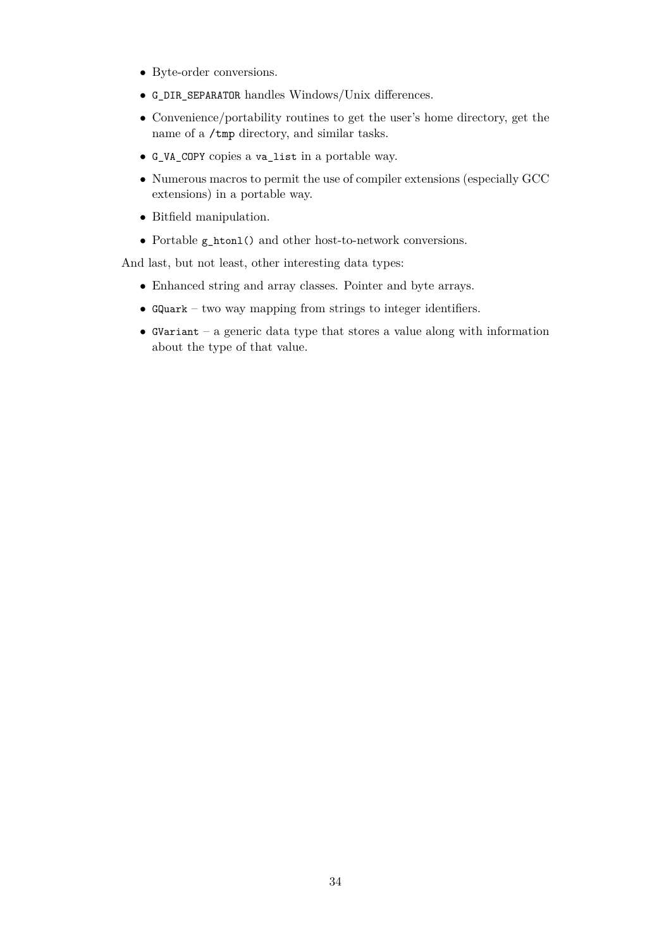- Byte-order conversions.
- G\_DIR\_SEPARATOR handles Windows/Unix differences.
- Convenience/portability routines to get the user's home directory, get the name of a /tmp directory, and similar tasks.
- G\_VA\_COPY copies a va\_list in a portable way.
- Numerous macros to permit the use of compiler extensions (especially GCC extensions) in a portable way.
- Bitfield manipulation.
- Portable g\_htonl() and other host-to-network conversions.

And last, but not least, other interesting data types:

- Enhanced string and array classes. Pointer and byte arrays.
- GQuark two way mapping from strings to integer identifiers.
- GVariant a generic data type that stores a value along with information about the type of that value.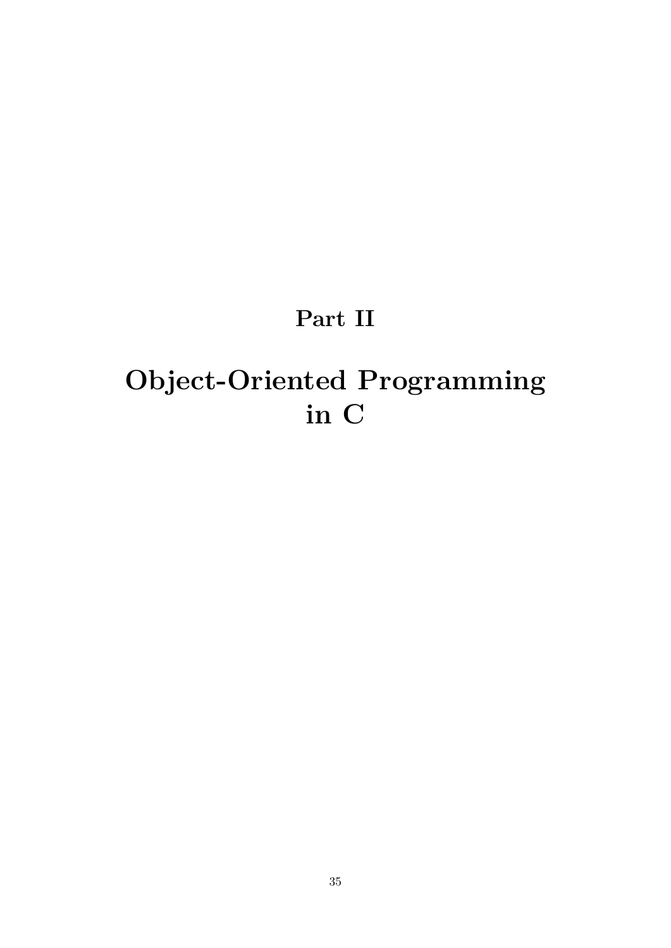# **Part II**

# <span id="page-35-0"></span>**Object-Oriented Programming in C**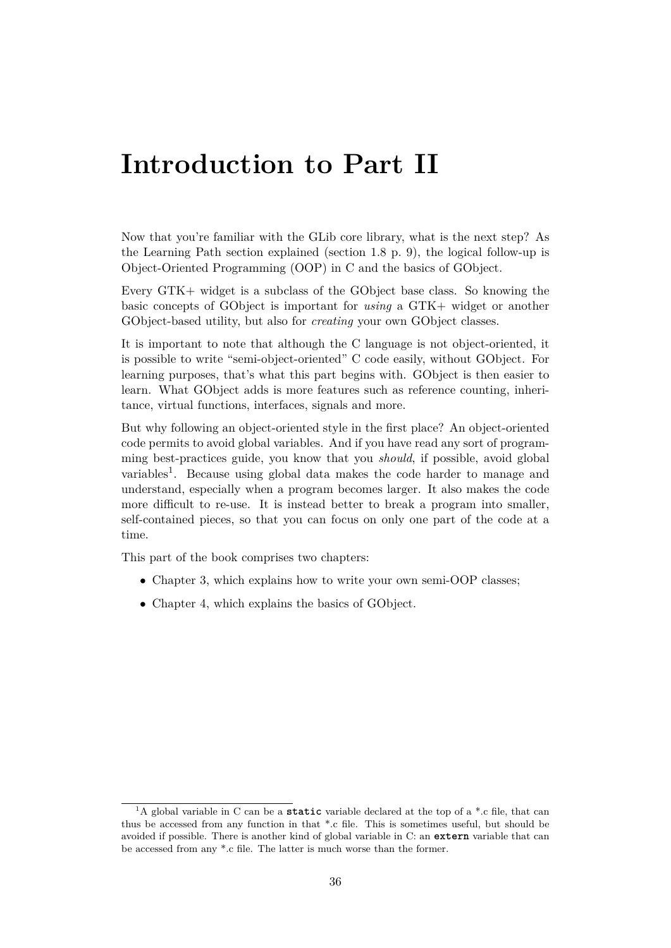# **Introduction to Part II**

Now that you're familiar with the GLib core library, what is the next step? As the Learning Path section explained (section [1.8](#page-9-0) p. [9\)](#page-9-0), the logical follow-up is Object-Oriented Programming (OOP) in C and the basics of GObject.

Every GTK+ widget is a subclass of the GObject base class. So knowing the basic concepts of GObject is important for *using* a GTK+ widget or another GObject-based utility, but also for *creating* your own GObject classes.

It is important to note that although the C language is not object-oriented, it is possible to write "semi-object-oriented" C code easily, without GObject. For learning purposes, that's what this part begins with. GObject is then easier to learn. What GObject adds is more features such as reference counting, inheritance, virtual functions, interfaces, signals and more.

But why following an object-oriented style in the first place? An object-oriented code permits to avoid global variables. And if you have read any sort of programming best-practices guide, you know that you *should*, if possible, avoid global variables<sup>[1](#page-36-0)</sup>. Because using global data makes the code harder to manage and understand, especially when a program becomes larger. It also makes the code more difficult to re-use. It is instead better to break a program into smaller, self-contained pieces, so that you can focus on only one part of the code at a time.

This part of the book comprises two chapters:

- Chapter [3,](#page-37-0) which explains how to write your own semi-OOP classes;
- Chapter [4,](#page-47-0) which explains the basics of GObject.

<span id="page-36-0"></span><sup>1</sup>A global variable in C can be a **static** variable declared at the top of a \*.c file, that can thus be accessed from any function in that \*.c file. This is sometimes useful, but should be avoided if possible. There is another kind of global variable in C: an **extern** variable that can be accessed from any \*.c file. The latter is much worse than the former.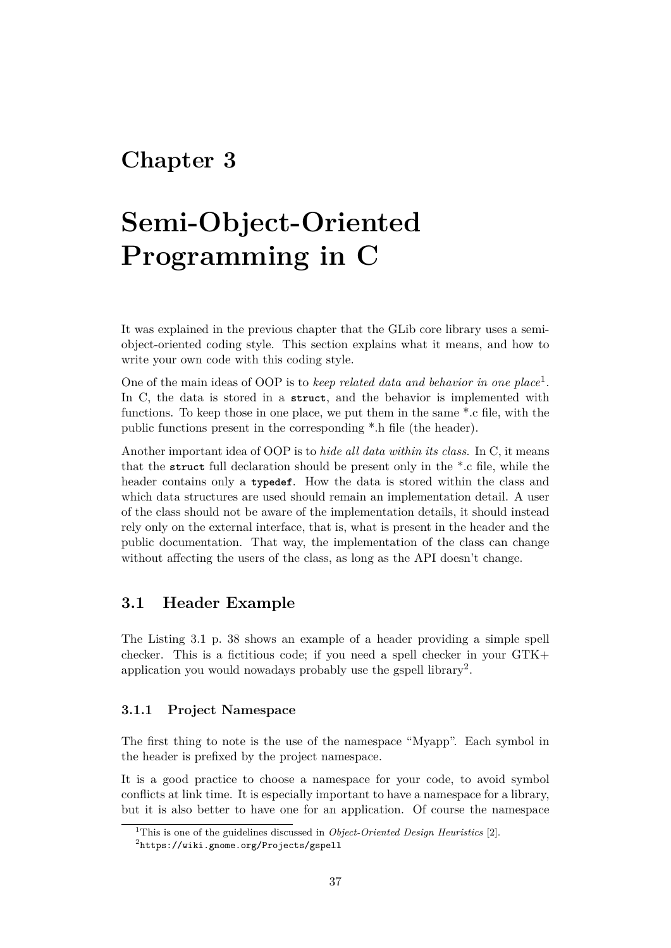# <span id="page-37-0"></span>**Chapter 3**

# **Semi-Object-Oriented Programming in C**

It was explained in the previous chapter that the GLib core library uses a semiobject-oriented coding style. This section explains what it means, and how to write your own code with this coding style.

One of the main ideas of OOP is to *keep related data and behavior in one place*[1](#page-37-3) . In C, the data is stored in a **struct**, and the behavior is implemented with functions. To keep those in one place, we put them in the same \*.c file, with the public functions present in the corresponding \*.h file (the header).

Another important idea of OOP is to *hide all data within its class*. In C, it means that the **struct** full declaration should be present only in the \*.c file, while the header contains only a **typedef**. How the data is stored within the class and which data structures are used should remain an implementation detail. A user of the class should not be aware of the implementation details, it should instead rely only on the external interface, that is, what is present in the header and the public documentation. That way, the implementation of the class can change without affecting the users of the class, as long as the API doesn't change.

## <span id="page-37-1"></span>**3.1 Header Example**

The Listing [3.1](#page-38-0) p. [38](#page-38-0) shows an example of a header providing a simple spell checker. This is a fictitious code; if you need a spell checker in your GTK+ application you would nowadays probably use the gspell library<sup>[2](#page-37-4)</sup>.

#### <span id="page-37-2"></span>**3.1.1 Project Namespace**

The first thing to note is the use of the namespace "Myapp". Each symbol in the header is prefixed by the project namespace.

It is a good practice to choose a namespace for your code, to avoid symbol conflicts at link time. It is especially important to have a namespace for a library, but it is also better to have one for an application. Of course the namespace

<span id="page-37-3"></span><sup>1</sup>This is one of the guidelines discussed in *Object-Oriented Design Heuristics* [\[2\]](#page-70-2).

<span id="page-37-4"></span> $^{2}$ <https://wiki.gnome.org/Projects/gspell>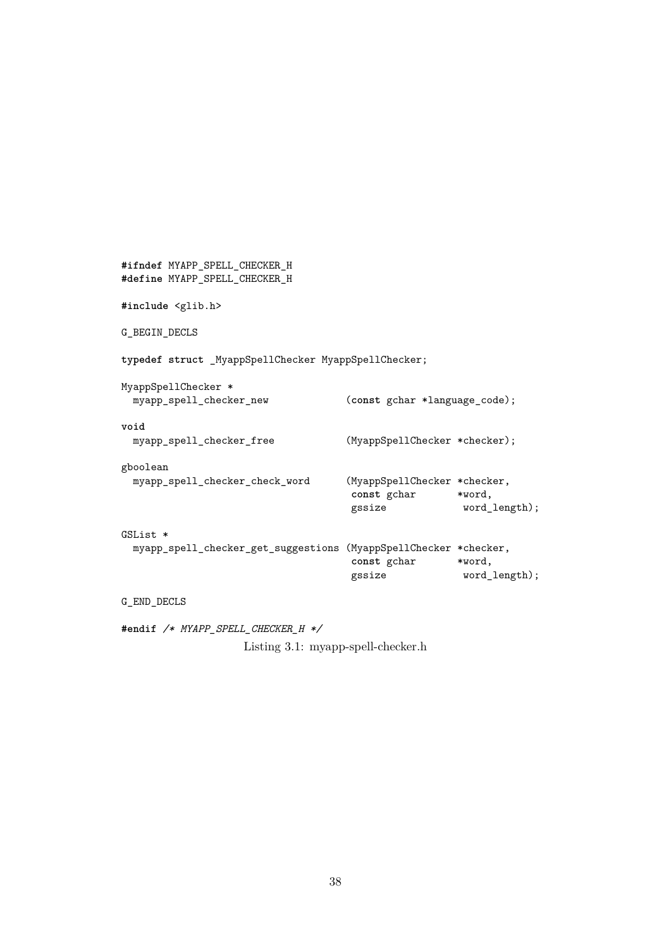```
#ifndef MYAPP_SPELL_CHECKER_H
#define MYAPP_SPELL_CHECKER_H
#include <glib.h>
G_BEGIN_DECLS
typedef struct _MyappSpellChecker MyappSpellChecker;
MyappSpellChecker *
 myapp_spell_checker_new (const gchar *language_code);
void
 myapp_spell_checker_free (MyappSpellChecker *checker);
gboolean
 myapp_spell_checker_check_word (MyappSpellChecker *checker,
                                   const gchar *word,
                                   gssize word_length);
GSList *
 myapp_spell_checker_get_suggestions (MyappSpellChecker *checker,
                                   const gchar *word,
                                   gssize word_length);
G_END_DECLS
```
**#endif** */\* MYAPP\_SPELL\_CHECKER\_H \*/*

Listing 3.1: myapp-spell-checker.h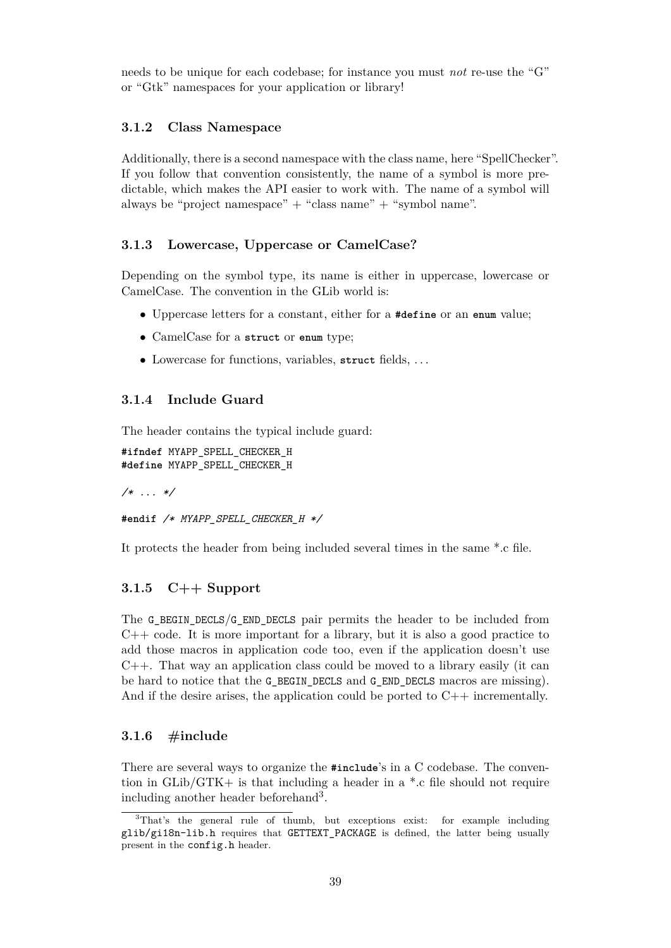needs to be unique for each codebase; for instance you must *not* re-use the "G" or "Gtk" namespaces for your application or library!

#### <span id="page-39-0"></span>**3.1.2 Class Namespace**

Additionally, there is a second namespace with the class name, here "SpellChecker". If you follow that convention consistently, the name of a symbol is more predictable, which makes the API easier to work with. The name of a symbol will always be "project namespace"  $+$  "class name"  $+$  "symbol name".

#### <span id="page-39-1"></span>**3.1.3 Lowercase, Uppercase or CamelCase?**

Depending on the symbol type, its name is either in uppercase, lowercase or CamelCase. The convention in the GLib world is:

- Uppercase letters for a constant, either for a **#define** or an **enum** value;
- CamelCase for a **struct** or **enum** type;
- Lowercase for functions, variables, **struct** fields, . . .

#### <span id="page-39-2"></span>**3.1.4 Include Guard**

The header contains the typical include guard:

```
#ifndef MYAPP_SPELL_CHECKER_H
#define MYAPP_SPELL_CHECKER_H
```
*/\* ... \*/*

```
#endif /* MYAPP_SPELL_CHECKER_H */
```
It protects the header from being included several times in the same \*.c file.

#### <span id="page-39-3"></span>**3.1.5 C++ Support**

The G\_BEGIN\_DECLS/G\_END\_DECLS pair permits the header to be included from  $C++$  code. It is more important for a library, but it is also a good practice to add those macros in application code too, even if the application doesn't use  $C++$ . That way an application class could be moved to a library easily (it can be hard to notice that the G\_BEGIN\_DECLS and G\_END\_DECLS macros are missing). And if the desire arises, the application could be ported to  $C++$  incrementally.

#### <span id="page-39-4"></span>**3.1.6 #include**

There are several ways to organize the **#include**'s in a C codebase. The convention in  $GLib/GTK+$  is that including a header in a  $*$ .c file should not require including another header beforehand[3](#page-39-5) .

<span id="page-39-5"></span><sup>3</sup>That's the general rule of thumb, but exceptions exist: for example including glib/gi18n-lib.h requires that GETTEXT\_PACKAGE is defined, the latter being usually present in the config.h header.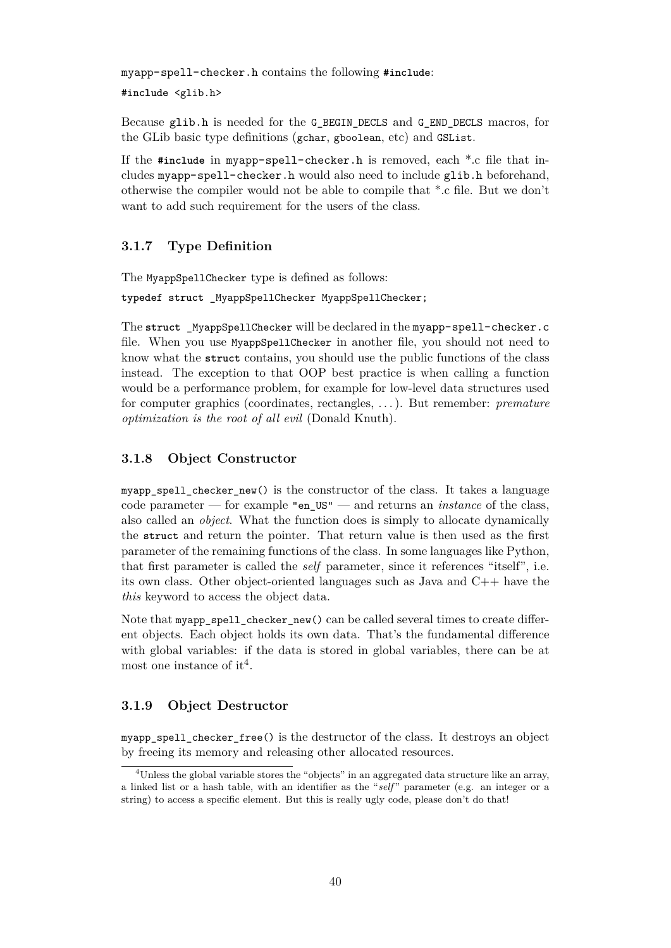myapp-spell-checker.h contains the following **#include**:

**#include** <glib.h>

Because glib.h is needed for the G\_BEGIN\_DECLS and G\_END\_DECLS macros, for the GLib basic type definitions (gchar, gboolean, etc) and GSList.

If the **#include** in myapp-spell-checker.h is removed, each \*.c file that includes myapp-spell-checker.h would also need to include glib.h beforehand, otherwise the compiler would not be able to compile that \*.c file. But we don't want to add such requirement for the users of the class.

#### <span id="page-40-0"></span>**3.1.7 Type Definition**

The MyappSpellChecker type is defined as follows:

**typedef struct** \_MyappSpellChecker MyappSpellChecker;

The struct MyappSpellChecker will be declared in the myapp-spell-checker.c file. When you use MyappSpellChecker in another file, you should not need to know what the **struct** contains, you should use the public functions of the class instead. The exception to that OOP best practice is when calling a function would be a performance problem, for example for low-level data structures used for computer graphics (coordinates, rectangles, . . . ). But remember: *premature optimization is the root of all evil* (Donald Knuth).

#### <span id="page-40-1"></span>**3.1.8 Object Constructor**

myapp spell checker new() is the constructor of the class. It takes a language code parameter — for example "en\_US" — and returns an *instance* of the class, also called an *object*. What the function does is simply to allocate dynamically the **struct** and return the pointer. That return value is then used as the first parameter of the remaining functions of the class. In some languages like Python, that first parameter is called the *self* parameter, since it references "itself", i.e. its own class. Other object-oriented languages such as Java and  $C_{++}$  have the *this* keyword to access the object data.

Note that myapp\_spell\_checker\_new() can be called several times to create different objects. Each object holds its own data. That's the fundamental difference with global variables: if the data is stored in global variables, there can be at most one instance of it<sup>[4](#page-40-3)</sup>.

#### <span id="page-40-2"></span>**3.1.9 Object Destructor**

myapp spell checker free() is the destructor of the class. It destroys an object by freeing its memory and releasing other allocated resources.

<span id="page-40-3"></span><sup>4</sup>Unless the global variable stores the "objects" in an aggregated data structure like an array, a linked list or a hash table, with an identifier as the "*self* " parameter (e.g. an integer or a string) to access a specific element. But this is really ugly code, please don't do that!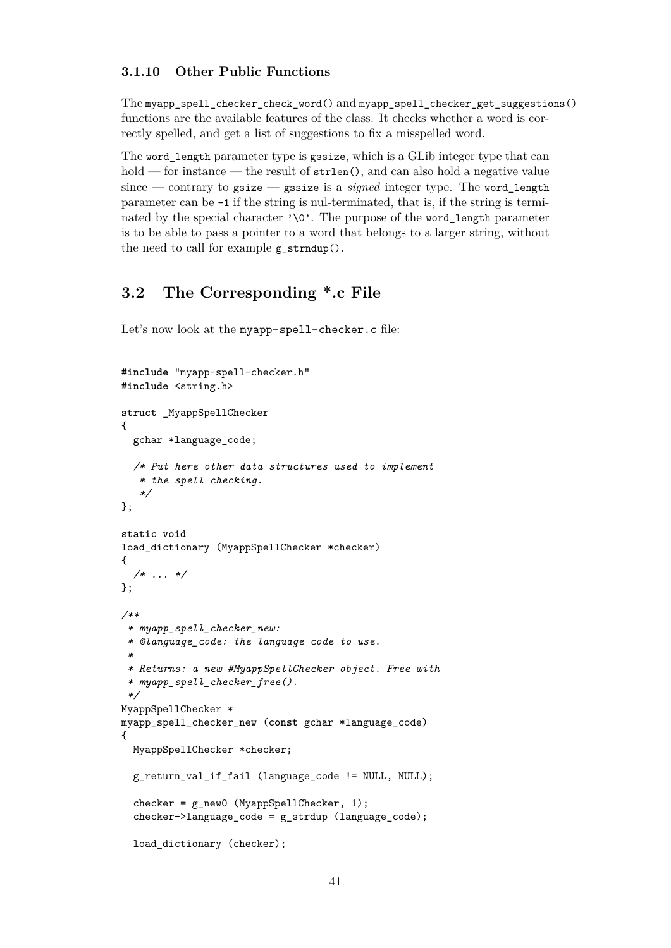#### <span id="page-41-0"></span>**3.1.10 Other Public Functions**

The myapp\_spell\_checker\_check\_word() and myapp\_spell\_checker\_get\_suggestions() functions are the available features of the class. It checks whether a word is correctly spelled, and get a list of suggestions to fix a misspelled word.

The word\_length parameter type is gssize, which is a GLib integer type that can hold — for instance — the result of  $\text{strlen}(\lambda)$ , and can also hold a negative value since — contrary to gsize — gssize is a *signed* integer type. The word\_length parameter can be -1 if the string is nul-terminated, that is, if the string is terminated by the special character  $\sqrt{Q'}$ . The purpose of the word length parameter is to be able to pass a pointer to a word that belongs to a larger string, without the need to call for example  $g$  strndup().

## <span id="page-41-1"></span>**3.2 The Corresponding \*.c File**

Let's now look at the myapp-spell-checker.c file:

```
#include "myapp-spell-checker.h"
#include <string.h>
struct _MyappSpellChecker
{
  gchar *language_code;
  /* Put here other data structures used to implement
   * the spell checking.
   */
};
static void
load_dictionary (MyappSpellChecker *checker)
{
  /* ... */
};
/**
 * myapp_spell_checker_new:
 * @language_code: the language code to use.
 *
 * Returns: a new #MyappSpellChecker object. Free with
 * myapp_spell_checker_free().
 */
MyappSpellChecker *
myapp_spell_checker_new (const gchar *language_code)
{
 MyappSpellChecker *checker;
  g_return_val_if_fail (language_code != NULL, NULL);
  checker = g_new0 (MyappSpellChecker, 1);
  checker->language_code = g_strdup (language_code);
  load dictionary (checker);
```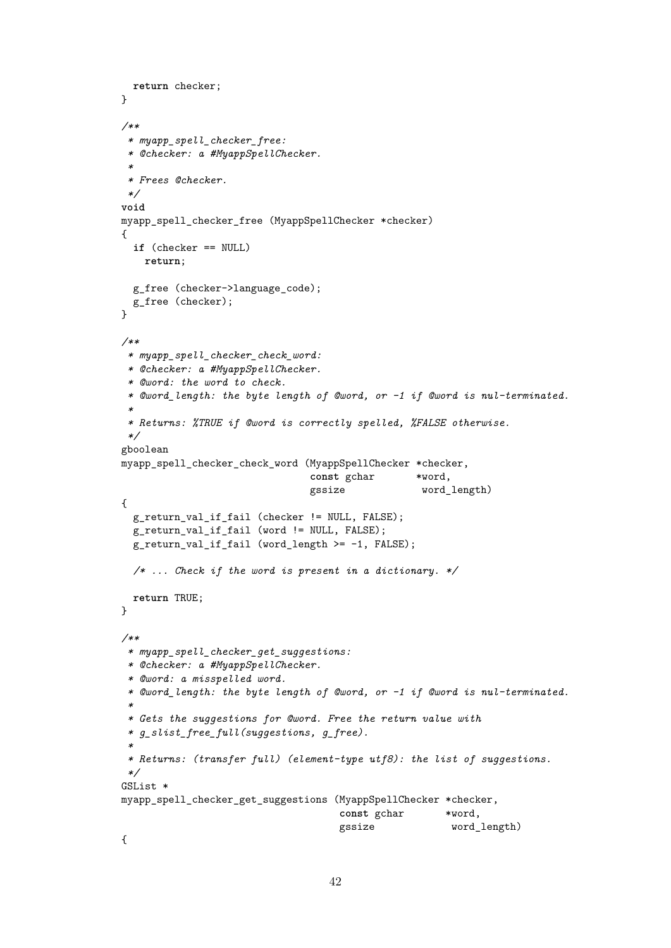```
return checker;
}
/**
 * myapp_spell_checker_free:
 * @checker: a #MyappSpellChecker.
 *
 * Frees @checker.
 */
void
myapp_spell_checker_free (MyappSpellChecker *checker)
{
 if (checker == NULL)
   return;
 g_free (checker->language code);
 g_free (checker);
\mathbf{r}/**
 * myapp_spell_checker_check_word:
 * @checker: a #MyappSpellChecker.
 * @word: the word to check.
 * @word_length: the byte length of @word, or -1 if @word is nul-terminated.
 *
 * Returns: %TRUE if @word is correctly spelled, %FALSE otherwise.
 */
gboolean
myapp_spell_checker_check_word (MyappSpellChecker *checker,
                                const gchar *word,
                                gssize word_length)
{
  g_return_val_if_fail (checker != NULL, FALSE);
  g_return_val_if_fail (word != NULL, FALSE);
  g_return_val_if_fail (word_length >= -1, FALSE);
  /* ... Check if the word is present in a dictionary. */
 return TRUE;
}
/**
 * myapp_spell_checker_get_suggestions:
 * @checker: a #MyappSpellChecker.
 * @word: a misspelled word.
 * @word_length: the byte length of @word, or -1 if @word is nul-terminated.
 *
 * Gets the suggestions for @word. Free the return value with
 * g_slist_free_full(suggestions, g_free).
 *
 * Returns: (transfer full) (element-type utf8): the list of suggestions.
 */
GSList *
myapp spell checker get suggestions (MyappSpellChecker *checker,
                                    const gchar *word,
                                     gssize word_length)
{
```

```
42
```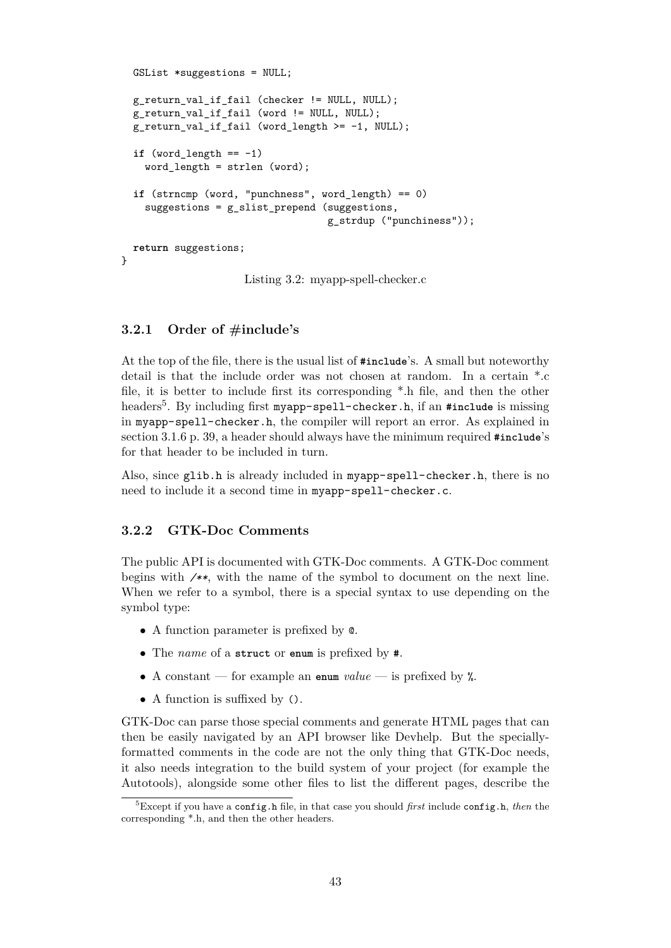```
GSList *suggestions = NULL;
 g_return_val_if_fail (checker != NULL, NULL);
  g_return_val_if_fail (word != NULL, NULL);
 g_return_val_if_fail (word_length >= -1, NULL);
  if (word_length == -1)word_length = strlen (word);
  if (strncmp (word, "punchness", word_length) == 0)
    suggestions = g_slist_prepend (suggestions,
                                   g_strdup ("punchiness"));
  return suggestions;
}
```
Listing 3.2: myapp-spell-checker.c

#### <span id="page-43-0"></span>**3.2.1 Order of #include's**

At the top of the file, there is the usual list of **#include**'s. A small but noteworthy detail is that the include order was not chosen at random. In a certain \*.c file, it is better to include first its corresponding \*.h file, and then the other headers[5](#page-43-2) . By including first myapp-spell-checker.h, if an **#include** is missing in myapp-spell-checker.h, the compiler will report an error. As explained in section [3.1.6](#page-39-4) p. [39,](#page-39-4) a header should always have the minimum required **#include**'s for that header to be included in turn.

Also, since glib.h is already included in myapp-spell-checker.h, there is no need to include it a second time in myapp-spell-checker.c.

#### <span id="page-43-1"></span>**3.2.2 GTK-Doc Comments**

The public API is documented with GTK-Doc comments. A GTK-Doc comment begins with */\*\**, with the name of the symbol to document on the next line. When we refer to a symbol, there is a special syntax to use depending on the symbol type:

- A function parameter is prefixed by @.
- The *name* of a **struct** or **enum** is prefixed by **#**.
- A constant for example an **enum** *value* is prefixed by %.
- A function is suffixed by ().

GTK-Doc can parse those special comments and generate HTML pages that can then be easily navigated by an API browser like Devhelp. But the speciallyformatted comments in the code are not the only thing that GTK-Doc needs, it also needs integration to the build system of your project (for example the Autotools), alongside some other files to list the different pages, describe the

<span id="page-43-2"></span><sup>5</sup>Except if you have a config.h file, in that case you should *first* include config.h, *then* the corresponding \*.h, and then the other headers.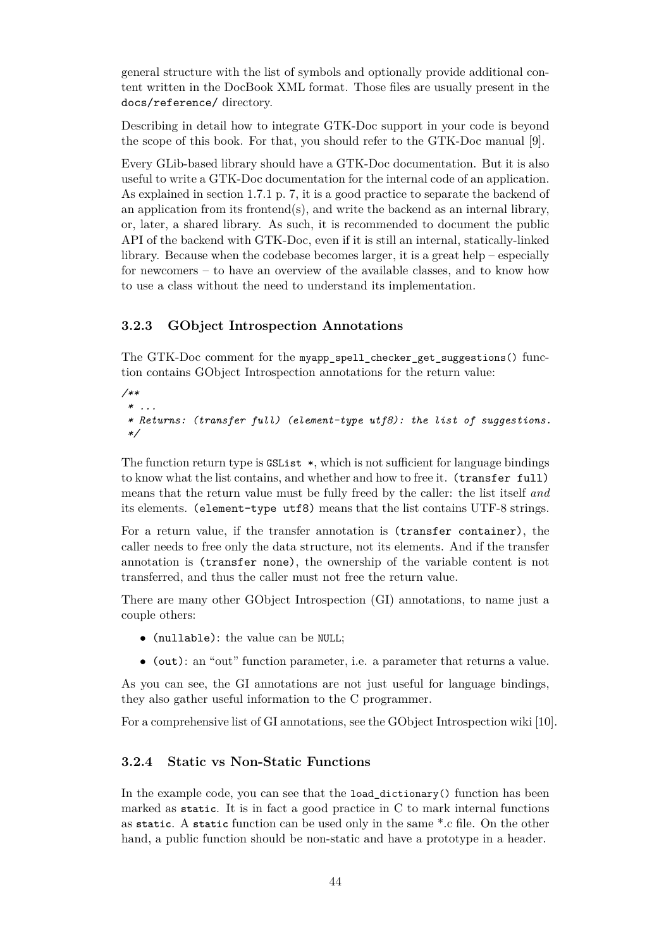general structure with the list of symbols and optionally provide additional content written in the DocBook XML format. Those files are usually present in the docs/reference/ directory.

Describing in detail how to integrate GTK-Doc support in your code is beyond the scope of this book. For that, you should refer to the GTK-Doc manual [\[9\]](#page-70-6).

Every GLib-based library should have a GTK-Doc documentation. But it is also useful to write a GTK-Doc documentation for the internal code of an application. As explained in section [1.7.1](#page-7-1) p. [7,](#page-7-1) it is a good practice to separate the backend of an application from its frontend(s), and write the backend as an internal library, or, later, a shared library. As such, it is recommended to document the public API of the backend with GTK-Doc, even if it is still an internal, statically-linked library. Because when the codebase becomes larger, it is a great help – especially for newcomers – to have an overview of the available classes, and to know how to use a class without the need to understand its implementation.

#### <span id="page-44-0"></span>**3.2.3 GObject Introspection Annotations**

The GTK-Doc comment for the myapp\_spell\_checker\_get\_suggestions() function contains GObject Introspection annotations for the return value:

```
/**
* ...
 * Returns: (transfer full) (element-type utf8): the list of suggestions.
 */
```
The function return type is  $GSList *$ , which is not sufficient for language bindings to know what the list contains, and whether and how to free it. (transfer full) means that the return value must be fully freed by the caller: the list itself *and* its elements. (element-type utf8) means that the list contains UTF-8 strings.

For a return value, if the transfer annotation is (transfer container), the caller needs to free only the data structure, not its elements. And if the transfer annotation is (transfer none), the ownership of the variable content is not transferred, and thus the caller must not free the return value.

There are many other GObject Introspection (GI) annotations, to name just a couple others:

- (nullable): the value can be NULL;
- (out): an "out" function parameter, i.e. a parameter that returns a value.

As you can see, the GI annotations are not just useful for language bindings, they also gather useful information to the C programmer.

For a comprehensive list of GI annotations, see the GObject Introspection wiki [\[10\]](#page-70-7).

#### <span id="page-44-1"></span>**3.2.4 Static vs Non-Static Functions**

In the example code, you can see that the load\_dictionary() function has been marked as **static**. It is in fact a good practice in C to mark internal functions as **static**. A **static** function can be used only in the same \*.c file. On the other hand, a public function should be non-static and have a prototype in a header.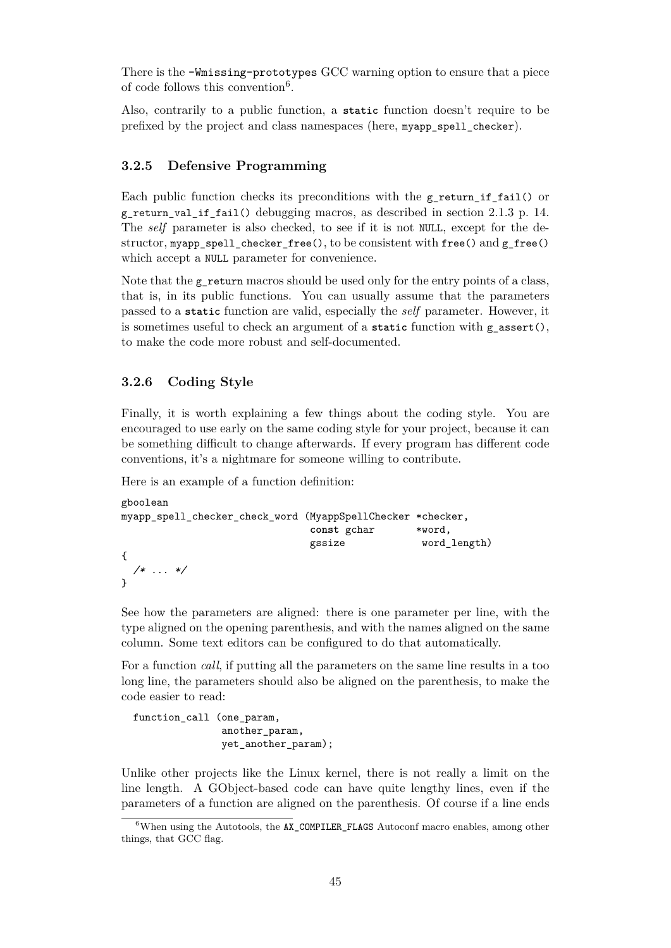There is the -Wmissing-prototypes GCC warning option to ensure that a piece of code follows this convention<sup>[6](#page-45-2)</sup>.

Also, contrarily to a public function, a **static** function doesn't require to be prefixed by the project and class namespaces (here, myapp\_spell\_checker).

#### <span id="page-45-0"></span>**3.2.5 Defensive Programming**

Each public function checks its preconditions with the  $g$ -return if-fail() or g\_return\_val\_if\_fail() debugging macros, as described in section [2.1.3](#page-14-0) p. [14.](#page-14-0) The *self* parameter is also checked, to see if it is not NULL, except for the destructor, myapp\_spell\_checker\_free(), to be consistent with free() and g\_free() which accept a NULL parameter for convenience.

Note that the  $g$  return macros should be used only for the entry points of a class. that is, in its public functions. You can usually assume that the parameters passed to a **static** function are valid, especially the *self* parameter. However, it is sometimes useful to check an argument of a **static** function with g\_assert(), to make the code more robust and self-documented.

#### <span id="page-45-1"></span>**3.2.6 Coding Style**

Finally, it is worth explaining a few things about the coding style. You are encouraged to use early on the same coding style for your project, because it can be something difficult to change afterwards. If every program has different code conventions, it's a nightmare for someone willing to contribute.

Here is an example of a function definition:

```
gboolean
myapp_spell_checker_check_word (MyappSpellChecker *checker,
                            const gchar *word,
                            gssize word_length)
{
 /* ... */
}
```
See how the parameters are aligned: there is one parameter per line, with the type aligned on the opening parenthesis, and with the names aligned on the same column. Some text editors can be configured to do that automatically.

For a function *call*, if putting all the parameters on the same line results in a too long line, the parameters should also be aligned on the parenthesis, to make the code easier to read:

function\_call (one\_param, another\_param, yet\_another\_param);

Unlike other projects like the Linux kernel, there is not really a limit on the line length. A GObject-based code can have quite lengthy lines, even if the parameters of a function are aligned on the parenthesis. Of course if a line ends

<span id="page-45-2"></span><sup>&</sup>lt;sup>6</sup>When using the Autotools, the AX\_COMPILER\_FLAGS Autoconf macro enables, among other things, that GCC flag.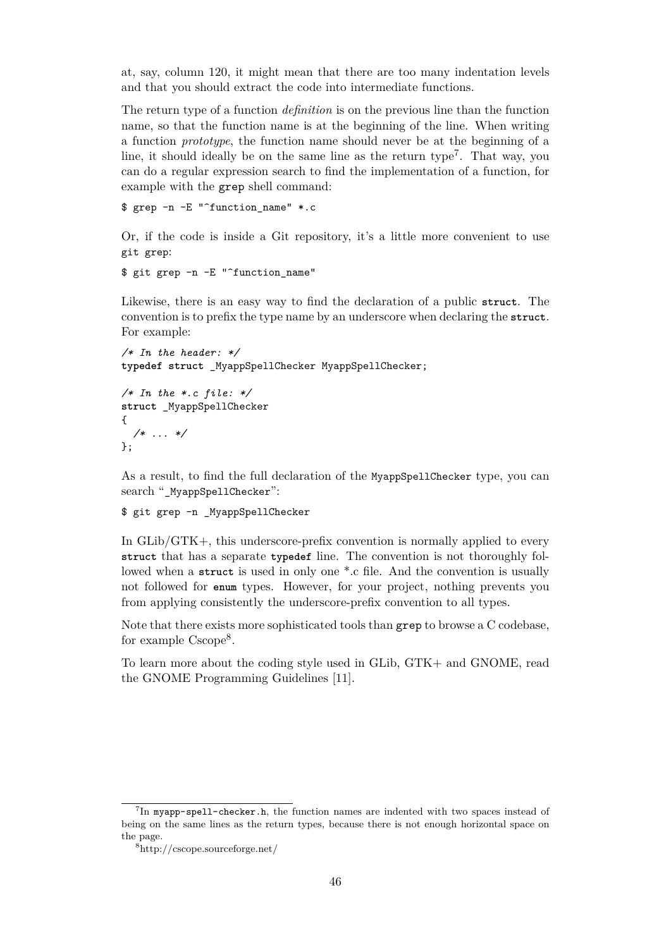at, say, column 120, it might mean that there are too many indentation levels and that you should extract the code into intermediate functions.

The return type of a function *definition* is on the previous line than the function name, so that the function name is at the beginning of the line. When writing a function *prototype*, the function name should never be at the beginning of a line, it should ideally be on the same line as the return type<sup>[7](#page-46-0)</sup>. That way, you can do a regular expression search to find the implementation of a function, for example with the grep shell command:

\$ grep -n -E "^function\_name" \*.c

Or, if the code is inside a Git repository, it's a little more convenient to use git grep:

```
$ git grep -n -E "^function_name"
```
Likewise, there is an easy way to find the declaration of a public **struct**. The convention is to prefix the type name by an underscore when declaring the **struct**. For example:

```
/* In the header: */
typedef struct _MyappSpellChecker MyappSpellChecker;
```

```
/* In the *.c file: */
struct _MyappSpellChecker
{
 /* ... */
};
```
As a result, to find the full declaration of the MyappSpellChecker type, you can search "\_MyappSpellChecker":

#### \$ git grep -n \_MyappSpellChecker

In GLib/GTK+, this underscore-prefix convention is normally applied to every **struct** that has a separate **typedef** line. The convention is not thoroughly followed when a **struct** is used in only one \*.c file. And the convention is usually not followed for **enum** types. However, for your project, nothing prevents you from applying consistently the underscore-prefix convention to all types.

Note that there exists more sophisticated tools than grep to browse a C codebase, for example Cscope<sup>[8](#page-46-1)</sup>.

To learn more about the coding style used in GLib, GTK+ and GNOME, read the GNOME Programming Guidelines [\[11\]](#page-70-8).

<span id="page-46-0"></span> $^{7}$ In myapp-spell-checker.h, the function names are indented with two spaces instead of being on the same lines as the return types, because there is not enough horizontal space on the page.

<span id="page-46-1"></span><sup>8</sup>http://cscope.sourceforge.net/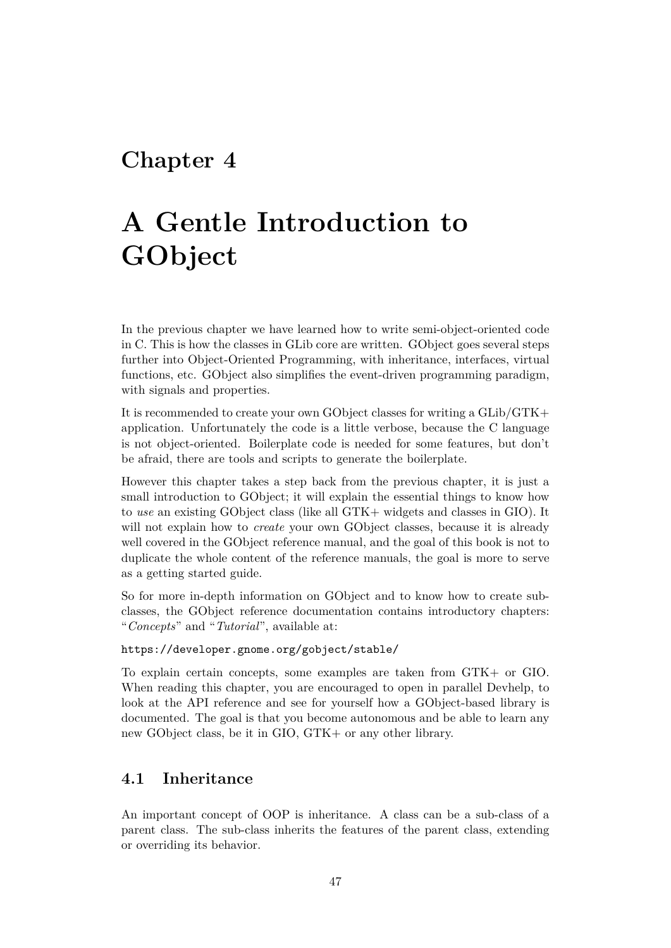# <span id="page-47-0"></span>**Chapter 4**

# **A Gentle Introduction to GObject**

In the previous chapter we have learned how to write semi-object-oriented code in C. This is how the classes in GLib core are written. GObject goes several steps further into Object-Oriented Programming, with inheritance, interfaces, virtual functions, etc. GObject also simplifies the event-driven programming paradigm, with signals and properties.

It is recommended to create your own GObject classes for writing a GLib/GTK+ application. Unfortunately the code is a little verbose, because the C language is not object-oriented. Boilerplate code is needed for some features, but don't be afraid, there are tools and scripts to generate the boilerplate.

However this chapter takes a step back from the previous chapter, it is just a small introduction to GObject; it will explain the essential things to know how to *use* an existing GObject class (like all GTK+ widgets and classes in GIO). It will not explain how to *create* your own GObject classes, because it is already well covered in the GObject reference manual, and the goal of this book is not to duplicate the whole content of the reference manuals, the goal is more to serve as a getting started guide.

So for more in-depth information on GObject and to know how to create subclasses, the GObject reference documentation contains introductory chapters: "*Concepts*" and "*Tutorial*", available at:

#### <https://developer.gnome.org/gobject/stable/>

To explain certain concepts, some examples are taken from GTK+ or GIO. When reading this chapter, you are encouraged to open in parallel Devhelp, to look at the API reference and see for yourself how a GObject-based library is documented. The goal is that you become autonomous and be able to learn any new GObject class, be it in GIO, GTK+ or any other library.

## <span id="page-47-1"></span>**4.1 Inheritance**

An important concept of OOP is inheritance. A class can be a sub-class of a parent class. The sub-class inherits the features of the parent class, extending or overriding its behavior.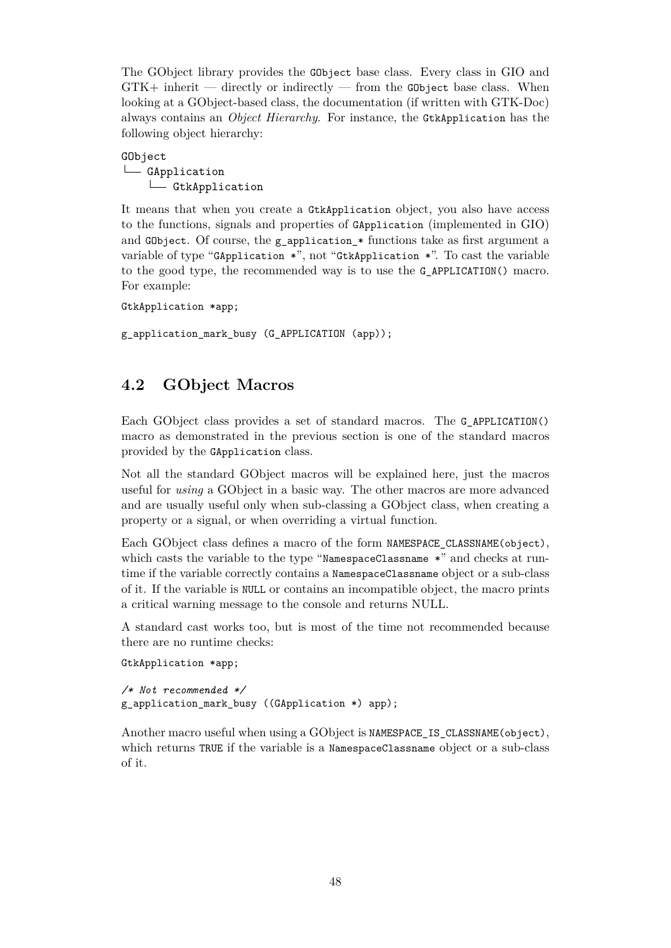The GObject library provides the GObject base class. Every class in GIO and  $GTK+$  inherit — directly or indirectly — from the GObject base class. When looking at a GObject-based class, the documentation (if written with GTK-Doc) always contains an *Object Hierarchy*. For instance, the GtkApplication has the following object hierarchy:

#### GObject L<sub>GApplication</sub> GtkApplication

It means that when you create a GtkApplication object, you also have access to the functions, signals and properties of GApplication (implemented in GIO) and GObject. Of course, the g\_application\_\* functions take as first argument a variable of type "GApplication \*", not "GtkApplication \*". To cast the variable to the good type, the recommended way is to use the G\_APPLICATION() macro. For example:

```
GtkApplication *app;
```
g\_application\_mark\_busy (G\_APPLICATION (app));

# <span id="page-48-0"></span>**4.2 GObject Macros**

Each GObject class provides a set of standard macros. The G\_APPLICATION() macro as demonstrated in the previous section is one of the standard macros provided by the GApplication class.

Not all the standard GObject macros will be explained here, just the macros useful for *using* a GObject in a basic way. The other macros are more advanced and are usually useful only when sub-classing a GObject class, when creating a property or a signal, or when overriding a virtual function.

Each GObject class defines a macro of the form NAMESPACE CLASSNAME(object), which casts the variable to the type "NamespaceClassname \*" and checks at runtime if the variable correctly contains a NamespaceClassname object or a sub-class of it. If the variable is NULL or contains an incompatible object, the macro prints a critical warning message to the console and returns NULL.

A standard cast works too, but is most of the time not recommended because there are no runtime checks:

GtkApplication \*app;

```
/* Not recommended */
g_application_mark_busy ((GApplication *) app);
```
Another macro useful when using a GObject is NAMESPACE IS CLASSNAME(object), which returns TRUE if the variable is a NamespaceClassname object or a sub-class of it.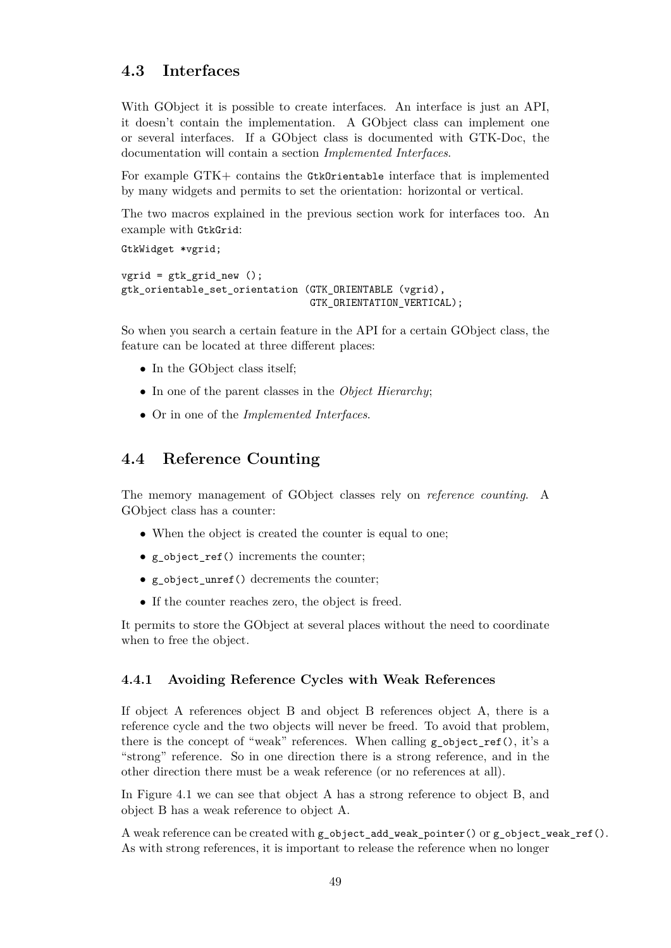## <span id="page-49-0"></span>**4.3 Interfaces**

With GObject it is possible to create interfaces. An interface is just an API, it doesn't contain the implementation. A GObject class can implement one or several interfaces. If a GObject class is documented with GTK-Doc, the documentation will contain a section *Implemented Interfaces*.

For example GTK+ contains the GtkOrientable interface that is implemented by many widgets and permits to set the orientation: horizontal or vertical.

The two macros explained in the previous section work for interfaces too. An example with GtkGrid:

```
GtkWidget *vgrid;
vgrid = gtk_grid_new ();
gtk_orientable_set_orientation (GTK_ORIENTABLE (vgrid),
                                GTK ORIENTATION VERTICAL);
```
So when you search a certain feature in the API for a certain GObject class, the feature can be located at three different places:

- In the GObject class itself;
- In one of the parent classes in the *Object Hierarchy*;
- Or in one of the *Implemented Interfaces*.

### <span id="page-49-1"></span>**4.4 Reference Counting**

The memory management of GObject classes rely on *reference counting*. A GObject class has a counter:

- When the object is created the counter is equal to one;
- g\_object\_ref() increments the counter;
- g\_object\_unref() decrements the counter;
- If the counter reaches zero, the object is freed.

It permits to store the GObject at several places without the need to coordinate when to free the object.

#### <span id="page-49-2"></span>**4.4.1 Avoiding Reference Cycles with Weak References**

If object A references object B and object B references object A, there is a reference cycle and the two objects will never be freed. To avoid that problem, there is the concept of "weak" references. When calling  $g_{\text{object-ref}}($ ), it's a "strong" reference. So in one direction there is a strong reference, and in the other direction there must be a weak reference (or no references at all).

In Figure [4.1](#page-50-2) we can see that object A has a strong reference to object B, and object B has a weak reference to object A.

A weak reference can be created with g\_object\_add\_weak\_pointer() or g\_object\_weak\_ref(). As with strong references, it is important to release the reference when no longer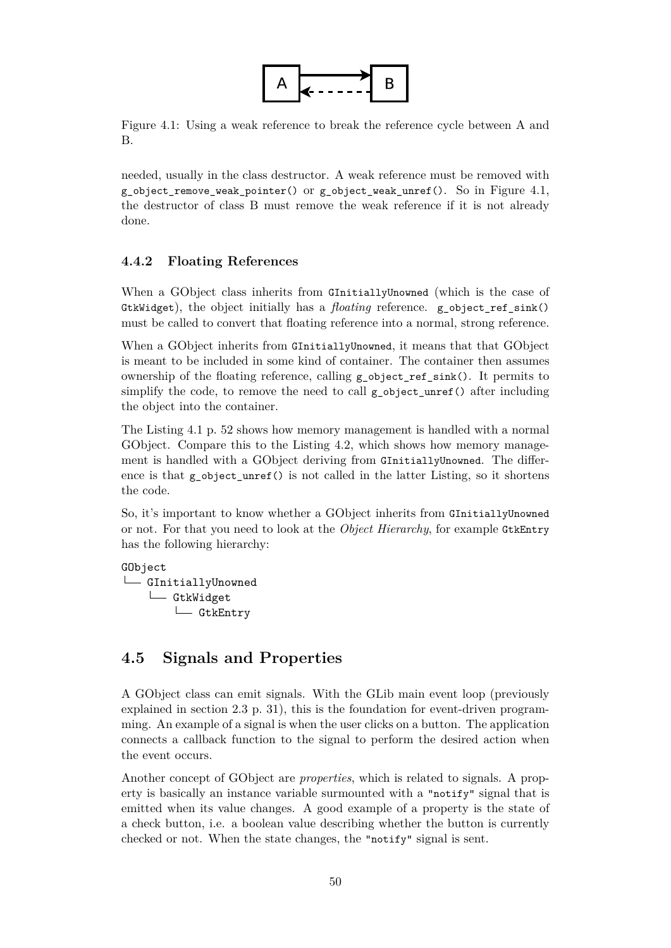

<span id="page-50-2"></span>Figure 4.1: Using a weak reference to break the reference cycle between A and B.

needed, usually in the class destructor. A weak reference must be removed with g\_object\_remove\_weak\_pointer() or g\_object\_weak\_unref(). So in Figure [4.1,](#page-50-2) the destructor of class B must remove the weak reference if it is not already done.

#### <span id="page-50-0"></span>**4.4.2 Floating References**

When a GObject class inherits from GInitiallyUnowned (which is the case of GtkWidget), the object initially has a *floating* reference. g\_object\_ref\_sink() must be called to convert that floating reference into a normal, strong reference.

When a GObject inherits from GInitiallyUnowned, it means that that GObject is meant to be included in some kind of container. The container then assumes ownership of the floating reference, calling g object ref  $sink()$ . It permits to simplify the code, to remove the need to call  $g$  object unref() after including the object into the container.

The Listing [4.1](#page-52-0) p. [52](#page-52-0) shows how memory management is handled with a normal GObject. Compare this to the Listing [4.2,](#page-52-1) which shows how memory management is handled with a GObject deriving from GInitiallyUnowned. The difference is that  $g_{\text{o}}$  object\_unref() is not called in the latter Listing, so it shortens the code.

So, it's important to know whether a GObject inherits from GInitiallyUnowned or not. For that you need to look at the *Object Hierarchy*, for example GtkEntry has the following hierarchy:

GObject **L** GInitiallyUnowned L<sub>GtkWidget</sub> └─ GtkEntry

## <span id="page-50-1"></span>**4.5 Signals and Properties**

A GObject class can emit signals. With the GLib main event loop (previously explained in section [2.3](#page-31-0) p. [31\)](#page-31-0), this is the foundation for event-driven programming. An example of a signal is when the user clicks on a button. The application connects a callback function to the signal to perform the desired action when the event occurs.

Another concept of GObject are *properties*, which is related to signals. A property is basically an instance variable surmounted with a "notify" signal that is emitted when its value changes. A good example of a property is the state of a check button, i.e. a boolean value describing whether the button is currently checked or not. When the state changes, the "notify" signal is sent.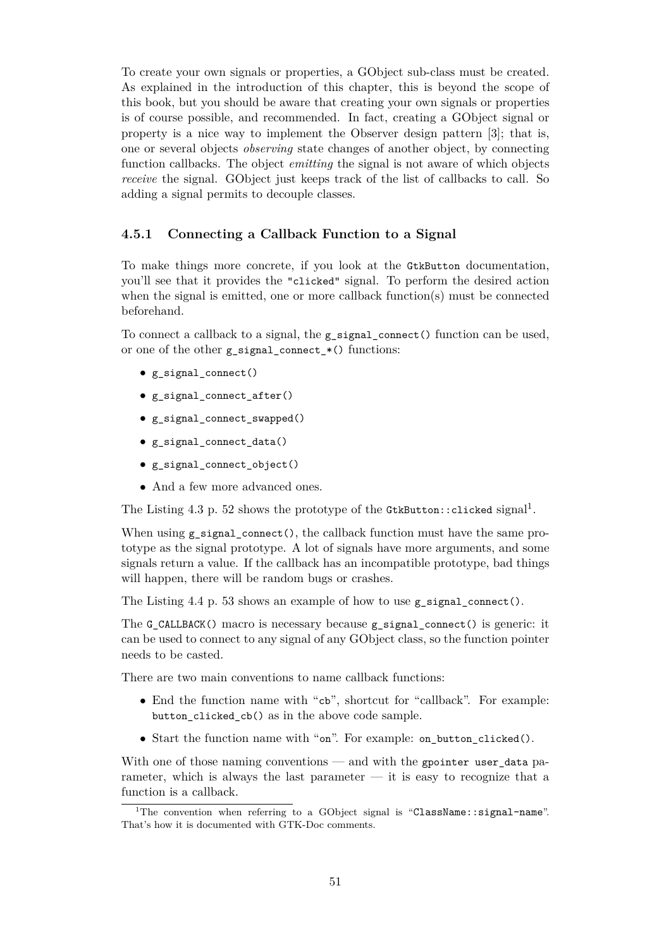To create your own signals or properties, a GObject sub-class must be created. As explained in the introduction of this chapter, this is beyond the scope of this book, but you should be aware that creating your own signals or properties is of course possible, and recommended. In fact, creating a GObject signal or property is a nice way to implement the Observer design pattern [\[3\]](#page-70-9); that is, one or several objects *observing* state changes of another object, by connecting function callbacks. The object *emitting* the signal is not aware of which objects *receive* the signal. GObject just keeps track of the list of callbacks to call. So adding a signal permits to decouple classes.

#### <span id="page-51-0"></span>**4.5.1 Connecting a Callback Function to a Signal**

To make things more concrete, if you look at the GtkButton documentation, you'll see that it provides the "clicked" signal. To perform the desired action when the signal is emitted, one or more callback function(s) must be connected beforehand.

To connect a callback to a signal, the g\_signal\_connect() function can be used, or one of the other g\_signal\_connect\_\*() functions:

- g\_signal\_connect()
- g\_signal\_connect\_after()
- g\_signal\_connect\_swapped()
- g\_signal\_connect\_data()
- g\_signal\_connect\_object()
- And a few more advanced ones.

The Listing [4.3](#page-52-2) p. [52](#page-52-2) shows the prototype of the GtkButton::clicked signal<sup>[1](#page-51-1)</sup>.

When using  $g$  signal connect(), the callback function must have the same prototype as the signal prototype. A lot of signals have more arguments, and some signals return a value. If the callback has an incompatible prototype, bad things will happen, there will be random bugs or crashes.

The Listing [4.4](#page-53-1) p. [53](#page-53-1) shows an example of how to use g\_signal\_connect().

The G CALLBACK() macro is necessary because g\_signal\_connect() is generic: it can be used to connect to any signal of any GObject class, so the function pointer needs to be casted.

There are two main conventions to name callback functions:

- End the function name with "cb", shortcut for "callback". For example: button\_clicked\_cb() as in the above code sample.
- Start the function name with "on". For example: on\_button\_clicked().

With one of those naming conventions — and with the gpointer user\_data parameter, which is always the last parameter  $-$  it is easy to recognize that a function is a callback.

<span id="page-51-1"></span><sup>&</sup>lt;sup>1</sup>The convention when referring to a GObject signal is "ClassName::signal-name". That's how it is documented with GTK-Doc comments.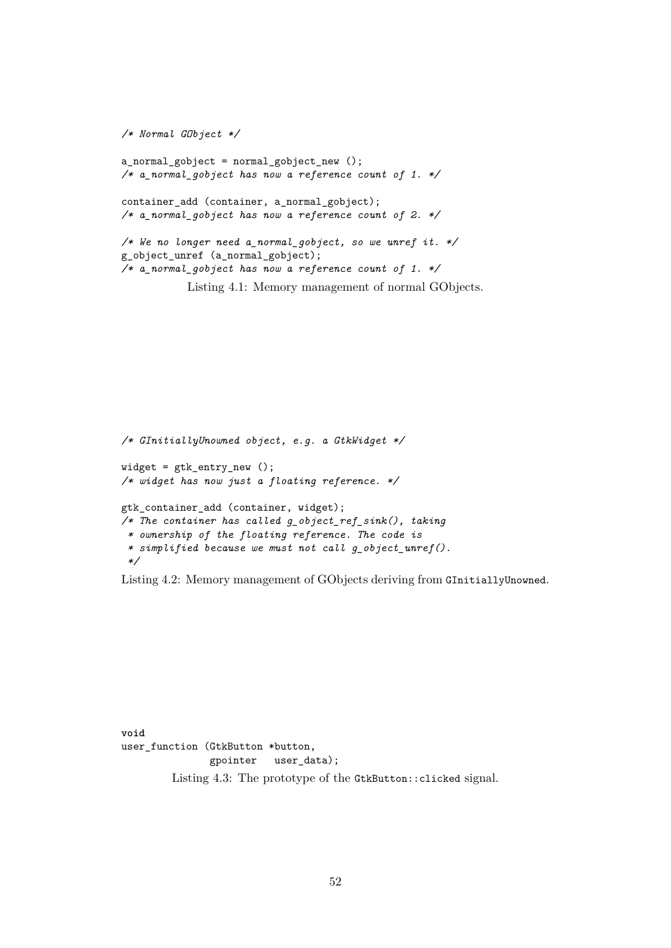```
/* Normal GObject */
a_normal_gobject = normal_gobject_new ();
/* a_normal_gobject has now a reference count of 1. */
container_add (container, a_normal_gobject);
/* a_normal_gobject has now a reference count of 2. */
/* We no longer need a_normal_gobject, so we unref it. */
g_object_unref (a_normal_gobject);
/* a_normal_gobject has now a reference count of 1. */
           Listing 4.1: Memory management of normal GObjects.
```

```
/* GInitiallyUnowned object, e.g. a GtkWidget */
widget = gtk_entry_new ();
/* widget has now just a floating reference. */
gtk_container_add (container, widget);
/* The container has called g_object_ref_sink(), taking
 * ownership of the floating reference. The code is
 * simplified because we must not call g_object_unref().
 */
```
Listing 4.2: Memory management of GObjects deriving from GInitiallyUnowned.

<span id="page-52-2"></span>**void** user function (GtkButton \*button, gpointer user\_data); Listing 4.3: The prototype of the GtkButton::clicked signal.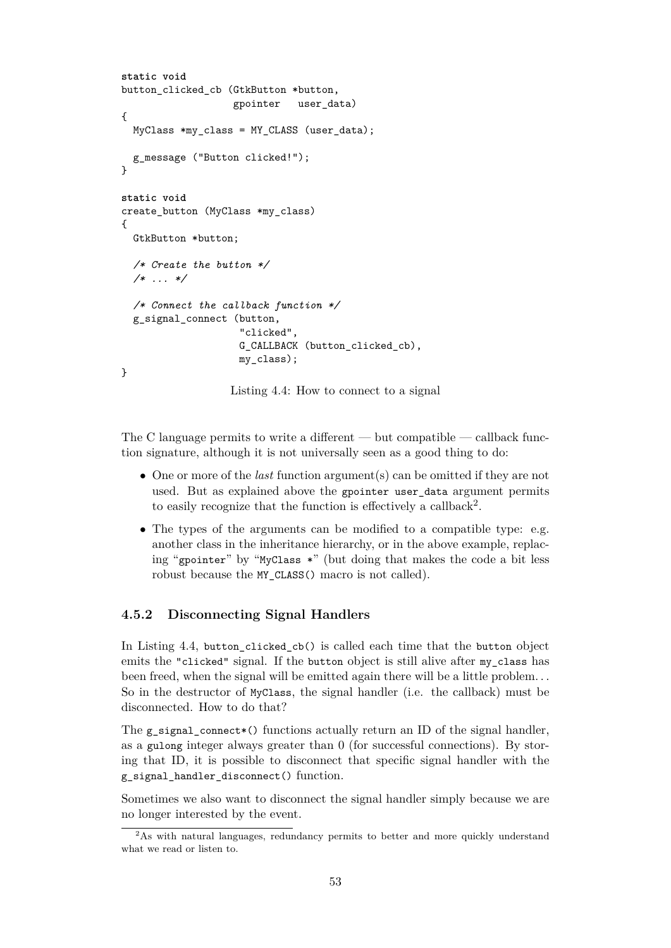```
static void
button_clicked_cb (GtkButton *button,
                   gpointer user_data)
{
 MyClass *my_class = MY_CLASS (user_data);
 g_message ("Button clicked!");
}
static void
create_button (MyClass *my_class)
{
 GtkButton *button;
  /* Create the button */
  /* ... */
  /* Connect the callback function */
 g_signal_connect (button,
                    "clicked",
                    G_CALLBACK (button_clicked_cb),
                    my_class);
}
```
Listing 4.4: How to connect to a signal

The C language permits to write a different — but compatible — callback function signature, although it is not universally seen as a good thing to do:

- One or more of the *last* function argument(s) can be omitted if they are not used. But as explained above the gpointer user data argument permits to easily recognize that the function is effectively a callback<sup>[2](#page-53-2)</sup>.
- The types of the arguments can be modified to a compatible type: e.g. another class in the inheritance hierarchy, or in the above example, replacing "gpointer" by "MyClass \*" (but doing that makes the code a bit less robust because the MY CLASS() macro is not called).

#### <span id="page-53-0"></span>**4.5.2 Disconnecting Signal Handlers**

In Listing [4.4,](#page-53-1) button\_clicked\_cb() is called each time that the button object emits the "clicked" signal. If the button object is still alive after my\_class has been freed, when the signal will be emitted again there will be a little problem. . . So in the destructor of MyClass, the signal handler (i.e. the callback) must be disconnected. How to do that?

The g signal connect\*() functions actually return an ID of the signal handler, as a gulong integer always greater than 0 (for successful connections). By storing that ID, it is possible to disconnect that specific signal handler with the g\_signal\_handler\_disconnect() function.

Sometimes we also want to disconnect the signal handler simply because we are no longer interested by the event.

<span id="page-53-2"></span><sup>&</sup>lt;sup>2</sup>As with natural languages, redundancy permits to better and more quickly understand what we read or listen to.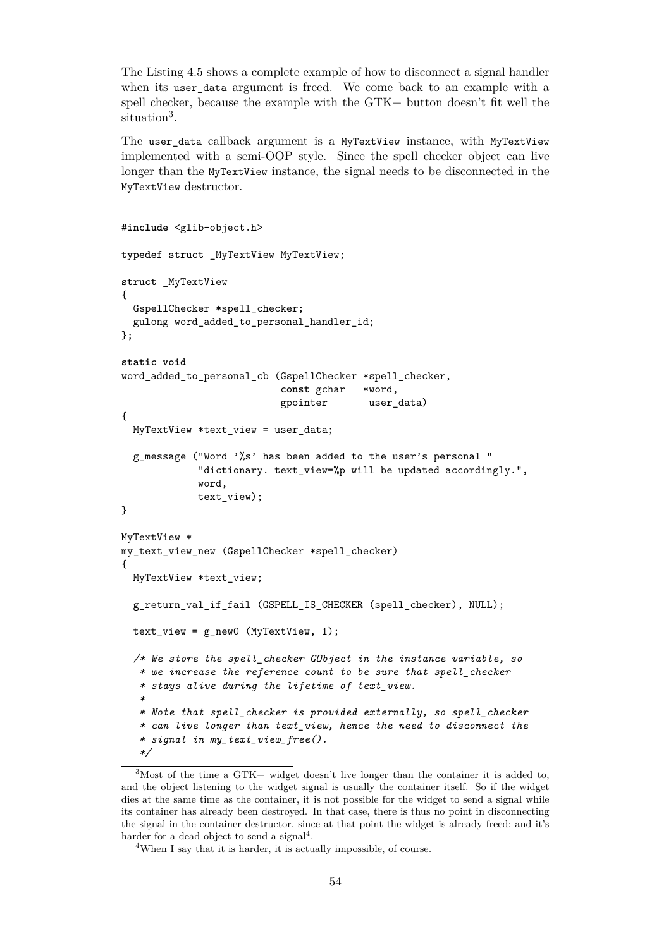The Listing [4.5](#page-54-0) shows a complete example of how to disconnect a signal handler when its user\_data argument is freed. We come back to an example with a spell checker, because the example with the GTK+ button doesn't fit well the situation<sup>[3](#page-54-1)</sup>.

The user\_data callback argument is a MyTextView instance, with MyTextView implemented with a semi-OOP style. Since the spell checker object can live longer than the MyTextView instance, the signal needs to be disconnected in the MyTextView destructor.

```
#include <glib-object.h>
typedef struct _MyTextView MyTextView;
struct _MyTextView
\mathcal{L}GspellChecker *spell_checker;
 gulong word_added_to_personal_handler_id;
};
static void
word added to personal cb (GspellChecker *spell checker,
                           const gchar *word,
                           gpointer user_data)
{
 MyTextView *text_view = user_data;
  g_message ("Word '%s' has been added to the user's personal "
             "dictionary. text_view=%p will be updated accordingly.",
             word,
             text_view);
}
MyTextView *
my_text_view_new (GspellChecker *spell_checker)
{
 MyTextView *text_view;
 g_return_val_if_fail (GSPELL_IS_CHECKER (spell_checker), NULL);
 text view = g_new0 (MyTextView, 1);
  /* We store the spell_checker GObject in the instance variable, so
   * we increase the reference count to be sure that spell_checker
   * stays alive during the lifetime of text_view.
   *
   * Note that spell_checker is provided externally, so spell_checker
   * can live longer than text_view, hence the need to disconnect the
   * signal in my_text_view_free().
   */
```
<span id="page-54-1"></span><sup>3</sup>Most of the time a GTK+ widget doesn't live longer than the container it is added to, and the object listening to the widget signal is usually the container itself. So if the widget dies at the same time as the container, it is not possible for the widget to send a signal while its container has already been destroyed. In that case, there is thus no point in disconnecting the signal in the container destructor, since at that point the widget is already freed; and it's harder for a dead object to send a signal<sup>[4](#page-54-2)</sup>.

<span id="page-54-2"></span><sup>&</sup>lt;sup>4</sup>When I say that it is harder, it is actually impossible, of course.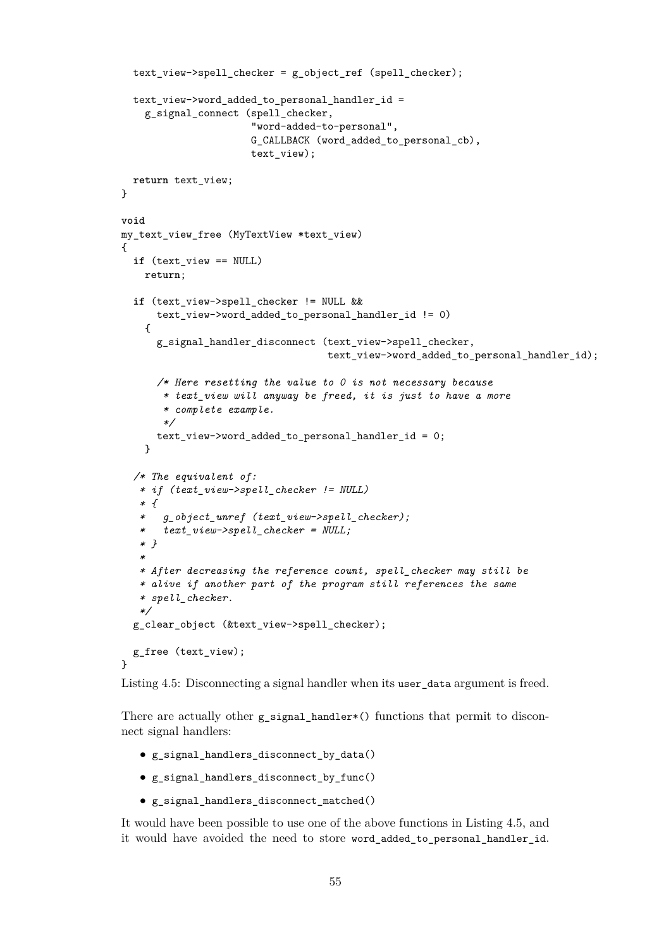```
text_view->spell_checker = g_object_ref (spell_checker);
 text_view->word_added_to_personal_handler_id =
    g_signal_connect (spell_checker,
                      "word-added-to-personal",
                      G_CALLBACK (word_added_to_personal_cb),
                      text_view);
 return text_view;
}
void
my_text_view_free (MyTextView *text_view)
{
 if (text_view == NULL)
   return;
 if (text_view->spell_checker != NULL &&
      text view->word added to personal handler id != 0)
    {
      g_signal_handler_disconnect (text_view->spell_checker,
                                   text_view->word_added_to_personal_handler_id);
      /* Here resetting the value to 0 is not necessary because
       * text_view will anyway be freed, it is just to have a more
       * complete example.
       */
      text_view->word_added_to_personal_handler_id = 0;
   }
  /* The equivalent of:
   * if (text_view->spell_checker != NULL)
   * {
   * g_object_unref (text_view->spell_checker);
   * text_view->spell_checker = NULL;
   * }
   *
   * After decreasing the reference count, spell_checker may still be
   * alive if another part of the program still references the same
   * spell_checker.
   */
 g_clear_object (&text_view->spell_checker);
 g_free (text_view);
}
```
Listing 4.5: Disconnecting a signal handler when its user\_data argument is freed.

There are actually other g\_signal\_handler\*() functions that permit to disconnect signal handlers:

- g\_signal\_handlers\_disconnect\_by\_data()
- g\_signal\_handlers\_disconnect\_by\_func()
- g\_signal\_handlers\_disconnect\_matched()

It would have been possible to use one of the above functions in Listing [4.5,](#page-54-0) and it would have avoided the need to store word\_added\_to\_personal\_handler\_id.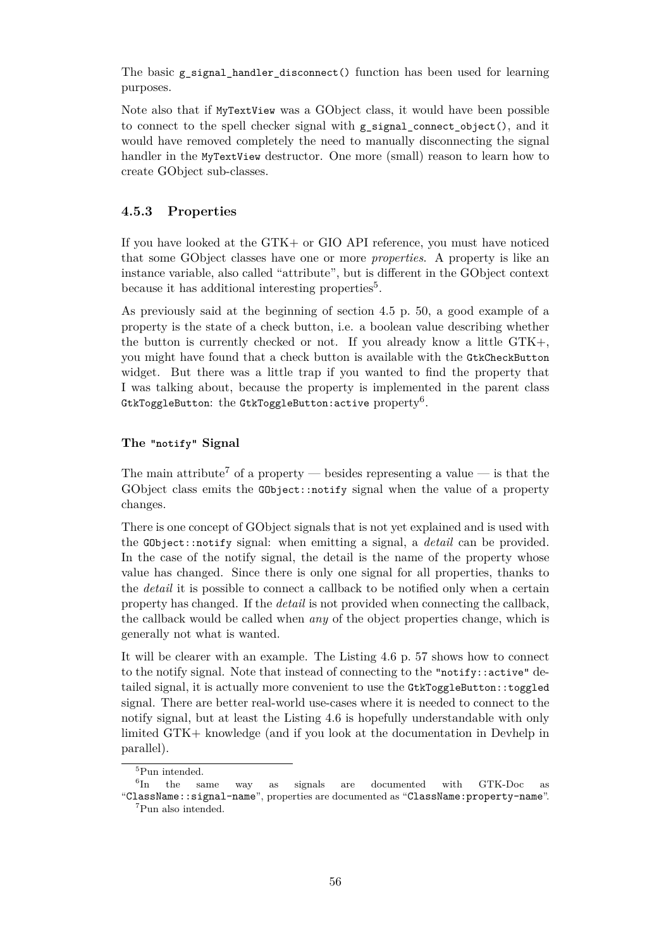The basic g signal handler disconnect() function has been used for learning purposes.

Note also that if MyTextView was a GObject class, it would have been possible to connect to the spell checker signal with  $g$  signal connect object(), and it would have removed completely the need to manually disconnecting the signal handler in the MyTextView destructor. One more (small) reason to learn how to create GObject sub-classes.

#### <span id="page-56-0"></span>**4.5.3 Properties**

If you have looked at the GTK+ or GIO API reference, you must have noticed that some GObject classes have one or more *properties*. A property is like an instance variable, also called "attribute", but is different in the GObject context because it has additional interesting properties<sup>[5](#page-56-1)</sup>.

As previously said at the beginning of section [4.5](#page-50-1) p. [50,](#page-50-1) a good example of a property is the state of a check button, i.e. a boolean value describing whether the button is currently checked or not. If you already know a little GTK+, you might have found that a check button is available with the GtkCheckButton widget. But there was a little trap if you wanted to find the property that I was talking about, because the property is implemented in the parent class <code>GtkToggleButton:</code> the <code>GtkToggleButton:active</code> <code>property $^6.$  $^6.$  $^6.$ </code>

#### **The "notify" Signal**

The main attribute<sup>[7](#page-56-3)</sup> of a property — besides representing a value — is that the GObject class emits the GObject::notify signal when the value of a property changes.

There is one concept of GObject signals that is not yet explained and is used with the GObject::notify signal: when emitting a signal, a *detail* can be provided. In the case of the notify signal, the detail is the name of the property whose value has changed. Since there is only one signal for all properties, thanks to the *detail* it is possible to connect a callback to be notified only when a certain property has changed. If the *detail* is not provided when connecting the callback, the callback would be called when *any* of the object properties change, which is generally not what is wanted.

It will be clearer with an example. The Listing [4.6](#page-57-0) p. [57](#page-57-0) shows how to connect to the notify signal. Note that instead of connecting to the "notify::active" detailed signal, it is actually more convenient to use the GtkToggleButton::toggled signal. There are better real-world use-cases where it is needed to connect to the notify signal, but at least the Listing [4.6](#page-57-0) is hopefully understandable with only limited GTK+ knowledge (and if you look at the documentation in Devhelp in parallel).

<span id="page-56-2"></span><span id="page-56-1"></span><sup>5</sup>Pun intended.

 ${}^{6}$ In the In the same way as signals are documented with GTK-Doc as "ClassName::signal-name", properties are documented as "ClassName:property-name".

<span id="page-56-3"></span><sup>7</sup>Pun also intended.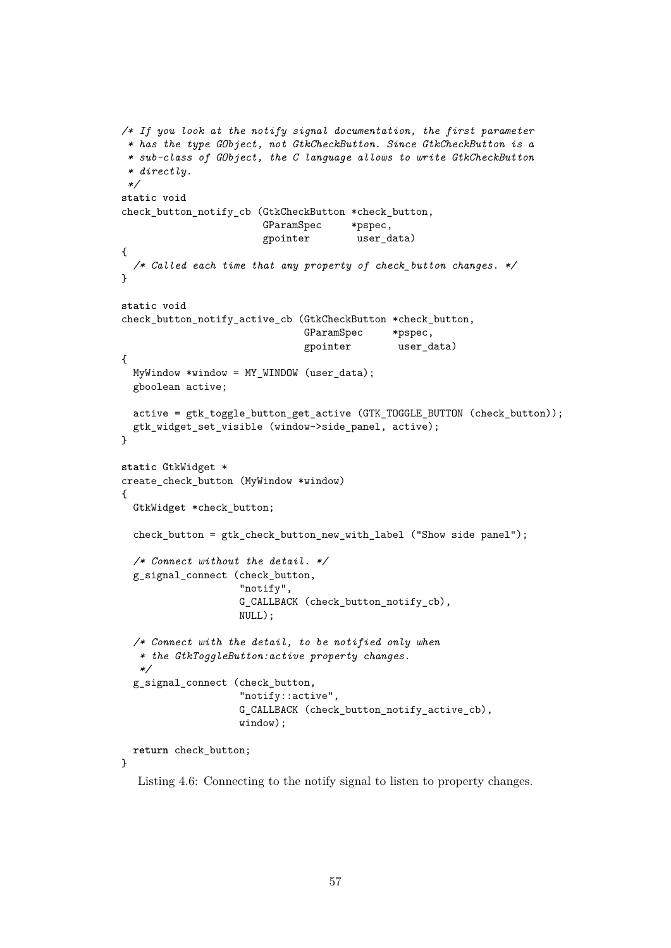```
/* If you look at the notify signal documentation, the first parameter
 * has the type GObject, not GtkCheckButton. Since GtkCheckButton is a
 * sub-class of GObject, the C language allows to write GtkCheckButton
 * directly.
 */
static void
check_button_notify_cb (GtkCheckButton *check_button,
                        GParamSpec *pspec,
                        gpointer user_data)
{
  /* Called each time that any property of check_button changes. */
}
static void
check_button_notify_active_cb (GtkCheckButton *check_button,
                               GParamSpec *pspec,
                               gpointer user_data)
{
 MyWindow *window = MY_WINDOW (user_data);
 gboolean active;
 active = gtk toggle button get active (GTK TOGGLE BUTTON (check button));
 gtk_widget_set_visible (window->side_panel, active);
}
static GtkWidget *
create_check_button (MyWindow *window)
\overline{f}GtkWidget *check_button;
 check button = gtk check button new with label ("Show side panel");
 /* Connect without the detail. */
 g_signal_connect (check_button,
                    "notify",
                   G_CALLBACK (check_button_notify_cb),
                   NULL);
 /* Connect with the detail, to be notified only when
   * the GtkToggleButton:active property changes.
   */
 g_signal_connect (check_button,
                    "notify::active",
                   G_CALLBACK (check_button_notify_active_cb),
                   window);
 return check_button;
```
}

Listing 4.6: Connecting to the notify signal to listen to property changes.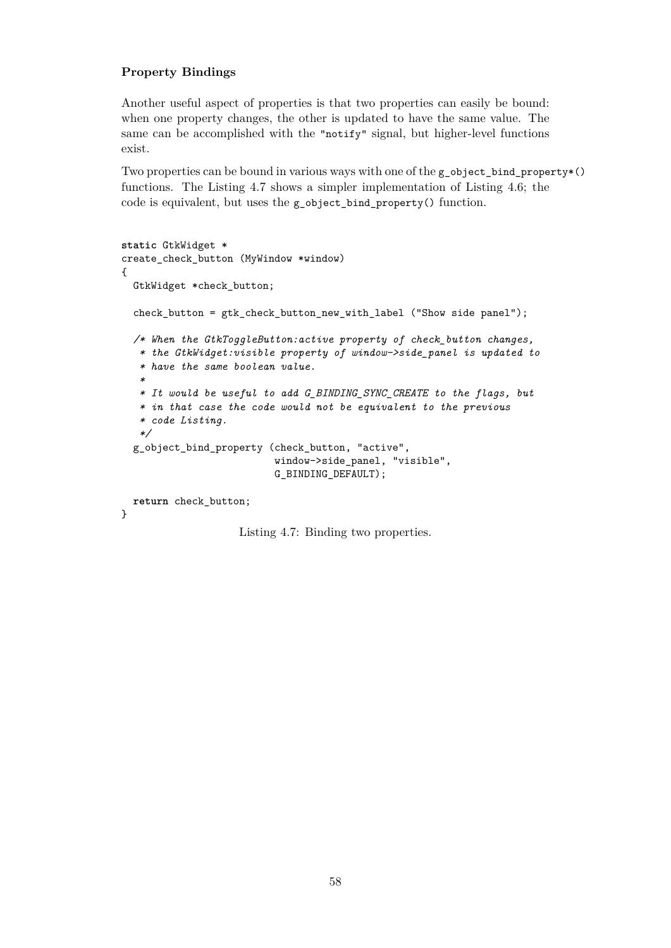#### **Property Bindings**

Another useful aspect of properties is that two properties can easily be bound: when one property changes, the other is updated to have the same value. The same can be accomplished with the "notify" signal, but higher-level functions exist.

Two properties can be bound in various ways with one of the  $g$ -object\_bind\_property $*($ ) functions. The Listing [4.7](#page-58-0) shows a simpler implementation of Listing [4.6;](#page-57-0) the code is equivalent, but uses the g\_object\_bind\_property() function.

```
static GtkWidget *
create_check_button (MyWindow *window)
{
 GtkWidget *check_button;
 check button = gtk check button new with label ("Show side panel");
 /* When the GtkToggleButton:active property of check_button changes,
   * the GtkWidget:visible property of window->side_panel is updated to
   * have the same boolean value.
   *
   * It would be useful to add G_BINDING_SYNC_CREATE to the flags, but
   * in that case the code would not be equivalent to the previous
   * code Listing.
   */
 g_object_bind_property (check_button, "active",
                          window->side_panel, "visible",
                          G_BINDING_DEFAULT);
 return check_button;
}
```
Listing 4.7: Binding two properties.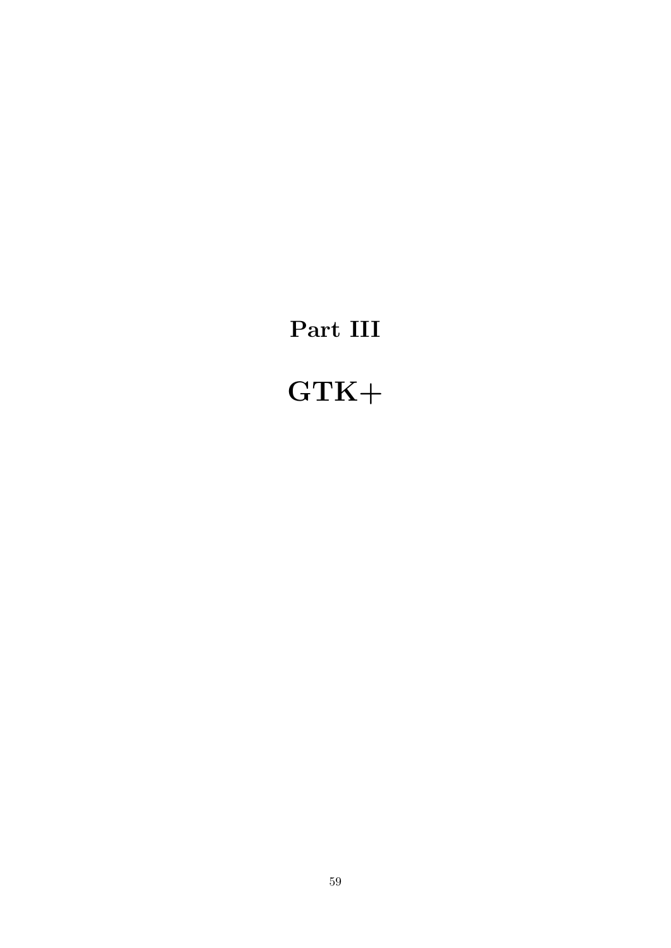# <span id="page-59-0"></span>**Part III**

# **GTK+**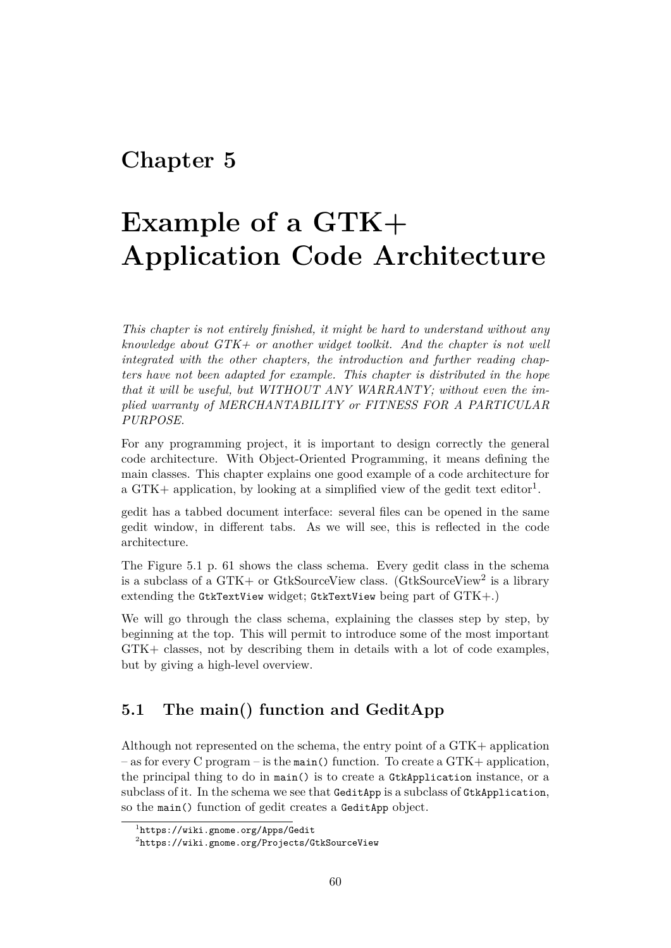# <span id="page-60-0"></span>**Chapter 5**

# **Example of a GTK+ Application Code Architecture**

*This chapter is not entirely finished, it might be hard to understand without any knowledge about GTK+ or another widget toolkit. And the chapter is not well integrated with the other chapters, the introduction and further reading chapters have not been adapted for example. This chapter is distributed in the hope that it will be useful, but WITHOUT ANY WARRANTY; without even the implied warranty of MERCHANTABILITY or FITNESS FOR A PARTICULAR PURPOSE.*

For any programming project, it is important to design correctly the general code architecture. With Object-Oriented Programming, it means defining the main classes. This chapter explains one good example of a code architecture for a GTK+ application, by looking at a simplified view of the gedit text editor<sup>[1](#page-60-2)</sup>.

gedit has a tabbed document interface: several files can be opened in the same gedit window, in different tabs. As we will see, this is reflected in the code architecture.

The Figure [5.1](#page-61-0) p. [61](#page-61-0) shows the class schema. Every gedit class in the schema is a subclass of a GTK+ or GtkSourceView class. (GtkSourceView<sup>[2](#page-60-3)</sup> is a library extending the GtkTextView widget; GtkTextView being part of GTK+.)

We will go through the class schema, explaining the classes step by step, by beginning at the top. This will permit to introduce some of the most important GTK+ classes, not by describing them in details with a lot of code examples, but by giving a high-level overview.

# <span id="page-60-1"></span>**5.1 The main() function and GeditApp**

Although not represented on the schema, the entry point of a GTK+ application – as for every C program – is the main() function. To create a  $\text{GTK+ application}$ , the principal thing to do in main() is to create a GtkApplication instance, or a subclass of it. In the schema we see that GeditApp is a subclass of GtkApplication, so the main() function of gedit creates a GeditApp object.

<span id="page-60-2"></span><sup>1</sup> <https://wiki.gnome.org/Apps/Gedit>

<span id="page-60-3"></span> $^{2}$ <https://wiki.gnome.org/Projects/GtkSourceView>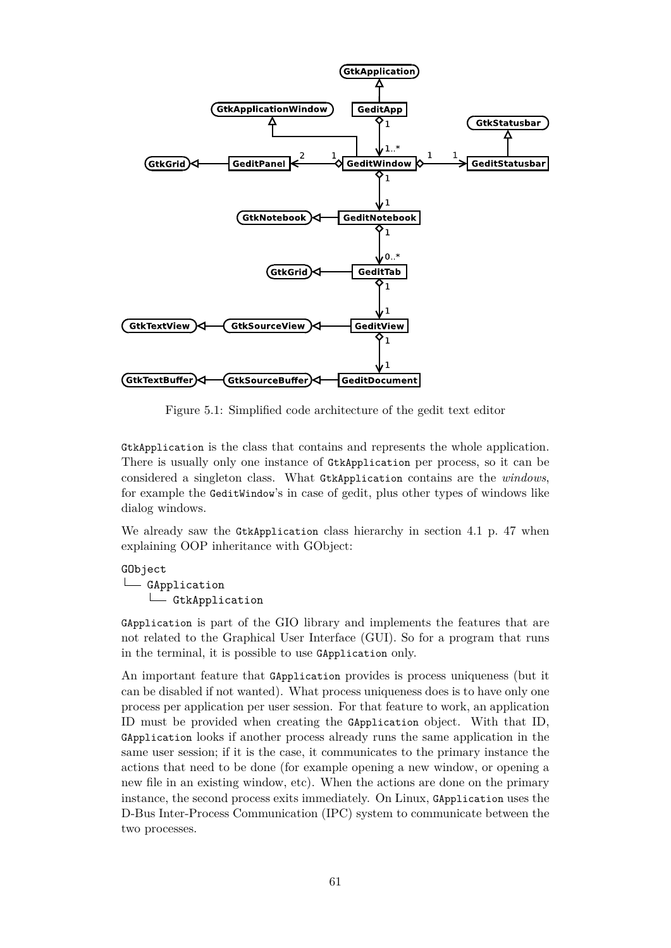

<span id="page-61-0"></span>Figure 5.1: Simplified code architecture of the gedit text editor

GtkApplication is the class that contains and represents the whole application. There is usually only one instance of GtkApplication per process, so it can be considered a singleton class. What GtkApplication contains are the *windows*, for example the GeditWindow's in case of gedit, plus other types of windows like dialog windows.

We already saw the GtkApplication class hierarchy in section [4.1](#page-47-1) p. [47](#page-47-1) when explaining OOP inheritance with GObject:

GObject L<sub>GApplication</sub> L GtkApplication

GApplication is part of the GIO library and implements the features that are not related to the Graphical User Interface (GUI). So for a program that runs in the terminal, it is possible to use GApplication only.

An important feature that GApplication provides is process uniqueness (but it can be disabled if not wanted). What process uniqueness does is to have only one process per application per user session. For that feature to work, an application ID must be provided when creating the GApplication object. With that ID, GApplication looks if another process already runs the same application in the same user session; if it is the case, it communicates to the primary instance the actions that need to be done (for example opening a new window, or opening a new file in an existing window, etc). When the actions are done on the primary instance, the second process exits immediately. On Linux, GApplication uses the D-Bus Inter-Process Communication (IPC) system to communicate between the two processes.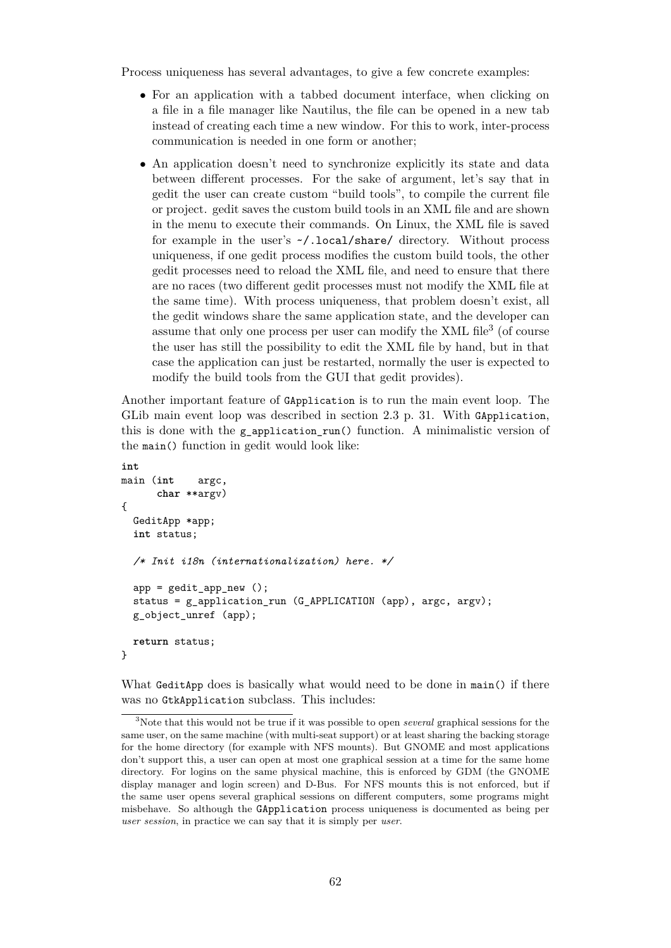Process uniqueness has several advantages, to give a few concrete examples:

- For an application with a tabbed document interface, when clicking on a file in a file manager like Nautilus, the file can be opened in a new tab instead of creating each time a new window. For this to work, inter-process communication is needed in one form or another;
- An application doesn't need to synchronize explicitly its state and data between different processes. For the sake of argument, let's say that in gedit the user can create custom "build tools", to compile the current file or project. gedit saves the custom build tools in an XML file and are shown in the menu to execute their commands. On Linux, the XML file is saved for example in the user's ~/.local/share/ directory. Without process uniqueness, if one gedit process modifies the custom build tools, the other gedit processes need to reload the XML file, and need to ensure that there are no races (two different gedit processes must not modify the XML file at the same time). With process uniqueness, that problem doesn't exist, all the gedit windows share the same application state, and the developer can assume that only one process per user can modify the XML file<sup>[3](#page-62-0)</sup> (of course the user has still the possibility to edit the XML file by hand, but in that case the application can just be restarted, normally the user is expected to modify the build tools from the GUI that gedit provides).

Another important feature of GApplication is to run the main event loop. The GLib main event loop was described in section [2.3](#page-31-0) p. [31.](#page-31-0) With GApplication, this is done with the g\_application\_run() function. A minimalistic version of the main() function in gedit would look like:

```
int
main (int argc,
      char **argv)
{
 GeditApp *app;
  int status;
  /* Init i18n (internationalization) here. */
 app = gedit app new ();
  status = g_application_run (G_APPLICATION (app), argc, argv);
  g_object_unref (app);
 return status;
}
```
What GeditApp does is basically what would need to be done in main() if there was no GtkApplication subclass. This includes:

<span id="page-62-0"></span><sup>3</sup>Note that this would not be true if it was possible to open *several* graphical sessions for the same user, on the same machine (with multi-seat support) or at least sharing the backing storage for the home directory (for example with NFS mounts). But GNOME and most applications don't support this, a user can open at most one graphical session at a time for the same home directory. For logins on the same physical machine, this is enforced by GDM (the GNOME display manager and login screen) and D-Bus. For NFS mounts this is not enforced, but if the same user opens several graphical sessions on different computers, some programs might misbehave. So although the GApplication process uniqueness is documented as being per *user session*, in practice we can say that it is simply per *user*.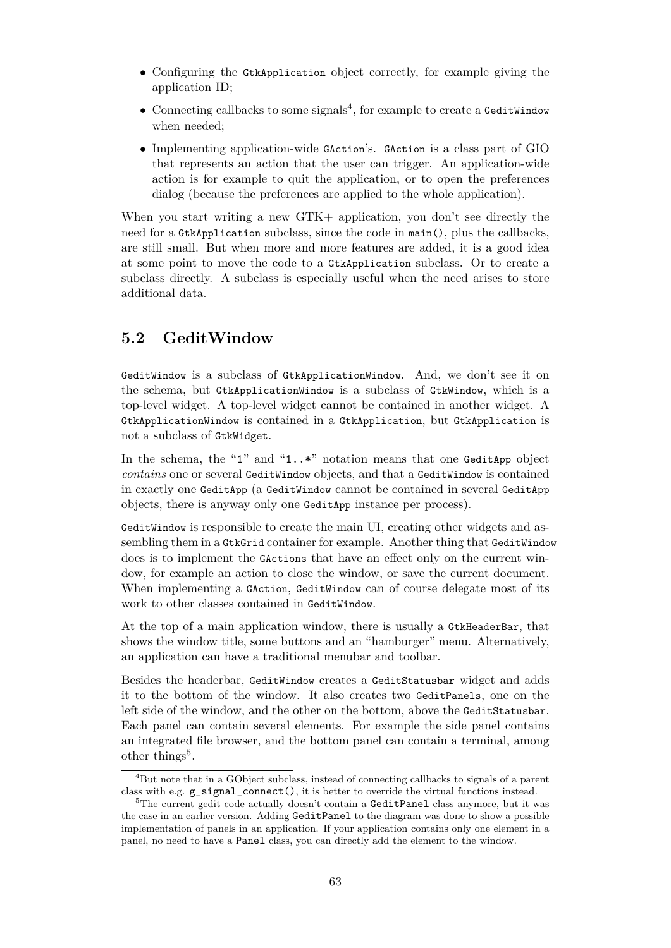- Configuring the GtkApplication object correctly, for example giving the application ID;
- $\bullet$  Connecting callbacks to some signals<sup>[4](#page-63-1)</sup>, for example to create a GeditWindow when needed;
- Implementing application-wide GAction's. GAction is a class part of GIO that represents an action that the user can trigger. An application-wide action is for example to quit the application, or to open the preferences dialog (because the preferences are applied to the whole application).

When you start writing a new GTK+ application, you don't see directly the need for a GtkApplication subclass, since the code in main(), plus the callbacks, are still small. But when more and more features are added, it is a good idea at some point to move the code to a GtkApplication subclass. Or to create a subclass directly. A subclass is especially useful when the need arises to store additional data.

## <span id="page-63-0"></span>**5.2 GeditWindow**

GeditWindow is a subclass of GtkApplicationWindow. And, we don't see it on the schema, but GtkApplicationWindow is a subclass of GtkWindow, which is a top-level widget. A top-level widget cannot be contained in another widget. A GtkApplicationWindow is contained in a GtkApplication, but GtkApplication is not a subclass of GtkWidget.

In the schema, the "1" and "1..\*" notation means that one GeditApp object *contains* one or several GeditWindow objects, and that a GeditWindow is contained in exactly one GeditApp (a GeditWindow cannot be contained in several GeditApp objects, there is anyway only one GeditApp instance per process).

GeditWindow is responsible to create the main UI, creating other widgets and assembling them in a GtkGrid container for example. Another thing that GeditWindow does is to implement the GActions that have an effect only on the current window, for example an action to close the window, or save the current document. When implementing a GAction, GeditWindow can of course delegate most of its work to other classes contained in GeditWindow.

At the top of a main application window, there is usually a GtkHeaderBar, that shows the window title, some buttons and an "hamburger" menu. Alternatively, an application can have a traditional menubar and toolbar.

Besides the headerbar, GeditWindow creates a GeditStatusbar widget and adds it to the bottom of the window. It also creates two GeditPanels, one on the left side of the window, and the other on the bottom, above the GeditStatusbar. Each panel can contain several elements. For example the side panel contains an integrated file browser, and the bottom panel can contain a terminal, among other things<sup>[5](#page-63-2)</sup>.

<span id="page-63-1"></span><sup>4</sup>But note that in a GObject subclass, instead of connecting callbacks to signals of a parent class with e.g. g\_signal\_connect(), it is better to override the virtual functions instead.

<span id="page-63-2"></span> $5$ The current gedit code actually doesn't contain a GeditPanel class anymore, but it was the case in an earlier version. Adding GeditPanel to the diagram was done to show a possible implementation of panels in an application. If your application contains only one element in a panel, no need to have a Panel class, you can directly add the element to the window.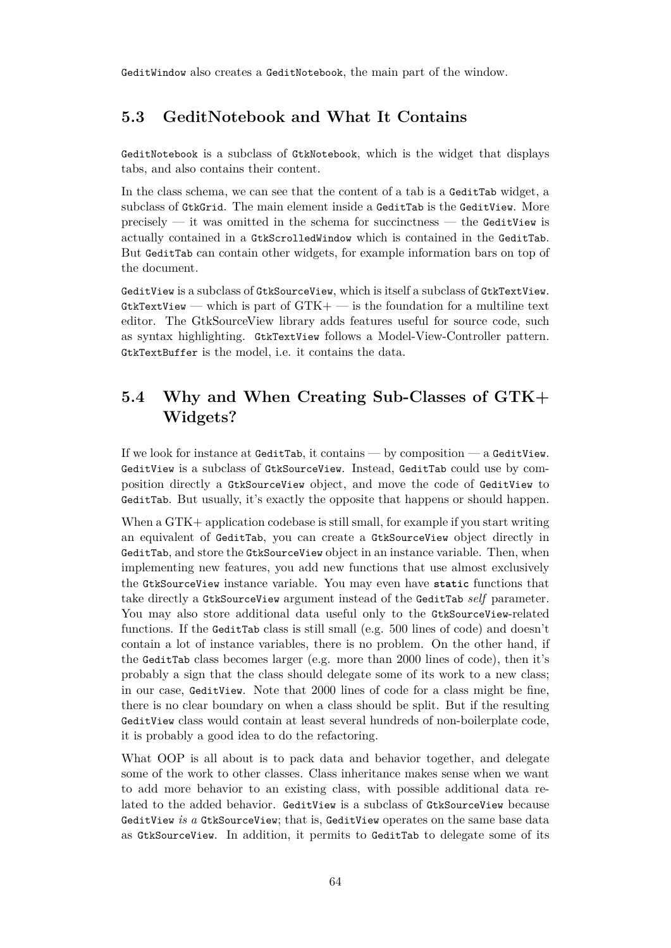GeditWindow also creates a GeditNotebook, the main part of the window.

# <span id="page-64-0"></span>**5.3 GeditNotebook and What It Contains**

GeditNotebook is a subclass of GtkNotebook, which is the widget that displays tabs, and also contains their content.

In the class schema, we can see that the content of a tab is a GeditTab widget, a subclass of GtkGrid. The main element inside a GeditTab is the GeditView. More precisely — it was omitted in the schema for succinctness — the GeditView is actually contained in a GtkScrolledWindow which is contained in the GeditTab. But GeditTab can contain other widgets, for example information bars on top of the document.

GeditView is a subclass of GtkSourceView, which is itself a subclass of GtkTextView. GtkTextView — which is part of  $GTK +$  — is the foundation for a multiline text editor. The GtkSourceView library adds features useful for source code, such as syntax highlighting. GtkTextView follows a Model-View-Controller pattern. GtkTextBuffer is the model, i.e. it contains the data.

# <span id="page-64-1"></span>**5.4 Why and When Creating Sub-Classes of GTK+ Widgets?**

If we look for instance at GeditTab, it contains — by composition — a GeditView. GeditView is a subclass of GtkSourceView. Instead, GeditTab could use by composition directly a GtkSourceView object, and move the code of GeditView to GeditTab. But usually, it's exactly the opposite that happens or should happen.

When a GTK+ application codebase is still small, for example if you start writing an equivalent of GeditTab, you can create a GtkSourceView object directly in GeditTab, and store the GtkSourceView object in an instance variable. Then, when implementing new features, you add new functions that use almost exclusively the GtkSourceView instance variable. You may even have **static** functions that take directly a GtkSourceView argument instead of the GeditTab *self* parameter. You may also store additional data useful only to the GtkSourceView-related functions. If the GeditTab class is still small (e.g. 500 lines of code) and doesn't contain a lot of instance variables, there is no problem. On the other hand, if the GeditTab class becomes larger (e.g. more than 2000 lines of code), then it's probably a sign that the class should delegate some of its work to a new class; in our case, GeditView. Note that 2000 lines of code for a class might be fine, there is no clear boundary on when a class should be split. But if the resulting GeditView class would contain at least several hundreds of non-boilerplate code, it is probably a good idea to do the refactoring.

What OOP is all about is to pack data and behavior together, and delegate some of the work to other classes. Class inheritance makes sense when we want to add more behavior to an existing class, with possible additional data related to the added behavior. GeditView is a subclass of GtkSourceView because GeditView *is a* GtkSourceView; that is, GeditView operates on the same base data as GtkSourceView. In addition, it permits to GeditTab to delegate some of its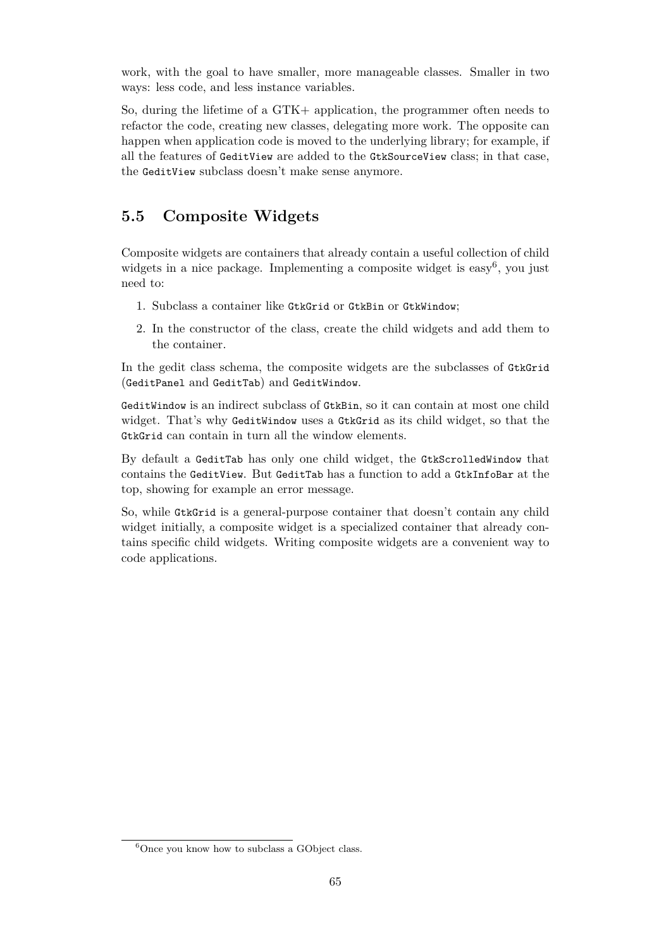work, with the goal to have smaller, more manageable classes. Smaller in two ways: less code, and less instance variables.

So, during the lifetime of a GTK+ application, the programmer often needs to refactor the code, creating new classes, delegating more work. The opposite can happen when application code is moved to the underlying library; for example, if all the features of GeditView are added to the GtkSourceView class; in that case, the GeditView subclass doesn't make sense anymore.

# <span id="page-65-0"></span>**5.5 Composite Widgets**

Composite widgets are containers that already contain a useful collection of child widgets in a nice package. Implementing a composite widget is easy<sup>[6](#page-65-1)</sup>, you just need to:

- 1. Subclass a container like GtkGrid or GtkBin or GtkWindow;
- 2. In the constructor of the class, create the child widgets and add them to the container.

In the gedit class schema, the composite widgets are the subclasses of GtkGrid (GeditPanel and GeditTab) and GeditWindow.

GeditWindow is an indirect subclass of GtkBin, so it can contain at most one child widget. That's why GeditWindow uses a GtkGrid as its child widget, so that the GtkGrid can contain in turn all the window elements.

By default a GeditTab has only one child widget, the GtkScrolledWindow that contains the GeditView. But GeditTab has a function to add a GtkInfoBar at the top, showing for example an error message.

So, while GtkGrid is a general-purpose container that doesn't contain any child widget initially, a composite widget is a specialized container that already contains specific child widgets. Writing composite widgets are a convenient way to code applications.

<span id="page-65-1"></span> $6$ Once you know how to subclass a GObject class.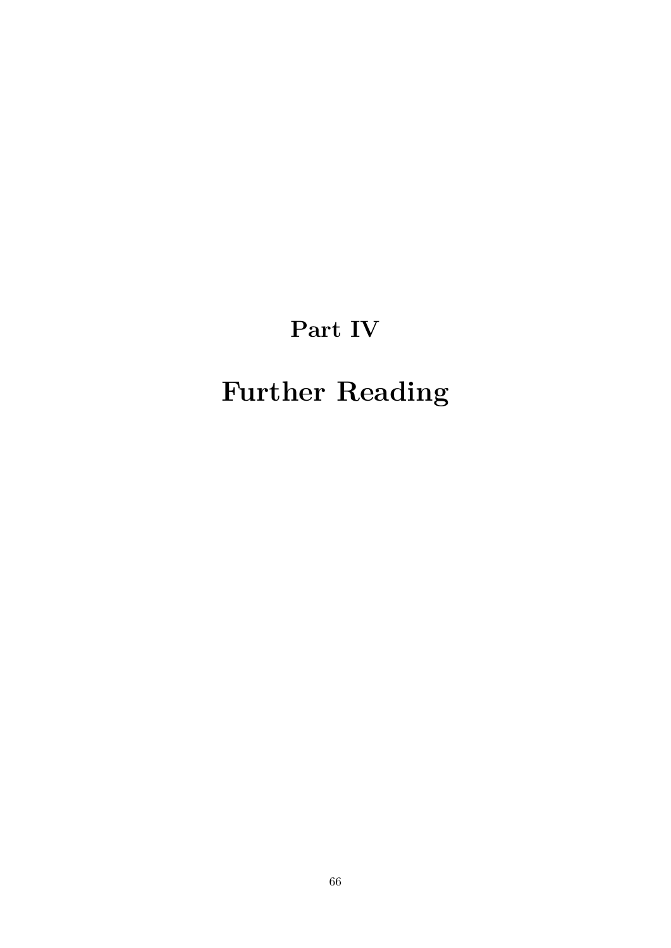# **Part IV**

# <span id="page-66-0"></span>**Further Reading**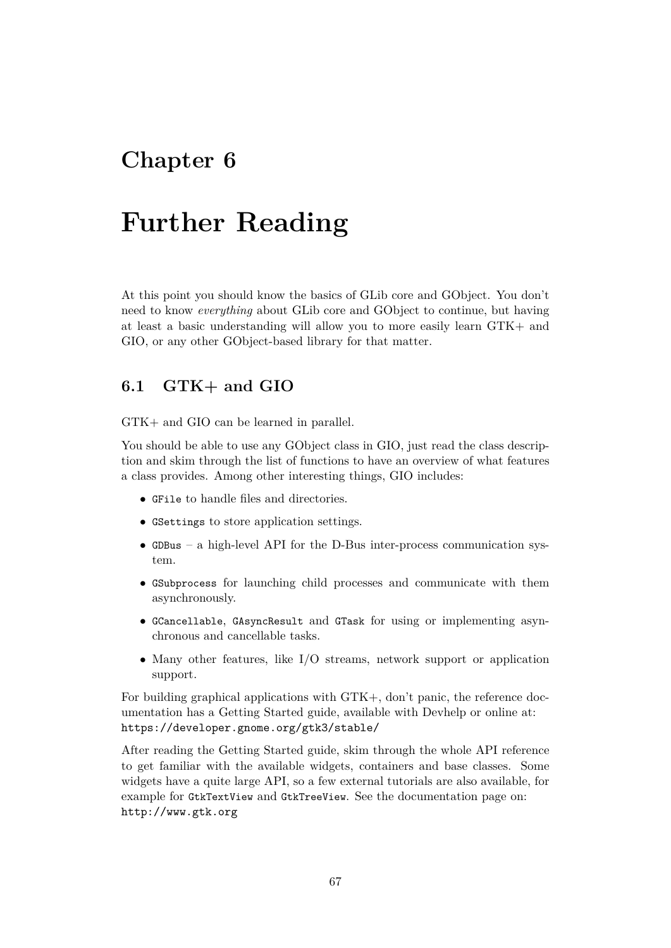# <span id="page-67-0"></span>**Chapter 6**

# **Further Reading**

At this point you should know the basics of GLib core and GObject. You don't need to know *everything* about GLib core and GObject to continue, but having at least a basic understanding will allow you to more easily learn GTK+ and GIO, or any other GObject-based library for that matter.

## <span id="page-67-1"></span>**6.1 GTK+ and GIO**

GTK+ and GIO can be learned in parallel.

You should be able to use any GObject class in GIO, just read the class description and skim through the list of functions to have an overview of what features a class provides. Among other interesting things, GIO includes:

- GFile to handle files and directories.
- GSettings to store application settings.
- GDBus a high-level API for the D-Bus inter-process communication system.
- GSubprocess for launching child processes and communicate with them asynchronously.
- GCancellable, GAsyncResult and GTask for using or implementing asynchronous and cancellable tasks.
- Many other features, like I/O streams, network support or application support.

For building graphical applications with GTK+, don't panic, the reference documentation has a Getting Started guide, available with Devhelp or online at: <https://developer.gnome.org/gtk3/stable/>

After reading the Getting Started guide, skim through the whole API reference to get familiar with the available widgets, containers and base classes. Some widgets have a quite large API, so a few external tutorials are also available, for example for GtkTextView and GtkTreeView. See the documentation page on: <http://www.gtk.org>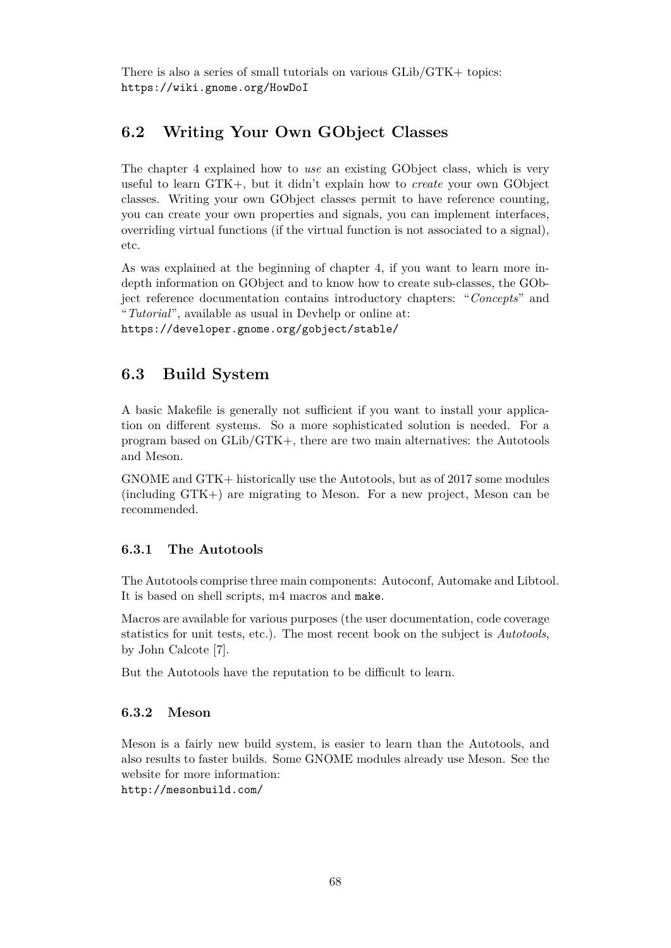There is also a series of small tutorials on various GLib/GTK+ topics: <https://wiki.gnome.org/HowDoI>

## <span id="page-68-0"></span>**6.2 Writing Your Own GObject Classes**

The chapter [4](#page-47-0) explained how to *use* an existing GObject class, which is very useful to learn GTK+, but it didn't explain how to *create* your own GObject classes. Writing your own GObject classes permit to have reference counting, you can create your own properties and signals, you can implement interfaces, overriding virtual functions (if the virtual function is not associated to a signal), etc.

As was explained at the beginning of chapter [4,](#page-47-0) if you want to learn more indepth information on GObject and to know how to create sub-classes, the GObject reference documentation contains introductory chapters: "*Concepts*" and "*Tutorial*", available as usual in Devhelp or online at: <https://developer.gnome.org/gobject/stable/>

## <span id="page-68-1"></span>**6.3 Build System**

A basic Makefile is generally not sufficient if you want to install your application on different systems. So a more sophisticated solution is needed. For a program based on GLib/GTK+, there are two main alternatives: the Autotools and Meson.

GNOME and GTK+ historically use the Autotools, but as of 2017 some modules (including GTK+) are migrating to Meson. For a new project, Meson can be recommended.

#### <span id="page-68-2"></span>**6.3.1 The Autotools**

The Autotools comprise three main components: Autoconf, Automake and Libtool. It is based on shell scripts, m4 macros and make.

Macros are available for various purposes (the user documentation, code coverage statistics for unit tests, etc.). The most recent book on the subject is *Autotools*, by John Calcote [\[7\]](#page-70-10).

But the Autotools have the reputation to be difficult to learn.

#### <span id="page-68-3"></span>**6.3.2 Meson**

Meson is a fairly new build system, is easier to learn than the Autotools, and also results to faster builds. Some GNOME modules already use Meson. See the website for more information:

<http://mesonbuild.com/>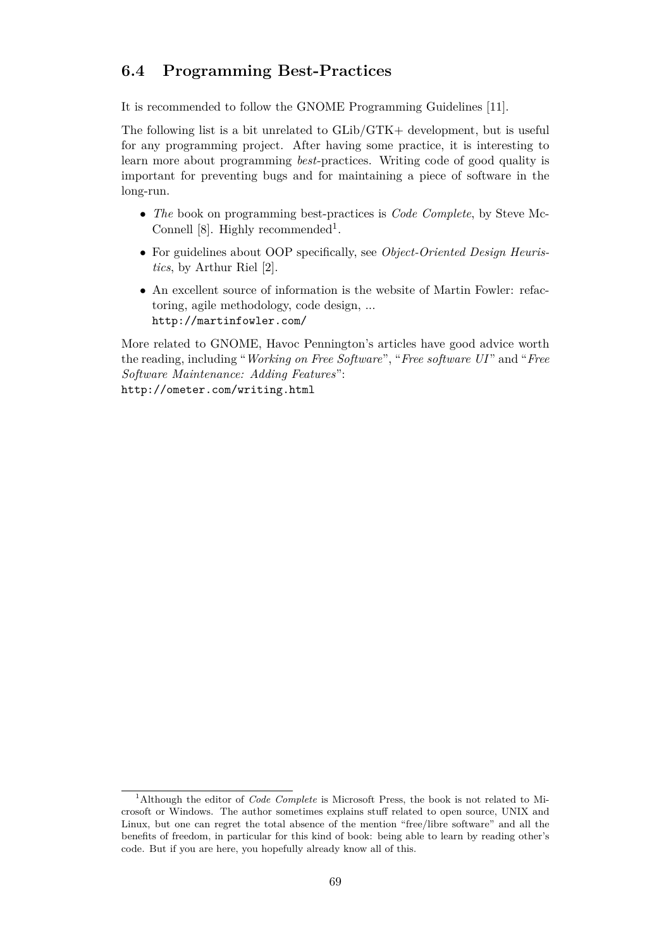## <span id="page-69-0"></span>**6.4 Programming Best-Practices**

It is recommended to follow the GNOME Programming Guidelines [\[11\]](#page-70-8).

The following list is a bit unrelated to GLib/GTK+ development, but is useful for any programming project. After having some practice, it is interesting to learn more about programming *best*-practices. Writing code of good quality is important for preventing bugs and for maintaining a piece of software in the long-run.

- *The* book on programming best-practices is *Code Complete*, by Steve Mc-Connell [\[8\]](#page-70-11). Highly recommended<sup>[1](#page-69-1)</sup>.
- For guidelines about OOP specifically, see *Object-Oriented Design Heuristics*, by Arthur Riel [\[2\]](#page-70-2).
- An excellent source of information is the website of Martin Fowler: refactoring, agile methodology, code design, ... <http://martinfowler.com/>

More related to GNOME, Havoc Pennington's articles have good advice worth the reading, including "*Working on Free Software*", "*Free software UI* " and "*Free Software Maintenance: Adding Features*": <http://ometer.com/writing.html>

<span id="page-69-1"></span><sup>1</sup>Although the editor of *Code Complete* is Microsoft Press, the book is not related to Microsoft or Windows. The author sometimes explains stuff related to open source, UNIX and Linux, but one can regret the total absence of the mention "free/libre software" and all the benefits of freedom, in particular for this kind of book: being able to learn by reading other's code. But if you are here, you hopefully already know all of this.